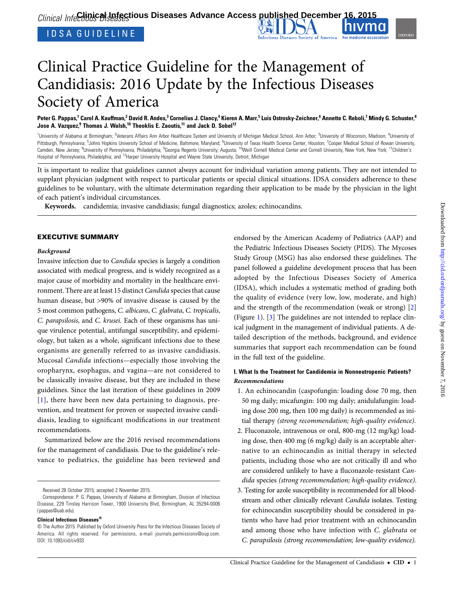# Clinical Practice Guideline for the Management of Candidiasis: 2016 Update by the Infectious Diseases Society of America

Peter G. Pappas,<sup>1</sup> Carol A. Kauffman,<sup>2</sup> David R. Andes,<sup>3</sup> Cornelius J. Clancy,<sup>4</sup> Kieren A. Marr,<sup>5</sup> Luis Ostrosky-Zeichner,<sup>6</sup> Annette C. Reboli,<sup>7</sup> Mindy G. Schuster,<sup>8</sup> Jose A. Vazquez, $9$  Thomas J. Walsh, $^{10}$  Theoklis E. Zaoutis, $^{11}$  and Jack D. Sobel<sup>12</sup>

<sup>1</sup>University of Alabama at Birmingham; <sup>2</sup>Veterans Affairs Ann Arbor Healthcare System and University of Michigan Medical School, Ann Arbor; <sup>3</sup>University of Wisconsin, Madison; <sup>4</sup>University of Pittsburgh, Pennsylvania; <sup>5</sup>Johns Hopkins University School of Medicine, Baltimore, Maryland; <sup>6</sup>University of Texas Health Science Center, Houston; <sup>7</sup>Cooper Medical School of Rowan University, Camden, New Jersey; <sup>8</sup>University of Pennsylvania, Philadelphia; <sup>9</sup>Georgia Regents University, Augusta; <sup>10</sup>Weill Cornell Medical Center and Cornell University, New York, New York; <sup>11</sup>Children's Hospital of Pennsylvania, Philadelphia; and 12Harper University Hospital and Wayne State University, Detroit, Michigan

It is important to realize that guidelines cannot always account for individual variation among patients. They are not intended to supplant physician judgment with respect to particular patients or special clinical situations. IDSA considers adherence to these guidelines to be voluntary, with the ultimate determination regarding their application to be made by the physician in the light of each patient's individual circumstances.

Keywords. candidemia; invasive candidiasis; fungal diagnostics; azoles; echinocandins.

### EXECUTIVE SUMMARY

### Background

Invasive infection due to Candida species is largely a condition associated with medical progress, and is widely recognized as a major cause of morbidity and mortality in the healthcare environment. There are at least 15 distinct Candida species that cause human disease, but >90% of invasive disease is caused by the 5 most common pathogens, C. albicans, C. glabrata, C. tropicalis, C. parapsilosis, and C. krusei. Each of these organisms has unique virulence potential, antifungal susceptibility, and epidemiology, but taken as a whole, significant infections due to these organisms are generally referred to as invasive candidiasis. Mucosal Candida infections—especially those involving the oropharynx, esophagus, and vagina—are not considered to be classically invasive disease, but they are included in these guidelines. Since the last iteration of these guidelines in 2009 [\[1](#page-38-0)], there have been new data pertaining to diagnosis, prevention, and treatment for proven or suspected invasive candidiasis, leading to significant modifications in our treatment recommendations.

Summarized below are the 2016 revised recommendations for the management of candidiasis. Due to the guideline's relevance to pediatrics, the guideline has been reviewed and

Received 28 October 2015; accepted 2 November 2015.

Clinical Infectious Diseases®

endorsed by the American Academy of Pediatrics (AAP) and the Pediatric Infectious Diseases Society (PIDS). The Mycoses Study Group (MSG) has also endorsed these guidelines. The panel followed a guideline development process that has been adopted by the Infectious Diseases Society of America (IDSA), which includes a systematic method of grading both the quality of evidence (very low, low, moderate, and high) and the strength of the recommendation (weak or strong) [\[2\]](#page-38-0) (Figure [1\)](#page-1-0). [\[3\]](#page-38-0) The guidelines are not intended to replace clinical judgment in the management of individual patients. A detailed description of the methods, background, and evidence summaries that support each recommendation can be found in the full text of the guideline.

### I. What Is the Treatment for Candidemia in Nonneutropenic Patients? Recommendations

- 1. An echinocandin (caspofungin: loading dose 70 mg, then 50 mg daily; micafungin: 100 mg daily; anidulafungin: loading dose 200 mg, then 100 mg daily) is recommended as initial therapy (strong recommendation; high-quality evidence).
- 2. Fluconazole, intravenous or oral, 800-mg (12 mg/kg) loading dose, then 400 mg (6 mg/kg) daily is an acceptable alternative to an echinocandin as initial therapy in selected patients, including those who are not critically ill and who are considered unlikely to have a fluconazole-resistant Candida species (strong recommendation; high-quality evidence).
- 3. Testing for azole susceptibility is recommended for all bloodstream and other clinically relevant Candida isolates. Testing for echinocandin susceptibility should be considered in patients who have had prior treatment with an echinocandin and among those who have infection with C. glabrata or C. parapsilosis (strong recommendation; low-quality evidence).

Correspondence: P. G. Pappas, University of Alabama at Birmingham, Division of Infectious Disease, 229 Tinsley Harrison Tower, 1900 University Blvd, Birmingham, AL 35294-0006 [\(pappas@uab.edu\)](mailto:pappas@uab.edu).

<sup>©</sup> The Author 2015. Published by Oxford University Press for the Infectious Diseases Society of America. All rights reserved. For permissions, e-mail [journals.permissions@oup.com](mailto:journals.permissions@oup.com). DOI: 10.1093/cid/civ933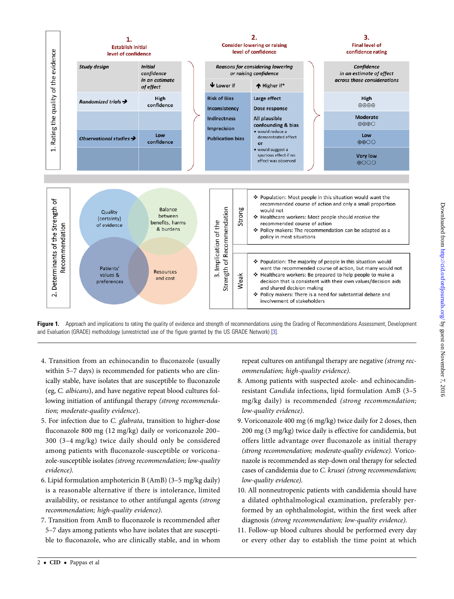<span id="page-1-0"></span>

Figure 1. Approach and implications to rating the quality of evidence and strength of recommendations using the Grading of Recommendations Assessment, Development and Evaluation (GRADE) methodology (unrestricted use of the figure granted by the US GRADE Network) [[3](#page-38-0)].

- 4. Transition from an echinocandin to fluconazole (usually within 5–7 days) is recommended for patients who are clinically stable, have isolates that are susceptible to fluconazole (eg, C. albicans), and have negative repeat blood cultures following initiation of antifungal therapy (strong recommendation; moderate-quality evidence).
- 5. For infection due to C. glabrata, transition to higher-dose fluconazole 800 mg (12 mg/kg) daily or voriconazole 200– 300 (3–4 mg/kg) twice daily should only be considered among patients with fluconazole-susceptible or voriconazole-susceptible isolates (strong recommendation; low-quality evidence).
- 6. Lipid formulation amphotericin B (AmB) (3–5 mg/kg daily) is a reasonable alternative if there is intolerance, limited availability, or resistance to other antifungal agents (strong recommendation; high-quality evidence).
- 7. Transition from AmB to fluconazole is recommended after 5–7 days among patients who have isolates that are susceptible to fluconazole, who are clinically stable, and in whom

repeat cultures on antifungal therapy are negative (strong recommendation; high-quality evidence).

- 8. Among patients with suspected azole- and echinocandinresistant Candida infections, lipid formulation AmB (3–5 mg/kg daily) is recommended (strong recommendation; low-quality evidence).
- 9. Voriconazole 400 mg (6 mg/kg) twice daily for 2 doses, then 200 mg (3 mg/kg) twice daily is effective for candidemia, but offers little advantage over fluconazole as initial therapy (strong recommendation; moderate-quality evidence). Voriconazole is recommended as step-down oral therapy for selected cases of candidemia due to C. krusei (strong recommendation; low-quality evidence).
- 10. All nonneutropenic patients with candidemia should have a dilated ophthalmological examination, preferably performed by an ophthalmologist, within the first week after diagnosis (strong recommendation; low-quality evidence).
- 11. Follow-up blood cultures should be performed every day or every other day to establish the time point at which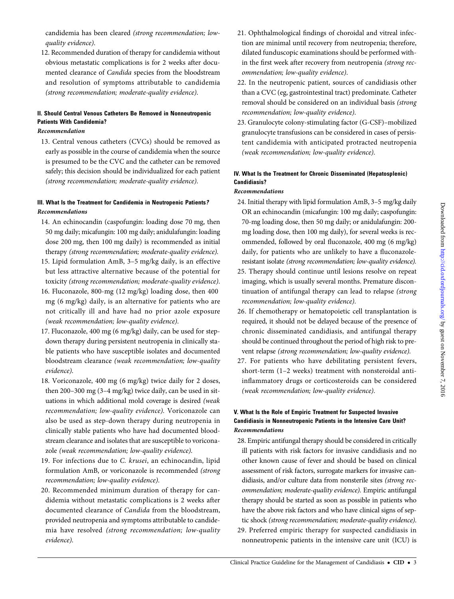candidemia has been cleared (strong recommendation; lowquality evidence).

12. Recommended duration of therapy for candidemia without obvious metastatic complications is for 2 weeks after documented clearance of Candida species from the bloodstream and resolution of symptoms attributable to candidemia (strong recommendation; moderate-quality evidence).

### II. Should Central Venous Catheters Be Removed in Nonneutropenic Patients With Candidemia?

### Recommendation

13. Central venous catheters (CVCs) should be removed as early as possible in the course of candidemia when the source is presumed to be the CVC and the catheter can be removed safely; this decision should be individualized for each patient (strong recommendation; moderate-quality evidence).

### III. What Is the Treatment for Candidemia in Neutropenic Patients? Recommendations

- 14. An echinocandin (caspofungin: loading dose 70 mg, then 50 mg daily; micafungin: 100 mg daily; anidulafungin: loading dose 200 mg, then 100 mg daily) is recommended as initial therapy (strong recommendation; moderate-quality evidence).
- 15. Lipid formulation AmB, 3–5 mg/kg daily, is an effective but less attractive alternative because of the potential for toxicity (strong recommendation; moderate-quality evidence).
- 16. Fluconazole, 800-mg (12 mg/kg) loading dose, then 400 mg (6 mg/kg) daily, is an alternative for patients who are not critically ill and have had no prior azole exposure (weak recommendation; low-quality evidence).
- 17. Fluconazole, 400 mg (6 mg/kg) daily, can be used for stepdown therapy during persistent neutropenia in clinically stable patients who have susceptible isolates and documented bloodstream clearance (weak recommendation; low-quality evidence).
- 18. Voriconazole, 400 mg (6 mg/kg) twice daily for 2 doses, then 200–300 mg (3–4 mg/kg) twice daily, can be used in situations in which additional mold coverage is desired (weak recommendation; low-quality evidence). Voriconazole can also be used as step-down therapy during neutropenia in clinically stable patients who have had documented bloodstream clearance and isolates that are susceptible to voriconazole (weak recommendation; low-quality evidence).
- 19. For infections due to C. krusei, an echinocandin, lipid formulation AmB, or voriconazole is recommended (strong recommendation; low-quality evidence).
- 20. Recommended minimum duration of therapy for candidemia without metastatic complications is 2 weeks after documented clearance of Candida from the bloodstream, provided neutropenia and symptoms attributable to candidemia have resolved (strong recommendation; low-quality evidence).
- 21. Ophthalmological findings of choroidal and vitreal infection are minimal until recovery from neutropenia; therefore, dilated funduscopic examinations should be performed within the first week after recovery from neutropenia (strong recommendation; low-quality evidence).
- 22. In the neutropenic patient, sources of candidiasis other than a CVC (eg, gastrointestinal tract) predominate. Catheter removal should be considered on an individual basis (strong recommendation; low-quality evidence).
- 23. Granulocyte colony-stimulating factor (G-CSF)–mobilized granulocyte transfusions can be considered in cases of persistent candidemia with anticipated protracted neutropenia (weak recommendation; low-quality evidence).

### IV. What Is the Treatment for Chronic Disseminated (Hepatosplenic) Candidiasis?

### Recommendations

- 24. Initial therapy with lipid formulation AmB, 3–5 mg/kg daily OR an echinocandin (micafungin: 100 mg daily; caspofungin: 70-mg loading dose, then 50 mg daily; or anidulafungin: 200 mg loading dose, then 100 mg daily), for several weeks is recommended, followed by oral fluconazole, 400 mg (6 mg/kg) daily, for patients who are unlikely to have a fluconazoleresistant isolate (strong recommendation; low-quality evidence).
- 25. Therapy should continue until lesions resolve on repeat imaging, which is usually several months. Premature discontinuation of antifungal therapy can lead to relapse (strong recommendation; low-quality evidence).
- 26. If chemotherapy or hematopoietic cell transplantation is required, it should not be delayed because of the presence of chronic disseminated candidiasis, and antifungal therapy should be continued throughout the period of high risk to prevent relapse (strong recommendation; low-quality evidence).
- 27. For patients who have debilitating persistent fevers, short-term (1–2 weeks) treatment with nonsteroidal antiinflammatory drugs or corticosteroids can be considered (weak recommendation; low-quality evidence).

### V. What Is the Role of Empiric Treatment for Suspected Invasive Candidiasis in Nonneutropenic Patients in the Intensive Care Unit? Recommendations

28. Empiric antifungal therapy should be considered in critically ill patients with risk factors for invasive candidiasis and no other known cause of fever and should be based on clinical assessment of risk factors, surrogate markers for invasive candidiasis, and/or culture data from nonsterile sites (strong recommendation; moderate-quality evidence). Empiric antifungal therapy should be started as soon as possible in patients who have the above risk factors and who have clinical signs of septic shock (strong recommendation; moderate-quality evidence). 29. Preferred empiric therapy for suspected candidiasis in nonneutropenic patients in the intensive care unit (ICU) is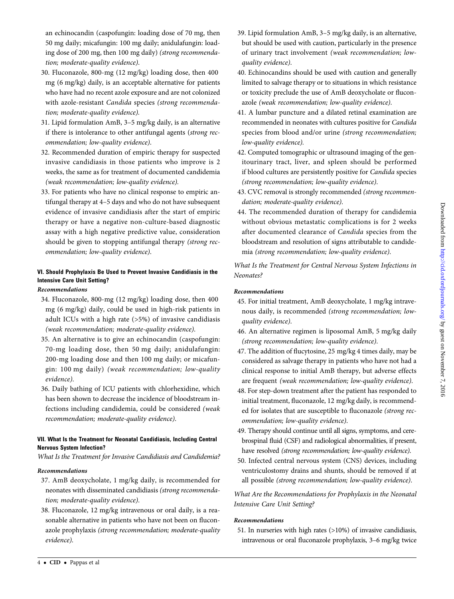an echinocandin (caspofungin: loading dose of 70 mg, then 50 mg daily; micafungin: 100 mg daily; anidulafungin: loading dose of 200 mg, then 100 mg daily) (strong recommendation; moderate-quality evidence).

- 30. Fluconazole, 800-mg (12 mg/kg) loading dose, then 400 mg (6 mg/kg) daily, is an acceptable alternative for patients who have had no recent azole exposure and are not colonized with azole-resistant Candida species (strong recommendation; moderate-quality evidence).
- 31. Lipid formulation AmB, 3–5 mg/kg daily, is an alternative if there is intolerance to other antifungal agents (strong recommendation; low-quality evidence).
- 32. Recommended duration of empiric therapy for suspected invasive candidiasis in those patients who improve is 2 weeks, the same as for treatment of documented candidemia (weak recommendation; low-quality evidence).
- 33. For patients who have no clinical response to empiric antifungal therapy at 4–5 days and who do not have subsequent evidence of invasive candidiasis after the start of empiric therapy or have a negative non-culture-based diagnostic assay with a high negative predictive value, consideration should be given to stopping antifungal therapy (strong recommendation; low-quality evidence).

### VI. Should Prophylaxis Be Used to Prevent Invasive Candidiasis in the Intensive Care Unit Setting?

### Recommendations

- 34. Fluconazole, 800-mg (12 mg/kg) loading dose, then 400 mg (6 mg/kg) daily, could be used in high-risk patients in adult ICUs with a high rate (>5%) of invasive candidiasis (weak recommendation; moderate-quality evidence).
- 35. An alternative is to give an echinocandin (caspofungin: 70-mg loading dose, then 50 mg daily; anidulafungin: 200-mg loading dose and then 100 mg daily; or micafungin: 100 mg daily) (weak recommendation; low-quality evidence).
- 36. Daily bathing of ICU patients with chlorhexidine, which has been shown to decrease the incidence of bloodstream infections including candidemia, could be considered (weak recommendation; moderate-quality evidence).

### VII. What Is the Treatment for Neonatal Candidiasis, Including Central Nervous System Infection?

What Is the Treatment for Invasive Candidiasis and Candidemia?

#### Recommendations

- 37. AmB deoxycholate, 1 mg/kg daily, is recommended for neonates with disseminated candidiasis (strong recommendation; moderate-quality evidence).
- 38. Fluconazole, 12 mg/kg intravenous or oral daily, is a reasonable alternative in patients who have not been on fluconazole prophylaxis (strong recommendation; moderate-quality evidence).
- 39. Lipid formulation AmB, 3–5 mg/kg daily, is an alternative, but should be used with caution, particularly in the presence of urinary tract involvement (weak recommendation; lowquality evidence).
- 40. Echinocandins should be used with caution and generally limited to salvage therapy or to situations in which resistance or toxicity preclude the use of AmB deoxycholate or fluconazole (weak recommendation; low-quality evidence).
- 41. A lumbar puncture and a dilated retinal examination are recommended in neonates with cultures positive for Candida species from blood and/or urine (strong recommendation; low-quality evidence).
- 42. Computed tomographic or ultrasound imaging of the genitourinary tract, liver, and spleen should be performed if blood cultures are persistently positive for Candida species (strong recommendation; low-quality evidence).
- 43. CVC removal is strongly recommended (strong recommendation; moderate-quality evidence).
- 44. The recommended duration of therapy for candidemia without obvious metastatic complications is for 2 weeks after documented clearance of Candida species from the bloodstream and resolution of signs attributable to candidemia (strong recommendation; low-quality evidence).

What Is the Treatment for Central Nervous System Infections in Neonates?

### Recommendations

- 45. For initial treatment, AmB deoxycholate, 1 mg/kg intravenous daily, is recommended (strong recommendation; lowquality evidence).
- 46. An alternative regimen is liposomal AmB, 5 mg/kg daily (strong recommendation; low-quality evidence).
- 47. The addition of flucytosine, 25 mg/kg 4 times daily, may be considered as salvage therapy in patients who have not had a clinical response to initial AmB therapy, but adverse effects are frequent (weak recommendation; low-quality evidence).
- 48. For step-down treatment after the patient has responded to initial treatment, fluconazole, 12 mg/kg daily, is recommended for isolates that are susceptible to fluconazole (strong recommendation; low-quality evidence).
- 49. Therapy should continue until all signs, symptoms, and cerebrospinal fluid (CSF) and radiological abnormalities, if present, have resolved (strong recommendation; low-quality evidence).
- 50. Infected central nervous system (CNS) devices, including ventriculostomy drains and shunts, should be removed if at all possible (strong recommendation; low-quality evidence).

What Are the Recommendations for Prophylaxis in the Neonatal Intensive Care Unit Setting?

#### Recommendations

51. In nurseries with high rates (>10%) of invasive candidiasis, intravenous or oral fluconazole prophylaxis, 3–6 mg/kg twice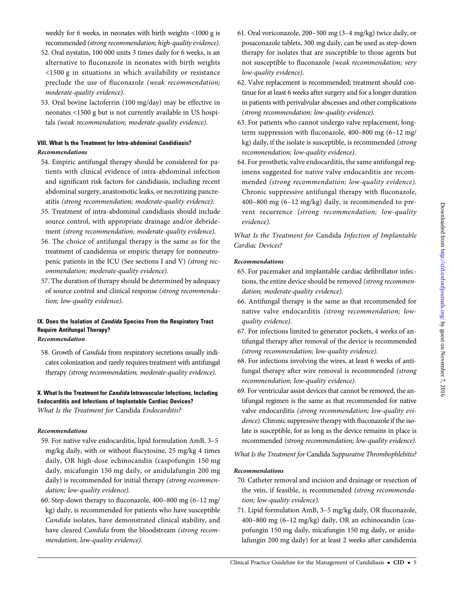weekly for 6 weeks, in neonates with birth weights <1000 g is recommended (strong recommendation; high-quality evidence).

- 52. Oral nystatin, 100 000 units 3 times daily for 6 weeks, is an alternative to fluconazole in neonates with birth weights <1500 g in situations in which availability or resistance preclude the use of fluconazole (weak recommendation; moderate-quality evidence).
- 53. Oral bovine lactoferrin (100 mg/day) may be effective in neonates <1500 g but is not currently available in US hospitals (weak recommendation; moderate-quality evidence).

### VIII. What Is the Treatment for Intra-abdominal Candidiasis? Recommendations

- 54. Empiric antifungal therapy should be considered for patients with clinical evidence of intra-abdominal infection and significant risk factors for candidiasis, including recent abdominal surgery, anastomotic leaks, or necrotizing pancreatitis (strong recommendation; moderate-quality evidence).
- 55. Treatment of intra-abdominal candidiasis should include source control, with appropriate drainage and/or debridement (strong recommendation; moderate-quality evidence).
- 56. The choice of antifungal therapy is the same as for the treatment of candidemia or empiric therapy for nonneutropenic patients in the ICU (See sections I and V) (strong recommendation; moderate-quality evidence).
- 57. The duration of therapy should be determined by adequacy of source control and clinical response (strong recommendation; low-quality evidence).

### IX. Does the Isolation of Candida Species From the Respiratory Tract Require Antifungal Therapy?

### Recommendation

58. Growth of Candida from respiratory secretions usually indicates colonization and rarely requires treatment with antifungal therapy (strong recommendation; moderate-quality evidence).

### X. What Is the Treatment for Candida Intravascular Infections, Including Endocarditis and Infections of Implantable Cardiac Devices? What Is the Treatment for Candida Endocarditis?

#### Recommendations

- 59. For native valve endocarditis, lipid formulation AmB, 3–5 mg/kg daily, with or without flucytosine, 25 mg/kg 4 times daily, OR high-dose echinocandin (caspofungin 150 mg daily, micafungin 150 mg daily, or anidulafungin 200 mg daily) is recommended for initial therapy (strong recommendation; low-quality evidence).
- 60. Step-down therapy to fluconazole, 400–800 mg (6–12 mg/ kg) daily, is recommended for patients who have susceptible Candida isolates, have demonstrated clinical stability, and have cleared Candida from the bloodstream (strong recommendation; low-quality evidence).
- 61. Oral voriconazole, 200–300 mg (3–4 mg/kg) twice daily, or posaconazole tablets, 300 mg daily, can be used as step-down therapy for isolates that are susceptible to those agents but not susceptible to fluconazole (weak recommendation; very low-quality evidence).
- 62. Valve replacement is recommended; treatment should continue for at least 6 weeks after surgery and for a longer duration in patients with perivalvular abscesses and other complications (strong recommendation; low-quality evidence).
- 63. For patients who cannot undergo valve replacement, longterm suppression with fluconazole, 400–800 mg (6–12 mg/ kg) daily, if the isolate is susceptible, is recommended (strong recommendation; low-quality evidence).
- 64. For prosthetic valve endocarditis, the same antifungal regimens suggested for native valve endocarditis are recommended (strong recommendation; low-quality evidence). Chronic suppressive antifungal therapy with fluconazole, 400–800 mg (6–12 mg/kg) daily, is recommended to prevent recurrence (strong recommendation; low-quality evidence).

What Is the Treatment for Candida Infection of Implantable Cardiac Devices?

### Recommendations

- 65. For pacemaker and implantable cardiac defibrillator infections, the entire device should be removed (strong recommendation; moderate-quality evidence).
- 66. Antifungal therapy is the same as that recommended for native valve endocarditis (strong recommendation; lowquality evidence).
- 67. For infections limited to generator pockets, 4 weeks of antifungal therapy after removal of the device is recommended (strong recommendation; low-quality evidence).
- 68. For infections involving the wires, at least 6 weeks of antifungal therapy after wire removal is recommended (strong recommendation; low-quality evidence).
- 69. For ventricular assist devices that cannot be removed, the antifungal regimen is the same as that recommended for native valve endocarditis (strong recommendation; low-quality evidence). Chronic suppressive therapy with fluconazole if the isolate is susceptible, for as long as the device remains in place is recommended (strong recommendation; low-quality evidence).
- What Is the Treatment for Candida Suppurative Thrombophlebitis?

#### Recommendations

- 70. Catheter removal and incision and drainage or resection of the vein, if feasible, is recommended (strong recommendation; low-quality evidence).
- 71. Lipid formulation AmB, 3–5 mg/kg daily, OR fluconazole, 400–800 mg (6–12 mg/kg) daily, OR an echinocandin (caspofungin 150 mg daily, micafungin 150 mg daily, or anidulafungin 200 mg daily) for at least 2 weeks after candidemia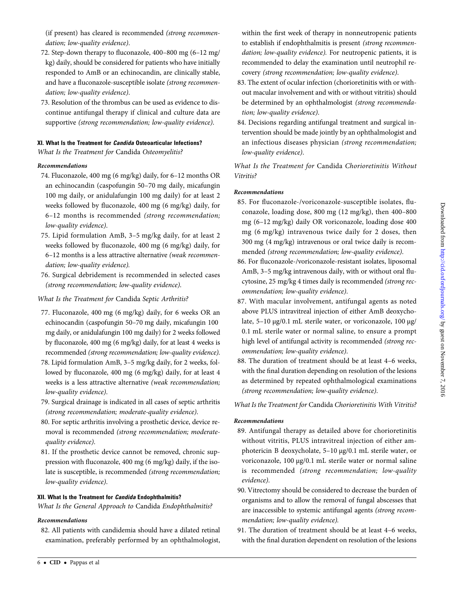(if present) has cleared is recommended (strong recommendation; low-quality evidence).

- 72. Step-down therapy to fluconazole, 400–800 mg (6–12 mg/ kg) daily, should be considered for patients who have initially responded to AmB or an echinocandin, are clinically stable, and have a fluconazole-susceptible isolate (strong recommendation; low-quality evidence).
- 73. Resolution of the thrombus can be used as evidence to discontinue antifungal therapy if clinical and culture data are supportive (strong recommendation; low-quality evidence).

### XI. What Is the Treatment for Candida Osteoarticular Infections?

What Is the Treatment for Candida Osteomyelitis?

### Recommendations

- 74. Fluconazole, 400 mg (6 mg/kg) daily, for 6–12 months OR an echinocandin (caspofungin 50–70 mg daily, micafungin 100 mg daily, or anidulafungin 100 mg daily) for at least 2 weeks followed by fluconazole, 400 mg (6 mg/kg) daily, for 6–12 months is recommended (strong recommendation; low-quality evidence).
- 75. Lipid formulation AmB, 3–5 mg/kg daily, for at least 2 weeks followed by fluconazole, 400 mg (6 mg/kg) daily, for 6–12 months is a less attractive alternative (weak recommendation; low-quality evidence).
- 76. Surgical debridement is recommended in selected cases (strong recommendation; low-quality evidence).
- What Is the Treatment for Candida Septic Arthritis?
- 77. Fluconazole, 400 mg (6 mg/kg) daily, for 6 weeks OR an echinocandin (caspofungin 50–70 mg daily, micafungin 100 mg daily, or anidulafungin 100 mg daily) for 2 weeks followed by fluconazole, 400 mg (6 mg/kg) daily, for at least 4 weeks is recommended (strong recommendation; low-quality evidence).
- 78. Lipid formulation AmB, 3–5 mg/kg daily, for 2 weeks, followed by fluconazole, 400 mg (6 mg/kg) daily, for at least 4 weeks is a less attractive alternative (weak recommendation; low-quality evidence).
- 79. Surgical drainage is indicated in all cases of septic arthritis (strong recommendation; moderate-quality evidence).
- 80. For septic arthritis involving a prosthetic device, device removal is recommended (strong recommendation; moderatequality evidence).
- 81. If the prosthetic device cannot be removed, chronic suppression with fluconazole, 400 mg (6 mg/kg) daily, if the isolate is susceptible, is recommended (strong recommendation; low-quality evidence).

### XII. What Is the Treatment for Candida Endophthalmitis?

What Is the General Approach to Candida Endophthalmitis?

#### Recommendations

82. All patients with candidemia should have a dilated retinal examination, preferably performed by an ophthalmologist,

- 83. The extent of ocular infection (chorioretinitis with or without macular involvement and with or without vitritis) should be determined by an ophthalmologist (strong recommendation; low-quality evidence).
- 84. Decisions regarding antifungal treatment and surgical intervention should be made jointly by an ophthalmologist and an infectious diseases physician (strong recommendation; low-quality evidence).

What Is the Treatment for Candida Chorioretinitis Without Vitritis?

### Recommendations

- 85. For fluconazole-/voriconazole-susceptible isolates, fluconazole, loading dose, 800 mg (12 mg/kg), then 400–800 mg (6–12 mg/kg) daily OR voriconazole, loading dose 400 mg (6 mg/kg) intravenous twice daily for 2 doses, then 300 mg (4 mg/kg) intravenous or oral twice daily is recommended (strong recommendation; low-quality evidence).
- 86. For fluconazole-/voriconazole-resistant isolates, liposomal AmB, 3–5 mg/kg intravenous daily, with or without oral flucytosine, 25 mg/kg 4 times daily is recommended (strong recommendation; low-quality evidence).
- 87. With macular involvement, antifungal agents as noted above PLUS intravitreal injection of either AmB deoxycholate, 5–10 µg/0.1 mL sterile water, or voriconazole, 100 µg/ 0.1 mL sterile water or normal saline, to ensure a prompt high level of antifungal activity is recommended (strong recommendation; low-quality evidence).
- 88. The duration of treatment should be at least 4–6 weeks, with the final duration depending on resolution of the lesions as determined by repeated ophthalmological examinations (strong recommendation; low-quality evidence).

What Is the Treatment for Candida Chorioretinitis With Vitritis?

#### Recommendations

- 89. Antifungal therapy as detailed above for chorioretinitis without vitritis, PLUS intravitreal injection of either amphotericin B deoxycholate, 5–10 µg/0.1 mL sterile water, or voriconazole, 100 µg/0.1 mL sterile water or normal saline is recommended (strong recommendation; low-quality evidence).
- 90. Vitrectomy should be considered to decrease the burden of organisms and to allow the removal of fungal abscesses that are inaccessible to systemic antifungal agents (strong recommendation; low-quality evidence).
- 91. The duration of treatment should be at least 4–6 weeks, with the final duration dependent on resolution of the lesions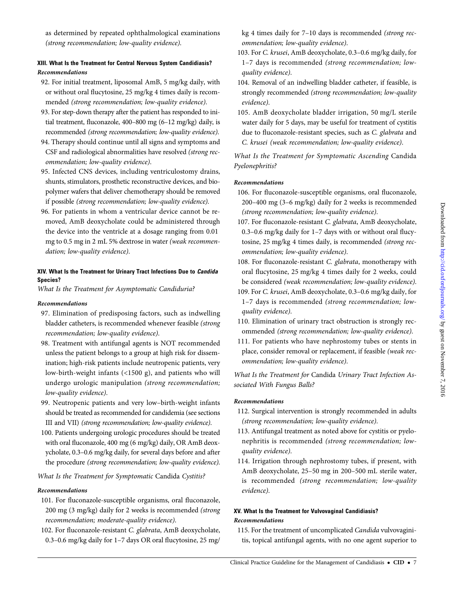as determined by repeated ophthalmological examinations (strong recommendation; low-quality evidence).

### XIII. What Is the Treatment for Central Nervous System Candidiasis? Recommendations

- 92. For initial treatment, liposomal AmB, 5 mg/kg daily, with or without oral flucytosine, 25 mg/kg 4 times daily is recommended (strong recommendation; low-quality evidence).
- 93. For step-down therapy after the patient has responded to initial treatment, fluconazole, 400–800 mg (6–12 mg/kg) daily, is recommended (strong recommendation; low-quality evidence).
- 94. Therapy should continue until all signs and symptoms and CSF and radiological abnormalities have resolved (strong recommendation; low-quality evidence).
- 95. Infected CNS devices, including ventriculostomy drains, shunts, stimulators, prosthetic reconstructive devices, and biopolymer wafers that deliver chemotherapy should be removed if possible (strong recommendation; low-quality evidence).
- 96. For patients in whom a ventricular device cannot be removed, AmB deoxycholate could be administered through the device into the ventricle at a dosage ranging from 0.01 mg to 0.5 mg in 2 mL 5% dextrose in water (weak recommendation; low-quality evidence).

### XIV. What Is the Treatment for Urinary Tract Infections Due to Candida Species?

What Is the Treatment for Asymptomatic Candiduria?

### Recommendations

- 97. Elimination of predisposing factors, such as indwelling bladder catheters, is recommended whenever feasible (strong recommendation; low-quality evidence).
- 98. Treatment with antifungal agents is NOT recommended unless the patient belongs to a group at high risk for dissemination; high-risk patients include neutropenic patients, very low-birth-weight infants (<1500 g), and patients who will undergo urologic manipulation (strong recommendation; low-quality evidence).
- 99. Neutropenic patients and very low–birth-weight infants should be treated as recommended for candidemia (see sections III and VII) (strong recommendation; low-quality evidence).
- 100. Patients undergoing urologic procedures should be treated with oral fluconazole, 400 mg (6 mg/kg) daily, OR AmB deoxycholate, 0.3–0.6 mg/kg daily, for several days before and after the procedure (strong recommendation; low-quality evidence).

### What Is the Treatment for Symptomatic Candida Cystitis?

#### Recommendations

- 101. For fluconazole-susceptible organisms, oral fluconazole, 200 mg (3 mg/kg) daily for 2 weeks is recommended (strong recommendation; moderate-quality evidence).
- 102. For fluconazole-resistant C. glabrata, AmB deoxycholate, 0.3–0.6 mg/kg daily for 1–7 days OR oral flucytosine, 25 mg/

kg 4 times daily for 7–10 days is recommended (strong recommendation; low-quality evidence).

- 103. For C. krusei, AmB deoxycholate, 0.3–0.6 mg/kg daily, for 1–7 days is recommended (strong recommendation; lowquality evidence).
- 104. Removal of an indwelling bladder catheter, if feasible, is strongly recommended (strong recommendation; low-quality evidence).
- 105. AmB deoxycholate bladder irrigation, 50 mg/L sterile water daily for 5 days, may be useful for treatment of cystitis due to fluconazole-resistant species, such as C. glabrata and C. krusei (weak recommendation; low-quality evidence).

What Is the Treatment for Symptomatic Ascending Candida Pyelonephritis?

### Recommendations

- 106. For fluconazole-susceptible organisms, oral fluconazole, 200–400 mg (3–6 mg/kg) daily for 2 weeks is recommended (strong recommendation; low-quality evidence).
- 107. For fluconazole-resistant C. glabrata, AmB deoxycholate, 0.3–0.6 mg/kg daily for 1–7 days with or without oral flucytosine, 25 mg/kg 4 times daily, is recommended (strong recommendation; low-quality evidence).
- 108. For fluconazole-resistant C. glabrata, monotherapy with oral flucytosine, 25 mg/kg 4 times daily for 2 weeks, could be considered (weak recommendation; low-quality evidence).
- 109. For C. krusei, AmB deoxycholate, 0.3–0.6 mg/kg daily, for 1–7 days is recommended (strong recommendation; lowquality evidence).
- 110. Elimination of urinary tract obstruction is strongly recommended (strong recommendation; low-quality evidence).
- 111. For patients who have nephrostomy tubes or stents in place, consider removal or replacement, if feasible (weak recommendation; low-quality evidence).

What Is the Treatment for Candida Urinary Tract Infection Associated With Fungus Balls?

### Recommendations

- 112. Surgical intervention is strongly recommended in adults (strong recommendation; low-quality evidence).
- 113. Antifungal treatment as noted above for cystitis or pyelonephritis is recommended (strong recommendation; lowquality evidence).
- 114. Irrigation through nephrostomy tubes, if present, with AmB deoxycholate, 25–50 mg in 200–500 mL sterile water, is recommended (strong recommendation; low-quality evidence).

### XV. What Is the Treatment for Vulvovaginal Candidiasis? Recommendations

115. For the treatment of uncomplicated Candida vulvovaginitis, topical antifungal agents, with no one agent superior to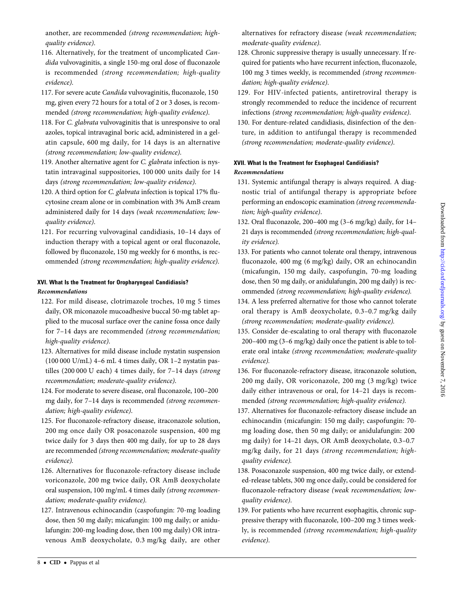another, are recommended (strong recommendation; highquality evidence).

- 116. Alternatively, for the treatment of uncomplicated Candida vulvovaginitis, a single 150-mg oral dose of fluconazole is recommended (strong recommendation; high-quality evidence).
- 117. For severe acute Candida vulvovaginitis, fluconazole, 150 mg, given every 72 hours for a total of 2 or 3 doses, is recommended (strong recommendation; high-quality evidence).
- 118. For C. glabrata vulvovaginitis that is unresponsive to oral azoles, topical intravaginal boric acid, administered in a gelatin capsule, 600 mg daily, for 14 days is an alternative (strong recommendation; low-quality evidence).
- 119. Another alternative agent for C. glabrata infection is nystatin intravaginal suppositories, 100 000 units daily for 14 days (strong recommendation; low-quality evidence).
- 120. A third option for C. glabrata infection is topical 17% flucytosine cream alone or in combination with 3% AmB cream administered daily for 14 days (weak recommendation; lowquality evidence).
- 121. For recurring vulvovaginal candidiasis, 10–14 days of induction therapy with a topical agent or oral fluconazole, followed by fluconazole, 150 mg weekly for 6 months, is recommended (strong recommendation; high-quality evidence).

## XVI. What Is the Treatment for Oropharyngeal Candidiasis?

### Recommendations

- 122. For mild disease, clotrimazole troches, 10 mg 5 times daily, OR miconazole mucoadhesive buccal 50-mg tablet applied to the mucosal surface over the canine fossa once daily for 7–14 days are recommended (strong recommendation; high-quality evidence).
- 123. Alternatives for mild disease include nystatin suspension (100 000 U/mL) 4–6 mL 4 times daily, OR 1–2 nystatin pastilles (200 000 U each) 4 times daily, for 7–14 days (strong recommendation; moderate-quality evidence).
- 124. For moderate to severe disease, oral fluconazole, 100–200 mg daily, for 7–14 days is recommended (strong recommendation; high-quality evidence).
- 125. For fluconazole-refractory disease, itraconazole solution, 200 mg once daily OR posaconazole suspension, 400 mg twice daily for 3 days then 400 mg daily, for up to 28 days are recommended (strong recommendation; moderate-quality evidence).
- 126. Alternatives for fluconazole-refractory disease include voriconazole, 200 mg twice daily, OR AmB deoxycholate oral suspension, 100 mg/mL 4 times daily (strong recommendation; moderate-quality evidence).
- 127. Intravenous echinocandin (caspofungin: 70-mg loading dose, then 50 mg daily; micafungin: 100 mg daily; or anidulafungin: 200-mg loading dose, then 100 mg daily) OR intravenous AmB deoxycholate, 0.3 mg/kg daily, are other

alternatives for refractory disease (weak recommendation; moderate-quality evidence).

- 128. Chronic suppressive therapy is usually unnecessary. If required for patients who have recurrent infection, fluconazole, 100 mg 3 times weekly, is recommended (strong recommendation; high-quality evidence).
- 129. For HIV-infected patients, antiretroviral therapy is strongly recommended to reduce the incidence of recurrent infections (strong recommendation; high-quality evidence).
- 130. For denture-related candidiasis, disinfection of the denture, in addition to antifungal therapy is recommended (strong recommendation; moderate-quality evidence).

### XVII. What Is the Treatment for Esophageal Candidiasis? Recommendations

- 131. Systemic antifungal therapy is always required. A diagnostic trial of antifungal therapy is appropriate before performing an endoscopic examination (strong recommendation; high-quality evidence).
- 132. Oral fluconazole, 200–400 mg (3–6 mg/kg) daily, for 14– 21 days is recommended (strong recommendation; high-quality evidence).
- 133. For patients who cannot tolerate oral therapy, intravenous fluconazole, 400 mg (6 mg/kg) daily, OR an echinocandin (micafungin, 150 mg daily, caspofungin, 70-mg loading dose, then 50 mg daily, or anidulafungin, 200 mg daily) is recommended (strong recommendation; high-quality evidence).
- 134. A less preferred alternative for those who cannot tolerate oral therapy is AmB deoxycholate, 0.3–0.7 mg/kg daily (strong recommendation; moderate-quality evidence).
- 135. Consider de-escalating to oral therapy with fluconazole 200–400 mg (3–6 mg/kg) daily once the patient is able to tolerate oral intake (strong recommendation; moderate-quality evidence).
- 136. For fluconazole-refractory disease, itraconazole solution, 200 mg daily, OR voriconazole, 200 mg (3 mg/kg) twice daily either intravenous or oral, for 14–21 days is recommended (strong recommendation; high-quality evidence).
- 137. Alternatives for fluconazole-refractory disease include an echinocandin (micafungin: 150 mg daily; caspofungin: 70 mg loading dose, then 50 mg daily; or anidulafungin: 200 mg daily) for 14–21 days, OR AmB deoxycholate, 0.3–0.7 mg/kg daily, for 21 days (strong recommendation; highquality evidence).
- 138. Posaconazole suspension, 400 mg twice daily, or extended-release tablets, 300 mg once daily, could be considered for fluconazole-refractory disease (weak recommendation; lowquality evidence).
- 139. For patients who have recurrent esophagitis, chronic suppressive therapy with fluconazole, 100–200 mg 3 times weekly, is recommended (strong recommendation; high-quality evidence).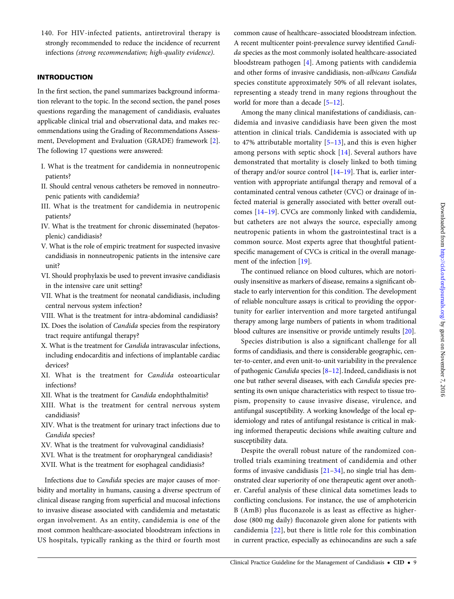140. For HIV-infected patients, antiretroviral therapy is strongly recommended to reduce the incidence of recurrent infections (strong recommendation; high-quality evidence).

### INTRODUCTION

In the first section, the panel summarizes background information relevant to the topic. In the second section, the panel poses questions regarding the management of candidiasis, evaluates applicable clinical trial and observational data, and makes recommendations using the Grading of Recommendations Assessment, Development and Evaluation (GRADE) framework [[2\]](#page-38-0). The following 17 questions were answered:

- I. What is the treatment for candidemia in nonneutropenic patients?
- II. Should central venous catheters be removed in nonneutropenic patients with candidemia?
- III. What is the treatment for candidemia in neutropenic patients?
- IV. What is the treatment for chronic disseminated (hepatosplenic) candidiasis?
- V. What is the role of empiric treatment for suspected invasive candidiasis in nonneutropenic patients in the intensive care unit?
- VI. Should prophylaxis be used to prevent invasive candidiasis in the intensive care unit setting?
- VII. What is the treatment for neonatal candidiasis, including central nervous system infection?
- VIII. What is the treatment for intra-abdominal candidiasis?
- IX. Does the isolation of Candida species from the respiratory tract require antifungal therapy?
- X. What is the treatment for Candida intravascular infections, including endocarditis and infections of implantable cardiac devices?
- XI. What is the treatment for Candida osteoarticular infections?
- XII. What is the treatment for Candida endophthalmitis?
- XIII. What is the treatment for central nervous system candidiasis?
- XIV. What is the treatment for urinary tract infections due to Candida species?
- XV. What is the treatment for vulvovaginal candidiasis?
- XVI. What is the treatment for oropharyngeal candidiasis?
- XVII. What is the treatment for esophageal candidiasis?

Infections due to Candida species are major causes of morbidity and mortality in humans, causing a diverse spectrum of clinical disease ranging from superficial and mucosal infections to invasive disease associated with candidemia and metastatic organ involvement. As an entity, candidemia is one of the most common healthcare-associated bloodstream infections in US hospitals, typically ranking as the third or fourth most common cause of healthcare–associated bloodstream infection. A recent multicenter point-prevalence survey identified Candida species as the most commonly isolated healthcare-associated bloodstream pathogen [[4\]](#page-38-0). Among patients with candidemia and other forms of invasive candidiasis, non-albicans Candida species constitute approximately 50% of all relevant isolates, representing a steady trend in many regions throughout the world for more than a decade [\[5](#page-38-0)–[12\]](#page-38-0).

Among the many clinical manifestations of candidiasis, candidemia and invasive candidiasis have been given the most attention in clinical trials. Candidemia is associated with up to 47% attributable mortality [\[5](#page-38-0)–[13](#page-38-0)], and this is even higher among persons with septic shock [[14](#page-38-0)]. Several authors have demonstrated that mortality is closely linked to both timing of therapy and/or source control [[14](#page-38-0)–[19\]](#page-38-0). That is, earlier intervention with appropriate antifungal therapy and removal of a contaminated central venous catheter (CVC) or drainage of infected material is generally associated with better overall outcomes [\[14](#page-38-0)–[19\]](#page-38-0). CVCs are commonly linked with candidemia, but catheters are not always the source, especially among neutropenic patients in whom the gastrointestinal tract is a common source. Most experts agree that thoughtful patientspecific management of CVCs is critical in the overall management of the infection [\[19](#page-38-0)].

The continued reliance on blood cultures, which are notoriously insensitive as markers of disease, remains a significant obstacle to early intervention for this condition. The development of reliable nonculture assays is critical to providing the opportunity for earlier intervention and more targeted antifungal therapy among large numbers of patients in whom traditional blood cultures are insensitive or provide untimely results [[20\]](#page-38-0).

Species distribution is also a significant challenge for all forms of candidiasis, and there is considerable geographic, center-to-center, and even unit-to-unit variability in the prevalence of pathogenic Candida species [[8](#page-38-0)–[12\]](#page-38-0). Indeed, candidiasis is not one but rather several diseases, with each Candida species presenting its own unique characteristics with respect to tissue tropism, propensity to cause invasive disease, virulence, and antifungal susceptibility. A working knowledge of the local epidemiology and rates of antifungal resistance is critical in making informed therapeutic decisions while awaiting culture and susceptibility data.

Despite the overall robust nature of the randomized controlled trials examining treatment of candidemia and other forms of invasive candidiasis [[21](#page-38-0)–[34\]](#page-39-0), no single trial has demonstrated clear superiority of one therapeutic agent over another. Careful analysis of these clinical data sometimes leads to conflicting conclusions. For instance, the use of amphotericin B (AmB) plus fluconazole is as least as effective as higherdose (800 mg daily) fluconazole given alone for patients with candidemia [[22](#page-38-0)], but there is little role for this combination in current practice, especially as echinocandins are such a safe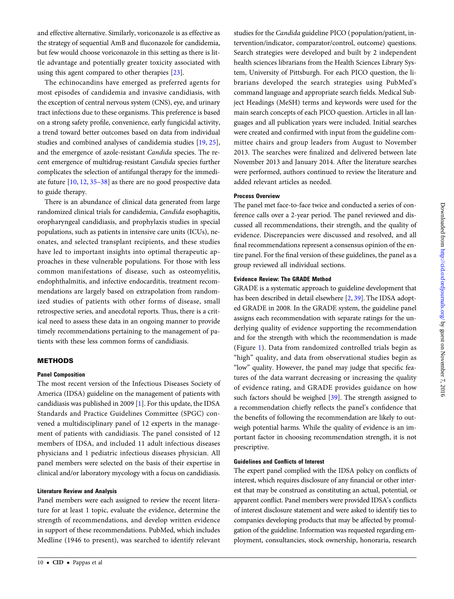and effective alternative. Similarly, voriconazole is as effective as the strategy of sequential AmB and fluconazole for candidemia, but few would choose voriconazole in this setting as there is little advantage and potentially greater toxicity associated with using this agent compared to other therapies [[23\]](#page-38-0).

The echinocandins have emerged as preferred agents for most episodes of candidemia and invasive candidiasis, with the exception of central nervous system (CNS), eye, and urinary tract infections due to these organisms. This preference is based on a strong safety profile, convenience, early fungicidal activity, a trend toward better outcomes based on data from individual studies and combined analyses of candidemia studies [[19](#page-38-0), [25\]](#page-38-0), and the emergence of azole-resistant Candida species. The recent emergence of multidrug-resistant Candida species further complicates the selection of antifungal therapy for the immediate future [\[10](#page-38-0), [12,](#page-38-0) [35](#page-39-0)–[38\]](#page-39-0) as there are no good prospective data to guide therapy.

There is an abundance of clinical data generated from large randomized clinical trials for candidemia, Candida esophagitis, oropharyngeal candidiasis, and prophylaxis studies in special populations, such as patients in intensive care units (ICUs), neonates, and selected transplant recipients, and these studies have led to important insights into optimal therapeutic approaches in these vulnerable populations. For those with less common manifestations of disease, such as osteomyelitis, endophthalmitis, and infective endocarditis, treatment recommendations are largely based on extrapolation from randomized studies of patients with other forms of disease, small retrospective series, and anecdotal reports. Thus, there is a critical need to assess these data in an ongoing manner to provide timely recommendations pertaining to the management of patients with these less common forms of candidiasis.

### **METHODS**

### Panel Composition

The most recent version of the Infectious Diseases Society of America (IDSA) guideline on the management of patients with candidiasis was published in 2009 [[1](#page-38-0)]. For this update, the IDSA Standards and Practice Guidelines Committee (SPGC) convened a multidisciplinary panel of 12 experts in the management of patients with candidiasis. The panel consisted of 12 members of IDSA, and included 11 adult infectious diseases physicians and 1 pediatric infectious diseases physician. All panel members were selected on the basis of their expertise in clinical and/or laboratory mycology with a focus on candidiasis.

### Literature Review and Analysis

Panel members were each assigned to review the recent literature for at least 1 topic, evaluate the evidence, determine the strength of recommendations, and develop written evidence in support of these recommendations. PubMed, which includes Medline (1946 to present), was searched to identify relevant studies for the Candida guideline PICO ( population/patient, intervention/indicator, comparator/control, outcome) questions. Search strategies were developed and built by 2 independent health sciences librarians from the Health Sciences Library System, University of Pittsburgh. For each PICO question, the librarians developed the search strategies using PubMed's command language and appropriate search fields. Medical Subject Headings (MeSH) terms and keywords were used for the main search concepts of each PICO question. Articles in all languages and all publication years were included. Initial searches were created and confirmed with input from the guideline committee chairs and group leaders from August to November 2013. The searches were finalized and delivered between late November 2013 and January 2014. After the literature searches were performed, authors continued to review the literature and added relevant articles as needed.

### Process Overview

The panel met face-to-face twice and conducted a series of conference calls over a 2-year period. The panel reviewed and discussed all recommendations, their strength, and the quality of evidence. Discrepancies were discussed and resolved, and all final recommendations represent a consensus opinion of the entire panel. For the final version of these guidelines, the panel as a group reviewed all individual sections.

### Evidence Review: The GRADE Method

GRADE is a systematic approach to guideline development that has been described in detail elsewhere [[2](#page-38-0), [39](#page-39-0)]. The IDSA adopted GRADE in 2008. In the GRADE system, the guideline panel assigns each recommendation with separate ratings for the underlying quality of evidence supporting the recommendation and for the strength with which the recommendation is made (Figure [1](#page-1-0)). Data from randomized controlled trials begin as "high" quality, and data from observational studies begin as "low" quality. However, the panel may judge that specific features of the data warrant decreasing or increasing the quality of evidence rating, and GRADE provides guidance on how such factors should be weighed [[39\]](#page-39-0). The strength assigned to a recommendation chiefly reflects the panel's confidence that the benefits of following the recommendation are likely to outweigh potential harms. While the quality of evidence is an important factor in choosing recommendation strength, it is not prescriptive.

### Guidelines and Conflicts of Interest

The expert panel complied with the IDSA policy on conflicts of interest, which requires disclosure of any financial or other interest that may be construed as constituting an actual, potential, or apparent conflict. Panel members were provided IDSA's conflicts of interest disclosure statement and were asked to identify ties to companies developing products that may be affected by promulgation of the guideline. Information was requested regarding employment, consultancies, stock ownership, honoraria, research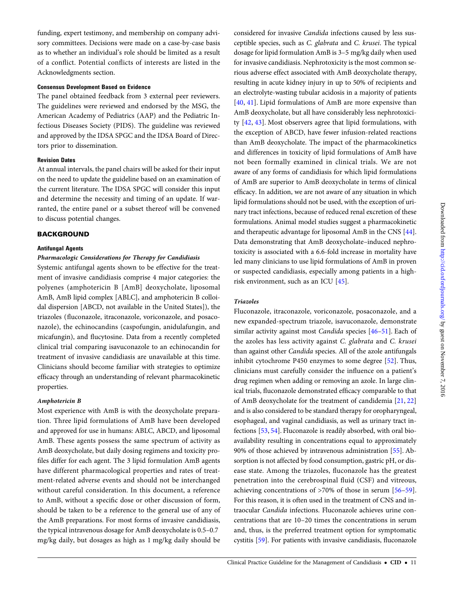funding, expert testimony, and membership on company advisory committees. Decisions were made on a case-by-case basis as to whether an individual's role should be limited as a result of a conflict. Potential conflicts of interests are listed in the Acknowledgments section.

### Consensus Development Based on Evidence

The panel obtained feedback from 3 external peer reviewers. The guidelines were reviewed and endorsed by the MSG, the American Academy of Pediatrics (AAP) and the Pediatric Infectious Diseases Society (PIDS). The guideline was reviewed and approved by the IDSA SPGC and the IDSA Board of Directors prior to dissemination.

### Revision Dates

At annual intervals, the panel chairs will be asked for their input on the need to update the guideline based on an examination of the current literature. The IDSA SPGC will consider this input and determine the necessity and timing of an update. If warranted, the entire panel or a subset thereof will be convened to discuss potential changes.

### **BACKGROUND**

### Antifungal Agents

### Pharmacologic Considerations for Therapy for Candidiasis

Systemic antifungal agents shown to be effective for the treatment of invasive candidiasis comprise 4 major categories: the polyenes (amphotericin B [AmB] deoxycholate, liposomal AmB, AmB lipid complex [ABLC], and amphotericin B colloidal dispersion [ABCD, not available in the United States]), the triazoles (fluconazole, itraconazole, voriconazole, and posaconazole), the echinocandins (caspofungin, anidulafungin, and micafungin), and flucytosine. Data from a recently completed clinical trial comparing isavuconazole to an echinocandin for treatment of invasive candidiasis are unavailable at this time. Clinicians should become familiar with strategies to optimize efficacy through an understanding of relevant pharmacokinetic properties.

### Amphotericin B

Most experience with AmB is with the deoxycholate preparation. Three lipid formulations of AmB have been developed and approved for use in humans: ABLC, ABCD, and liposomal AmB. These agents possess the same spectrum of activity as AmB deoxycholate, but daily dosing regimens and toxicity profiles differ for each agent. The 3 lipid formulation AmB agents have different pharmacological properties and rates of treatment-related adverse events and should not be interchanged without careful consideration. In this document, a reference to AmB, without a specific dose or other discussion of form, should be taken to be a reference to the general use of any of the AmB preparations. For most forms of invasive candidiasis, the typical intravenous dosage for AmB deoxycholate is 0.5–0.7 mg/kg daily, but dosages as high as 1 mg/kg daily should be

ceptible species, such as C. glabrata and C. krusei. The typical dosage for lipid formulation AmB is 3–5 mg/kg daily when used for invasive candidiasis. Nephrotoxicity is the most common serious adverse effect associated with AmB deoxycholate therapy, resulting in acute kidney injury in up to 50% of recipients and an electrolyte-wasting tubular acidosis in a majority of patients [\[40,](#page-39-0) [41](#page-39-0)]. Lipid formulations of AmB are more expensive than AmB deoxycholate, but all have considerably less nephrotoxicity [[42,](#page-39-0) [43\]](#page-39-0). Most observers agree that lipid formulations, with the exception of ABCD, have fewer infusion-related reactions than AmB deoxycholate. The impact of the pharmacokinetics and differences in toxicity of lipid formulations of AmB have not been formally examined in clinical trials. We are not aware of any forms of candidiasis for which lipid formulations of AmB are superior to AmB deoxycholate in terms of clinical efficacy. In addition, we are not aware of any situation in which lipid formulations should not be used, with the exception of urinary tract infections, because of reduced renal excretion of these formulations. Animal model studies suggest a pharmacokinetic and therapeutic advantage for liposomal AmB in the CNS [\[44\]](#page-39-0). Data demonstrating that AmB deoxycholate–induced nephrotoxicity is associated with a 6.6-fold increase in mortality have led many clinicians to use lipid formulations of AmB in proven or suspected candidiasis, especially among patients in a highrisk environment, such as an ICU [[45\]](#page-39-0).

considered for invasive Candida infections caused by less sus-

### Triazoles

Fluconazole, itraconazole, voriconazole, posaconazole, and a new expanded-spectrum triazole, isavuconazole, demonstrate similar activity against most Candida species [\[46](#page-39-0)–[51](#page-39-0)]. Each of the azoles has less activity against C. glabrata and C. krusei than against other Candida species. All of the azole antifungals inhibit cytochrome P450 enzymes to some degree [\[52\]](#page-39-0). Thus, clinicians must carefully consider the influence on a patient's drug regimen when adding or removing an azole. In large clinical trials, fluconazole demonstrated efficacy comparable to that of AmB deoxycholate for the treatment of candidemia [\[21](#page-38-0), [22\]](#page-38-0) and is also considered to be standard therapy for oropharyngeal, esophageal, and vaginal candidiasis, as well as urinary tract infections [\[53](#page-39-0), [54](#page-39-0)]. Fluconazole is readily absorbed, with oral bioavailability resulting in concentrations equal to approximately 90% of those achieved by intravenous administration [[55\]](#page-39-0). Absorption is not affected by food consumption, gastric pH, or disease state. Among the triazoles, fluconazole has the greatest penetration into the cerebrospinal fluid (CSF) and vitreous, achieving concentrations of >70% of those in serum [\[56](#page-39-0)–[59](#page-39-0)]. For this reason, it is often used in the treatment of CNS and intraocular Candida infections. Fluconazole achieves urine concentrations that are 10–20 times the concentrations in serum and, thus, is the preferred treatment option for symptomatic cystitis [\[59\]](#page-39-0). For patients with invasive candidiasis, fluconazole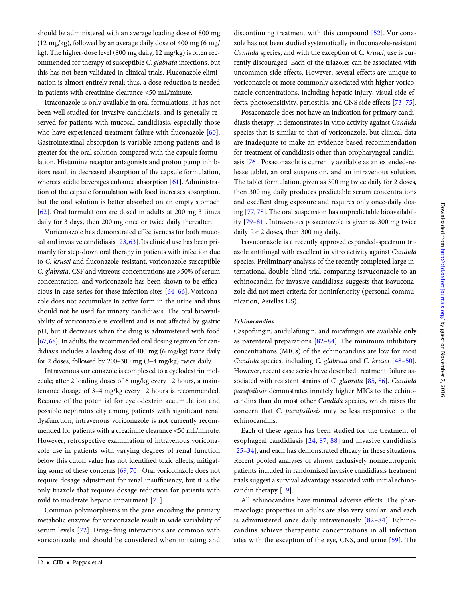should be administered with an average loading dose of 800 mg (12 mg/kg), followed by an average daily dose of 400 mg (6 mg/ kg). The higher-dose level (800 mg daily, 12 mg/kg) is often recommended for therapy of susceptible C. glabrata infections, but this has not been validated in clinical trials. Fluconazole elimination is almost entirely renal; thus, a dose reduction is needed in patients with creatinine clearance <50 mL/minute.

Itraconazole is only available in oral formulations. It has not been well studied for invasive candidiasis, and is generally reserved for patients with mucosal candidiasis, especially those who have experienced treatment failure with fluconazole [\[60\]](#page-39-0). Gastrointestinal absorption is variable among patients and is greater for the oral solution compared with the capsule formulation. Histamine receptor antagonists and proton pump inhibitors result in decreased absorption of the capsule formulation, whereas acidic beverages enhance absorption [\[61](#page-39-0)]. Administration of the capsule formulation with food increases absorption, but the oral solution is better absorbed on an empty stomach [\[62](#page-39-0)]. Oral formulations are dosed in adults at 200 mg 3 times daily for 3 days, then 200 mg once or twice daily thereafter.

Voriconazole has demonstrated effectiveness for both mucosal and invasive candidiasis [\[23](#page-38-0), [63\]](#page-39-0). Its clinical use has been primarily for step-down oral therapy in patients with infection due to C. krusei and fluconazole-resistant, voriconazole-susceptible C. glabrata. CSF and vitreous concentrations are >50% of serum concentration, and voriconazole has been shown to be efficacious in case series for these infection sites [[64](#page-39-0)–[66\]](#page-39-0). Voriconazole does not accumulate in active form in the urine and thus should not be used for urinary candidiasis. The oral bioavailability of voriconazole is excellent and is not affected by gastric pH, but it decreases when the drug is administered with food [\[67,](#page-39-0) [68](#page-39-0)]. In adults, the recommended oral dosing regimen for candidiasis includes a loading dose of 400 mg (6 mg/kg) twice daily for 2 doses, followed by 200–300 mg (3–4 mg/kg) twice daily.

Intravenous voriconazole is complexed to a cyclodextrin molecule; after 2 loading doses of 6 mg/kg every 12 hours, a maintenance dosage of 3–4 mg/kg every 12 hours is recommended. Because of the potential for cyclodextrin accumulation and possible nephrotoxicity among patients with significant renal dysfunction, intravenous voriconazole is not currently recommended for patients with a creatinine clearance <50 mL/minute. However, retrospective examination of intravenous voriconazole use in patients with varying degrees of renal function below this cutoff value has not identified toxic effects, mitigating some of these concerns [[69](#page-39-0), [70\]](#page-39-0). Oral voriconazole does not require dosage adjustment for renal insufficiency, but it is the only triazole that requires dosage reduction for patients with mild to moderate hepatic impairment [[71\]](#page-39-0).

Common polymorphisms in the gene encoding the primary metabolic enzyme for voriconazole result in wide variability of serum levels [[72](#page-39-0)]. Drug–drug interactions are common with voriconazole and should be considered when initiating and

12 • CID • Pappas et al

discontinuing treatment with this compound [[52\]](#page-39-0). Voriconazole has not been studied systematically in fluconazole-resistant Candida species, and with the exception of C. krusei, use is currently discouraged. Each of the triazoles can be associated with uncommon side effects. However, several effects are unique to voriconazole or more commonly associated with higher voriconazole concentrations, including hepatic injury, visual side effects, photosensitivity, periostitis, and CNS side effects [\[73](#page-39-0)–[75\]](#page-39-0).

Posaconazole does not have an indication for primary candidiasis therapy. It demonstrates in vitro activity against Candida species that is similar to that of voriconazole, but clinical data are inadequate to make an evidence-based recommendation for treatment of candidiasis other than oropharyngeal candidiasis [\[76](#page-39-0)]. Posaconazole is currently available as an extended-release tablet, an oral suspension, and an intravenous solution. The tablet formulation, given as 300 mg twice daily for 2 doses, then 300 mg daily produces predictable serum concentrations and excellent drug exposure and requires only once-daily dosing [\[77](#page-40-0), [78](#page-40-0)]. The oral suspension has unpredictable bioavailability [[79](#page-40-0)–[81\]](#page-40-0). Intravenous posaconazole is given as 300 mg twice daily for 2 doses, then 300 mg daily.

Isavuconazole is a recently approved expanded-spectrum triazole antifungal with excellent in vitro activity against Candida species. Preliminary analysis of the recently completed large international double-blind trial comparing isavuconazole to an echinocandin for invasive candidiasis suggests that isavuconazole did not meet criteria for noninferiority ( personal communication, Astellas US).

#### Echinocandins

Caspofungin, anidulafungin, and micafungin are available only as parenteral preparations [\[82](#page-40-0)–[84\]](#page-40-0). The minimum inhibitory concentrations (MICs) of the echinocandins are low for most Candida species, including C. glabrata and C. krusei [\[48](#page-39-0)–[50\]](#page-39-0). However, recent case series have described treatment failure as-sociated with resistant strains of C. glabrata [\[85](#page-40-0), [86\]](#page-40-0). Candida parapsilosis demonstrates innately higher MICs to the echinocandins than do most other Candida species, which raises the concern that C. parapsilosis may be less responsive to the echinocandins.

Each of these agents has been studied for the treatment of esophageal candidiasis [\[24,](#page-38-0) [87](#page-40-0), [88\]](#page-40-0) and invasive candidiasis [\[25](#page-38-0)–[34](#page-39-0)], and each has demonstrated efficacy in these situations. Recent pooled analyses of almost exclusively nonneutropenic patients included in randomized invasive candidiasis treatment trials suggest a survival advantage associated with initial echinocandin therapy [\[19\]](#page-38-0).

All echinocandins have minimal adverse effects. The pharmacologic properties in adults are also very similar, and each is administered once daily intravenously [[82](#page-40-0)–[84](#page-40-0)]. Echinocandins achieve therapeutic concentrations in all infection sites with the exception of the eye, CNS, and urine [[59](#page-39-0)]. The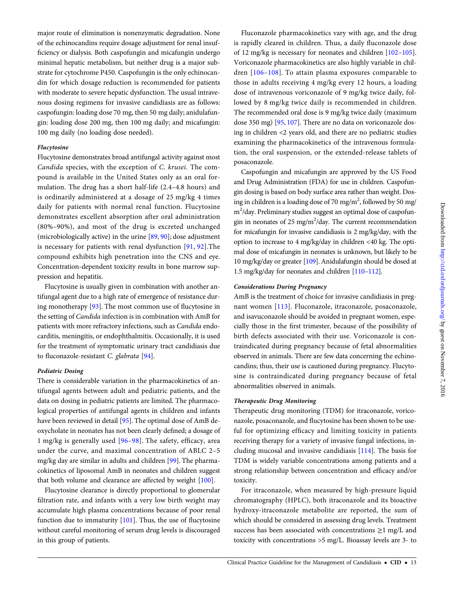major route of elimination is nonenzymatic degradation. None of the echinocandins require dosage adjustment for renal insufficiency or dialysis. Both caspofungin and micafungin undergo minimal hepatic metabolism, but neither drug is a major substrate for cytochrome P450. Caspofungin is the only echinocandin for which dosage reduction is recommended for patients with moderate to severe hepatic dysfunction. The usual intravenous dosing regimens for invasive candidiasis are as follows: caspofungin: loading dose 70 mg, then 50 mg daily; anidulafungin: loading dose 200 mg, then 100 mg daily; and micafungin: 100 mg daily (no loading dose needed). Flucytosine demonstrates broad antifungal activity against most

Candida species, with the exception of C. krusei. The compound is available in the United States only as an oral formulation. The drug has a short half-life (2.4–4.8 hours) and is ordinarily administered at a dosage of 25 mg/kg 4 times daily for patients with normal renal function. Flucytosine demonstrates excellent absorption after oral administration (80%–90%), and most of the drug is excreted unchanged (microbiologically active) in the urine [\[89](#page-40-0), [90](#page-40-0)]; dose adjustment is necessary for patients with renal dysfunction [[91](#page-40-0), [92](#page-40-0)].The compound exhibits high penetration into the CNS and eye. Concentration-dependent toxicity results in bone marrow suppression and hepatitis.

Flucytosine is usually given in combination with another antifungal agent due to a high rate of emergence of resistance during monotherapy [\[93](#page-40-0)]. The most common use of flucytosine in the setting of Candida infection is in combination with AmB for patients with more refractory infections, such as Candida endocarditis, meningitis, or endophthalmitis. Occasionally, it is used for the treatment of symptomatic urinary tract candidiasis due to fluconazole-resistant C. glabrata [\[94](#page-40-0)].

### Pediatric Dosing

Flucytosine

There is considerable variation in the pharmacokinetics of antifungal agents between adult and pediatric patients, and the data on dosing in pediatric patients are limited. The pharmacological properties of antifungal agents in children and infants have been reviewed in detail [[95\]](#page-40-0). The optimal dose of AmB deoxycholate in neonates has not been clearly defined; a dosage of 1 mg/kg is generally used [[96](#page-40-0)–[98](#page-40-0)]. The safety, efficacy, area under the curve, and maximal concentration of ABLC 2–5 mg/kg day are similar in adults and children [[99\]](#page-40-0). The pharmacokinetics of liposomal AmB in neonates and children suggest that both volume and clearance are affected by weight [\[100](#page-40-0)].

Flucytosine clearance is directly proportional to glomerular filtration rate, and infants with a very low birth weight may accumulate high plasma concentrations because of poor renal function due to immaturity  $[101]$ . Thus, the use of flucytosine without careful monitoring of serum drug levels is discouraged in this group of patients.

Fluconazole pharmacokinetics vary with age, and the drug is rapidly cleared in children. Thus, a daily fluconazole dose of 12 mg/kg is necessary for neonates and children [\[102](#page-40-0)–[105\]](#page-40-0). Voriconazole pharmacokinetics are also highly variable in children [[106](#page-40-0)–[108\]](#page-40-0). To attain plasma exposures comparable to those in adults receiving 4 mg/kg every 12 hours, a loading dose of intravenous voriconazole of 9 mg/kg twice daily, followed by 8 mg/kg twice daily is recommended in children. The recommended oral dose is 9 mg/kg twice daily (maximum dose 350 mg) [[95,](#page-40-0) [107](#page-40-0)]. There are no data on voriconazole dosing in children <2 years old, and there are no pediatric studies examining the pharmacokinetics of the intravenous formulation, the oral suspension, or the extended-release tablets of posaconazole.

Caspofungin and micafungin are approved by the US Food and Drug Administration (FDA) for use in children. Caspofungin dosing is based on body surface area rather than weight. Dosing in children is a loading dose of 70 mg/m<sup>2</sup>, followed by 50 mg/ m<sup>2</sup>/day. Preliminary studies suggest an optimal dose of caspofungin in neonates of 25 mg/m<sup>2</sup>/day. The current recommendation for micafungin for invasive candidiasis is 2 mg/kg/day, with the option to increase to 4 mg/kg/day in children <40 kg. The optimal dose of micafungin in neonates is unknown, but likely to be 10 mg/kg/day or greater [[109](#page-40-0)]. Anidulafungin should be dosed at 1.5 mg/kg/day for neonates and children [[110](#page-40-0)–[112](#page-40-0)].

### Considerations During Pregnancy

AmB is the treatment of choice for invasive candidiasis in pregnant women [\[113\]](#page-40-0). Fluconazole, itraconazole, posaconazole, and isavuconazole should be avoided in pregnant women, especially those in the first trimester, because of the possibility of birth defects associated with their use. Voriconazole is contraindicated during pregnancy because of fetal abnormalities observed in animals. There are few data concerning the echinocandins; thus, their use is cautioned during pregnancy. Flucytosine is contraindicated during pregnancy because of fetal abnormalities observed in animals.

### Therapeutic Drug Monitoring

Therapeutic drug monitoring (TDM) for itraconazole, voriconazole, posaconazole, and flucytosine has been shown to be useful for optimizing efficacy and limiting toxicity in patients receiving therapy for a variety of invasive fungal infections, including mucosal and invasive candidiasis [[114\]](#page-40-0). The basis for TDM is widely variable concentrations among patients and a strong relationship between concentration and efficacy and/or toxicity.

For itraconazole, when measured by high-pressure liquid chromatography (HPLC), both itraconazole and its bioactive hydroxy-itraconazole metabolite are reported, the sum of which should be considered in assessing drug levels. Treatment success has been associated with concentrations ≥1 mg/L and toxicity with concentrations >5 mg/L. Bioassay levels are 3- to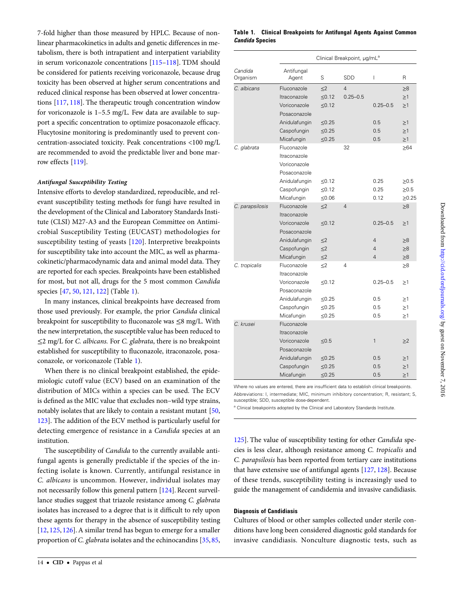7-fold higher than those measured by HPLC. Because of nonlinear pharmacokinetics in adults and genetic differences in metabolism, there is both intrapatient and interpatient variability in serum voriconazole concentrations [[115](#page-40-0)–[118\]](#page-40-0). TDM should be considered for patients receiving voriconazole, because drug toxicity has been observed at higher serum concentrations and reduced clinical response has been observed at lower concentrations [[117](#page-40-0), [118\]](#page-40-0). The therapeutic trough concentration window for voriconazole is 1–5.5 mg/L. Few data are available to support a specific concentration to optimize posaconazole efficacy. Flucytosine monitoring is predominantly used to prevent concentration-associated toxicity. Peak concentrations <100 mg/L are recommended to avoid the predictable liver and bone marrow effects [[119](#page-40-0)].

### Antifungal Susceptibility Testing

Intensive efforts to develop standardized, reproducible, and relevant susceptibility testing methods for fungi have resulted in the development of the Clinical and Laboratory Standards Institute (CLSI) M27-A3 and the European Committee on Antimicrobial Susceptibility Testing (EUCAST) methodologies for susceptibility testing of yeasts [[120\]](#page-40-0). Interpretive breakpoints for susceptibility take into account the MIC, as well as pharmacokinetic/pharmacodynamic data and animal model data. They are reported for each species. Breakpoints have been established for most, but not all, drugs for the 5 most common Candida species [\[47](#page-39-0), [50,](#page-39-0) [121,](#page-40-0) [122](#page-40-0)] (Table 1).

In many instances, clinical breakpoints have decreased from those used previously. For example, the prior Candida clinical breakpoint for susceptibility to fluconazole was  $\leq 8$  mg/L. With the new interpretation, the susceptible value has been reduced to ≤2 mg/L for C. albicans. For C. glabrata, there is no breakpoint established for susceptibility to fluconazole, itraconazole, posaconazole, or voriconazole (Table 1).

When there is no clinical breakpoint established, the epidemiologic cutoff value (ECV) based on an examination of the distribution of MICs within a species can be used. The ECV is defined as the MIC value that excludes non–wild type strains, notably isolates that are likely to contain a resistant mutant [[50,](#page-39-0) [123\]](#page-40-0). The addition of the ECV method is particularly useful for detecting emergence of resistance in a Candida species at an institution.

The susceptibility of Candida to the currently available antifungal agents is generally predictable if the species of the infecting isolate is known. Currently, antifungal resistance in C. albicans is uncommon. However, individual isolates may not necessarily follow this general pattern [\[124\]](#page-40-0). Recent surveillance studies suggest that triazole resistance among C. glabrata isolates has increased to a degree that is it difficult to rely upon these agents for therapy in the absence of susceptibility testing [\[12](#page-38-0), [125](#page-40-0), [126\]](#page-40-0). A similar trend has begun to emerge for a smaller proportion of C. glabrata isolates and the echinocandins [\[35](#page-39-0), [85,](#page-40-0)

### Table 1. Clinical Breakpoints for Antifungal Agents Against Common Candida Species

|                     |                                                             | Clinical Breakpoint, µg/mL <sup>a</sup> |                                |                          |                         |  |
|---------------------|-------------------------------------------------------------|-----------------------------------------|--------------------------------|--------------------------|-------------------------|--|
| Candida<br>Organism | Antifungal<br>Agent                                         | S                                       | <b>SDD</b>                     | $\overline{1}$           | R                       |  |
| C. albicans         | Fluconazole<br>Itraconazole                                 | $<$ 2<br>$\leq 0.12$                    | $\overline{4}$<br>$0.25 - 0.5$ |                          | $_{\geq 8}$<br>$\geq$ 1 |  |
|                     | Voriconazole<br>Posaconazole                                | $\leq 0.12$                             |                                | $0.25 - 0.5$             | $\geq$ 1                |  |
|                     | Anidulafungin                                               | ≤0.25                                   |                                | 0.5                      | $\geq$ 1                |  |
|                     | Caspofungin                                                 | $\leq 0.25$                             |                                | 0.5                      | $\geq$ 1                |  |
|                     | Micafungin                                                  | $≤0.25$                                 |                                | 0.5                      | $\geq$ 1                |  |
| C. glabrata         | Fluconazole<br>Itraconazole<br>Voriconazole<br>Posaconazole |                                         | 32                             |                          | $\geq 64$               |  |
|                     | Anidulafungin                                               | $\leq 0.12$                             |                                | 0.25                     | $\geq 0.5$              |  |
|                     | Caspofungin                                                 | $\leq 0.12$                             |                                | 0.25                     | $\geq 0.5$              |  |
|                     | Micafungin                                                  | ≤ $0.06$                                |                                | 0.12                     | $\geq 0.25$             |  |
| C. parapsilosis     | Fluconazole<br>Itraconazole                                 | $\leq$ 2                                | $\overline{4}$                 |                          | $\geq 8$                |  |
|                     | Voriconazole<br>Posaconazole                                | $\leq 0.12$                             |                                | $0.25 - 0.5$             | $\geq$ 1                |  |
|                     | Anidulafungin                                               | $\leq$ 2                                |                                | 4                        | ≥8                      |  |
|                     | Caspofungin                                                 | $\leq$ 2                                |                                | 4                        | $\geq 8$                |  |
|                     | Micafungin                                                  | $\leq$ 2                                |                                | $\overline{\mathcal{L}}$ | ≥8                      |  |
| C. tropicalis       | Fluconazole<br>Itraconazole                                 | $\leq$ 2                                | 4                              |                          | ≥8                      |  |
|                     | Voriconazole<br>Posaconazole                                | ≤0.12                                   |                                | $0.25 - 0.5$             | $\geq$ 1                |  |
|                     | Anidulafungin                                               | $\leq 0.25$                             |                                | 0.5                      | $\geq$ 1                |  |
|                     | Caspofungin                                                 | $≤0.25$                                 |                                | 0.5                      | $\geq$ 1                |  |
|                     | Micafungin                                                  | ≤0.25                                   |                                | 0.5                      | $\geq$ 1                |  |
| C. krusei           | Fluconazole<br>Itraconazole                                 |                                         |                                |                          |                         |  |
|                     | Voriconazole<br>Posaconazole                                | $≤0.5$                                  |                                | 1                        | $\geq$                  |  |
|                     | Anidulafungin                                               | $\leq 0.25$                             |                                | 0.5                      | $\geq$ 1                |  |
|                     | Caspofungin                                                 | ≤0.25                                   |                                | 0.5                      | $\geq$ 1                |  |
|                     | Micafungin                                                  | ≤0.25                                   |                                | 0.5                      | $\geq$ 1                |  |

Where no values are entered, there are insufficient data to establish clinical breakpoints. Abbreviations: I, intermediate; MIC, minimum inhibitory concentration; R, resistant; S, susceptible; SDD, susceptible dose-dependent.

<sup>a</sup> Clinical breakpoints adopted by the Clinical and Laboratory Standards Institute.

[125\]](#page-40-0). The value of susceptibility testing for other Candida species is less clear, although resistance among C. tropicalis and C. parapsilosis has been reported from tertiary care institutions that have extensive use of antifungal agents [[127](#page-41-0), [128](#page-41-0)]. Because of these trends, susceptibility testing is increasingly used to guide the management of candidemia and invasive candidiasis.

### Diagnosis of Candidiasis

Cultures of blood or other samples collected under sterile conditions have long been considered diagnostic gold standards for invasive candidiasis. Nonculture diagnostic tests, such as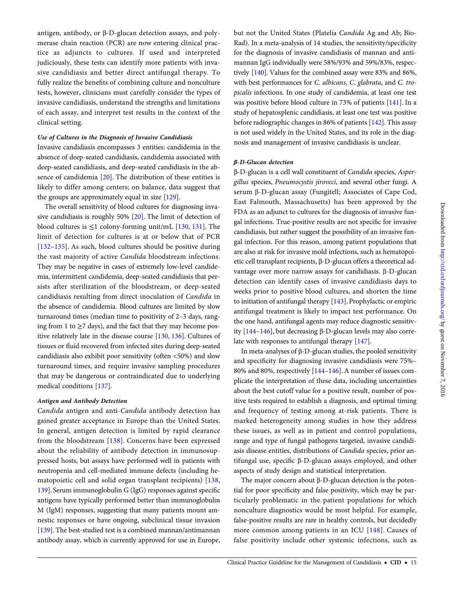antigen, antibody, or β-D-glucan detection assays, and polymerase chain reaction (PCR) are now entering clinical practice as adjuncts to cultures. If used and interpreted judiciously, these tests can identify more patients with invasive candidiasis and better direct antifungal therapy. To fully realize the benefits of combining culture and nonculture tests, however, clinicians must carefully consider the types of invasive candidiasis, understand the strengths and limitations of each assay, and interpret test results in the context of the clinical setting.

### Use of Cultures in the Diagnosis of Invasive Candidiasis

Invasive candidiasis encompasses 3 entities: candidemia in the absence of deep-seated candidiasis, candidemia associated with deep-seated candidiasis, and deep-seated candidiasis in the absence of candidemia [\[20\]](#page-38-0). The distribution of these entities is likely to differ among centers; on balance, data suggest that the groups are approximately equal in size [\[129\]](#page-41-0).

The overall sensitivity of blood cultures for diagnosing invasive candidiasis is roughly 50% [\[20\]](#page-38-0). The limit of detection of blood cultures is  $\leq 1$  colony-forming unit/mL [[130,](#page-41-0) [131](#page-41-0)]. The limit of detection for cultures is at or below that of PCR [\[132](#page-41-0)–[135](#page-41-0)]. As such, blood cultures should be positive during the vast majority of active Candida bloodstream infections. They may be negative in cases of extremely low-level candidemia, intermittent candidemia, deep-seated candidiasis that persists after sterilization of the bloodstream, or deep-seated candidiasis resulting from direct inoculation of Candida in the absence of candidemia. Blood cultures are limited by slow turnaround times (median time to positivity of 2–3 days, ranging from 1 to  $\geq$ 7 days), and the fact that they may become positive relatively late in the disease course [\[130,](#page-41-0) [136\]](#page-41-0). Cultures of tissues or fluid recovered from infected sites during deep-seated candidiasis also exhibit poor sensitivity (often <50%) and slow turnaround times, and require invasive sampling procedures that may be dangerous or contraindicated due to underlying medical conditions [[137](#page-41-0)].

### Antigen and Antibody Detection

Candida antigen and anti-Candida antibody detection has gained greater acceptance in Europe than the United States. In general, antigen detection is limited by rapid clearance from the bloodstream [\[138\]](#page-41-0). Concerns have been expressed about the reliability of antibody detection in immunosuppressed hosts, but assays have performed well in patients with neutropenia and cell-mediated immune defects (including hematopoietic cell and solid organ transplant recipients) [[138,](#page-41-0) [139\]](#page-41-0). Serum immunoglobulin G (IgG) responses against specific antigens have typically performed better than immunoglobulin M (IgM) responses, suggesting that many patients mount amnestic responses or have ongoing, subclinical tissue invasion [\[139\]](#page-41-0). The best-studied test is a combined mannan/antimannan antibody assay, which is currently approved for use in Europe,

but not the United States (Platelia Candida Ag and Ab; Bio-Rad). In a meta-analysis of 14 studies, the sensitivity/specificity for the diagnosis of invasive candidiasis of mannan and antimannan IgG individually were 58%/93% and 59%/83%, respectively [[140\]](#page-41-0). Values for the combined assay were 83% and 86%, with best performances for C. albicans, C. glabrata, and C. tropicalis infections. In one study of candidemia, at least one test was positive before blood culture in 73% of patients [[141](#page-41-0)]. In a study of hepatosplenic candidiasis, at least one test was positive before radiographic changes in 86% of patients [[142](#page-41-0)]. This assay is not used widely in the United States, and its role in the diagnosis and management of invasive candidiasis is unclear.

### β-D-Glucan detection

β-D-glucan is a cell wall constituent of Candida species, Aspergillus species, Pneumocystis jiroveci, and several other fungi. A serum β-D-glucan assay (Fungitell; Associates of Cape Cod, East Falmouth, Massachusetts) has been approved by the FDA as an adjunct to cultures for the diagnosis of invasive fungal infections. True-positive results are not specific for invasive candidiasis, but rather suggest the possibility of an invasive fungal infection. For this reason, among patient populations that are also at risk for invasive mold infections, such as hematopoietic cell transplant recipients, β-D-glucan offers a theoretical advantage over more narrow assays for candidiasis. β-D-glucan detection can identify cases of invasive candidiasis days to weeks prior to positive blood cultures, and shorten the time to initiation of antifungal therapy [\[143\]](#page-41-0). Prophylactic or empiric antifungal treatment is likely to impact test performance. On the one hand, antifungal agents may reduce diagnostic sensitivity [\[144](#page-41-0)–[146\]](#page-41-0), but decreasing β-D-glucan levels may also correlate with responses to antifungal therapy [\[147\]](#page-41-0).

In meta-analyses of β-D-glucan studies, the pooled sensitivity and specificity for diagnosing invasive candidiasis were 75%– 80% and 80%, respectively [\[144](#page-41-0)–[146](#page-41-0)]. A number of issues complicate the interpretation of these data, including uncertainties about the best cutoff value for a positive result, number of positive tests required to establish a diagnosis, and optimal timing and frequency of testing among at-risk patients. There is marked heterogeneity among studies in how they address these issues, as well as in patient and control populations, range and type of fungal pathogens targeted, invasive candidiasis disease entities, distributions of Candida species, prior antifungal use, specific β-D-glucan assays employed, and other aspects of study design and statistical interpretation.

The major concern about β-D-glucan detection is the potential for poor specificity and false positivity, which may be particularly problematic in the patient populations for which nonculture diagnostics would be most helpful. For example, false-positive results are rare in healthy controls, but decidedly more common among patients in an ICU [[148\]](#page-41-0). Causes of false positivity include other systemic infections, such as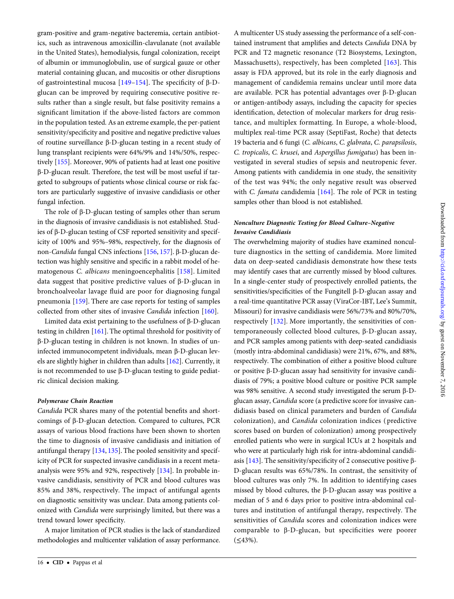gram-positive and gram-negative bacteremia, certain antibiotics, such as intravenous amoxicillin-clavulanate (not available in the United States), hemodialysis, fungal colonization, receipt of albumin or immunoglobulin, use of surgical gauze or other material containing glucan, and mucositis or other disruptions of gastrointestinal mucosa [[149](#page-41-0)–[154\]](#page-41-0). The specificity of β-Dglucan can be improved by requiring consecutive positive results rather than a single result, but false positivity remains a significant limitation if the above-listed factors are common in the population tested. As an extreme example, the per-patient sensitivity/specificity and positive and negative predictive values of routine surveillance β-D-glucan testing in a recent study of lung transplant recipients were 64%/9% and 14%/50%, respectively [[155](#page-41-0)]. Moreover, 90% of patients had at least one positive β-D-glucan result. Therefore, the test will be most useful if targeted to subgroups of patients whose clinical course or risk factors are particularly suggestive of invasive candidiasis or other fungal infection.

The role of β-D-glucan testing of samples other than serum in the diagnosis of invasive candidiasis is not established. Studies of β-D-glucan testing of CSF reported sensitivity and specificity of 100% and 95%–98%, respectively, for the diagnosis of non-Candida fungal CNS infections [[156](#page-41-0), [157\]](#page-41-0). β-D-glucan detection was highly sensitive and specific in a rabbit model of hematogenous C. albicans meningoencephalitis [[158](#page-41-0)]. Limited data suggest that positive predictive values of β-D-glucan in bronchoalveolar lavage fluid are poor for diagnosing fungal pneumonia [\[159\]](#page-41-0). There are case reports for testing of samples collected from other sites of invasive Candida infection [[160\]](#page-41-0).

Limited data exist pertaining to the usefulness of β-D-glucan testing in children [[161](#page-41-0)]. The optimal threshold for positivity of β-D-glucan testing in children is not known. In studies of uninfected immunocompetent individuals, mean β-D-glucan levels are slightly higher in children than adults [[162](#page-41-0)]. Currently, it is not recommended to use β-D-glucan testing to guide pediatric clinical decision making.

#### Polymerase Chain Reaction

Candida PCR shares many of the potential benefits and shortcomings of β-D-glucan detection. Compared to cultures, PCR assays of various blood fractions have been shown to shorten the time to diagnosis of invasive candidiasis and initiation of antifungal therapy [[134](#page-41-0), [135\]](#page-41-0). The pooled sensitivity and specificity of PCR for suspected invasive candidiasis in a recent metaanalysis were 95% and 92%, respectively [[134](#page-41-0)]. In probable invasive candidiasis, sensitivity of PCR and blood cultures was 85% and 38%, respectively. The impact of antifungal agents on diagnostic sensitivity was unclear. Data among patients colonized with Candida were surprisingly limited, but there was a trend toward lower specificity.

A major limitation of PCR studies is the lack of standardized methodologies and multicenter validation of assay performance.

A multicenter US study assessing the performance of a self-contained instrument that amplifies and detects Candida DNA by PCR and T2 magnetic resonance (T2 Biosystems, Lexington, Massachusetts), respectively, has been completed [[163\]](#page-41-0). This assay is FDA approved, but its role in the early diagnosis and management of candidemia remains unclear until more data are available. PCR has potential advantages over β-D-glucan or antigen-antibody assays, including the capacity for species identification, detection of molecular markers for drug resistance, and multiplex formatting. In Europe, a whole-blood, multiplex real-time PCR assay (SeptiFast, Roche) that detects 19 bacteria and 6 fungi (C. albicans, C. glabrata, C. parapsilosis, C. tropicalis, C. krusei, and Aspergillus fumigatus) has been investigated in several studies of sepsis and neutropenic fever. Among patients with candidemia in one study, the sensitivity of the test was 94%; the only negative result was observed with C. famata candidemia [[164\]](#page-41-0). The role of PCR in testing samples other than blood is not established.

### Nonculture Diagnostic Testing for Blood Culture–Negative Invasive Candidiasis

The overwhelming majority of studies have examined nonculture diagnostics in the setting of candidemia. More limited data on deep-seated candidiasis demonstrate how these tests may identify cases that are currently missed by blood cultures. In a single-center study of prospectively enrolled patients, the sensitivities/specificities of the Fungitell β-D-glucan assay and a real-time quantitative PCR assay (ViraCor-IBT, Lee's Summit, Missouri) for invasive candidiasis were 56%/73% and 80%/70%, respectively [\[132\]](#page-41-0). More importantly, the sensitivities of contemporaneously collected blood cultures, β-D-glucan assay, and PCR samples among patients with deep-seated candidiasis (mostly intra-abdominal candidiasis) were 21%, 67%, and 88%, respectively. The combination of either a positive blood culture or positive β-D-glucan assay had sensitivity for invasive candidiasis of 79%; a positive blood culture or positive PCR sample was 98% sensitive. A second study investigated the serum β-Dglucan assay, Candida score (a predictive score for invasive candidiasis based on clinical parameters and burden of Candida colonization), and Candida colonization indices ( predictive scores based on burden of colonization) among prospectively enrolled patients who were in surgical ICUs at 2 hospitals and who were at particularly high risk for intra-abdominal candidiasis [[143\]](#page-41-0). The sensitivity/specificity of 2 consecutive positive β-D-glucan results was 65%/78%. In contrast, the sensitivity of blood cultures was only 7%. In addition to identifying cases missed by blood cultures, the β-D-glucan assay was positive a median of 5 and 6 days prior to positive intra-abdominal cultures and institution of antifungal therapy, respectively. The sensitivities of Candida scores and colonization indices were comparable to β-D-glucan, but specificities were poorer  $( \leq 43\%).$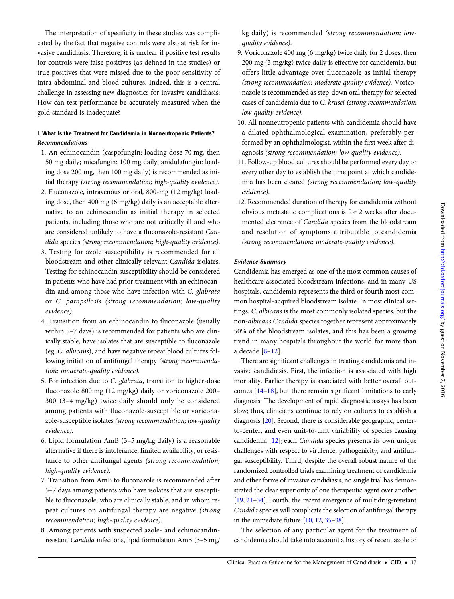The interpretation of specificity in these studies was complicated by the fact that negative controls were also at risk for invasive candidiasis. Therefore, it is unclear if positive test results for controls were false positives (as defined in the studies) or true positives that were missed due to the poor sensitivity of intra-abdominal and blood cultures. Indeed, this is a central challenge in assessing new diagnostics for invasive candidiasis: How can test performance be accurately measured when the gold standard is inadequate?

### I. What Is the Treatment for Candidemia in Nonneutropenic Patients? Recommendations

- 1. An echinocandin (caspofungin: loading dose 70 mg, then 50 mg daily; micafungin: 100 mg daily; anidulafungin: loading dose 200 mg, then 100 mg daily) is recommended as initial therapy (strong recommendation; high-quality evidence).
- 2. Fluconazole, intravenous or oral, 800-mg (12 mg/kg) loading dose, then 400 mg (6 mg/kg) daily is an acceptable alternative to an echinocandin as initial therapy in selected patients, including those who are not critically ill and who are considered unlikely to have a fluconazole-resistant Candida species (strong recommendation; high-quality evidence).
- 3. Testing for azole susceptibility is recommended for all bloodstream and other clinically relevant Candida isolates. Testing for echinocandin susceptibility should be considered in patients who have had prior treatment with an echinocandin and among those who have infection with C. glabrata or C. parapsilosis (strong recommendation; low-quality evidence).
- 4. Transition from an echinocandin to fluconazole (usually within 5–7 days) is recommended for patients who are clinically stable, have isolates that are susceptible to fluconazole (eg, C. albicans), and have negative repeat blood cultures following initiation of antifungal therapy (strong recommendation; moderate-quality evidence).
- 5. For infection due to C. glabrata, transition to higher-dose fluconazole 800 mg (12 mg/kg) daily or voriconazole 200– 300 (3–4 mg/kg) twice daily should only be considered among patients with fluconazole-susceptible or voriconazole-susceptible isolates (strong recommendation; low-quality evidence).
- 6. Lipid formulation AmB (3–5 mg/kg daily) is a reasonable alternative if there is intolerance, limited availability, or resistance to other antifungal agents (strong recommendation; high-quality evidence).
- 7. Transition from AmB to fluconazole is recommended after 5–7 days among patients who have isolates that are susceptible to fluconazole, who are clinically stable, and in whom repeat cultures on antifungal therapy are negative (strong recommendation; high-quality evidence).
- 8. Among patients with suspected azole- and echinocandinresistant Candida infections, lipid formulation AmB (3–5 mg/

kg daily) is recommended (strong recommendation; lowquality evidence).

- 9. Voriconazole 400 mg (6 mg/kg) twice daily for 2 doses, then 200 mg (3 mg/kg) twice daily is effective for candidemia, but offers little advantage over fluconazole as initial therapy (strong recommendation; moderate-quality evidence). Voriconazole is recommended as step-down oral therapy for selected cases of candidemia due to C. krusei (strong recommendation; low-quality evidence).
- 10. All nonneutropenic patients with candidemia should have a dilated ophthalmological examination, preferably performed by an ophthalmologist, within the first week after diagnosis (strong recommendation; low-quality evidence).
- 11. Follow-up blood cultures should be performed every day or every other day to establish the time point at which candidemia has been cleared (strong recommendation; low-quality evidence).
- 12. Recommended duration of therapy for candidemia without obvious metastatic complications is for 2 weeks after documented clearance of Candida species from the bloodstream and resolution of symptoms attributable to candidemia (strong recommendation; moderate-quality evidence).

### Evidence Summary

Candidemia has emerged as one of the most common causes of healthcare-associated bloodstream infections, and in many US hospitals, candidemia represents the third or fourth most common hospital-acquired bloodstream isolate. In most clinical settings, C. albicans is the most commonly isolated species, but the non-albicans Candida species together represent approximately 50% of the bloodstream isolates, and this has been a growing trend in many hospitals throughout the world for more than a decade  $[8-12]$  $[8-12]$  $[8-12]$ .

There are significant challenges in treating candidemia and invasive candidiasis. First, the infection is associated with high mortality. Earlier therapy is associated with better overall outcomes [[14](#page-38-0)–[18](#page-38-0)], but there remain significant limitations to early diagnosis. The development of rapid diagnostic assays has been slow; thus, clinicians continue to rely on cultures to establish a diagnosis [\[20](#page-38-0)]. Second, there is considerable geographic, centerto-center, and even unit-to-unit variability of species causing candidemia [\[12](#page-38-0)]; each Candida species presents its own unique challenges with respect to virulence, pathogenicity, and antifungal susceptibility. Third, despite the overall robust nature of the randomized controlled trials examining treatment of candidemia and other forms of invasive candidiasis, no single trial has demonstrated the clear superiority of one therapeutic agent over another [\[19,](#page-38-0) [21](#page-38-0)–[34\]](#page-39-0). Fourth, the recent emergence of multidrug-resistant Candida species will complicate the selection of antifungal therapy in the immediate future [\[10](#page-38-0), [12,](#page-38-0) [35](#page-39-0)–[38\]](#page-39-0).

The selection of any particular agent for the treatment of candidemia should take into account a history of recent azole or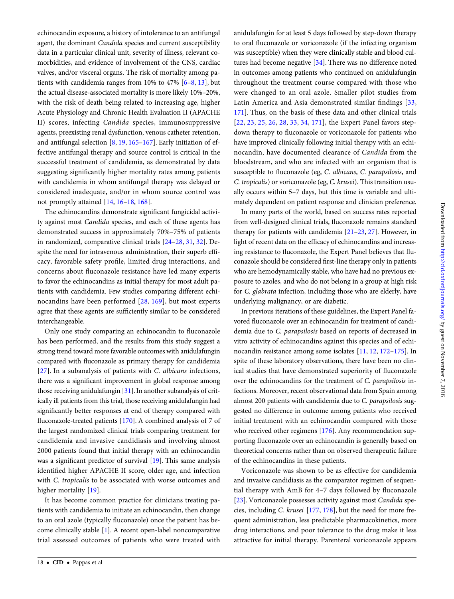echinocandin exposure, a history of intolerance to an antifungal agent, the dominant Candida species and current susceptibility data in a particular clinical unit, severity of illness, relevant comorbidities, and evidence of involvement of the CNS, cardiac valves, and/or visceral organs. The risk of mortality among patients with candidemia ranges from 10% to 47% [\[6](#page-38-0)–[8](#page-38-0), [13\]](#page-38-0), but the actual disease-associated mortality is more likely 10%–20%, with the risk of death being related to increasing age, higher Acute Physiology and Chronic Health Evaluation II (APACHE II) scores, infecting Candida species, immunosuppressive agents, preexisting renal dysfunction, venous catheter retention, and antifungal selection [\[8,](#page-38-0) [19,](#page-38-0) [165](#page-41-0)–[167](#page-41-0)]. Early initiation of effective antifungal therapy and source control is critical in the successful treatment of candidemia, as demonstrated by data suggesting significantly higher mortality rates among patients with candidemia in whom antifungal therapy was delayed or considered inadequate, and/or in whom source control was not promptly attained [\[14](#page-38-0), [16](#page-38-0)–[18](#page-38-0), [168](#page-41-0)].

The echinocandins demonstrate significant fungicidal activity against most Candida species, and each of these agents has demonstrated success in approximately 70%–75% of patients in randomized, comparative clinical trials [[24](#page-38-0)–[28,](#page-39-0) [31](#page-39-0), [32\]](#page-39-0). Despite the need for intravenous administration, their superb efficacy, favorable safety profile, limited drug interactions, and concerns about fluconazole resistance have led many experts to favor the echinocandins as initial therapy for most adult patients with candidemia. Few studies comparing different echinocandins have been performed [[28](#page-39-0), [169](#page-41-0)], but most experts agree that these agents are sufficiently similar to be considered interchangeable.

Only one study comparing an echinocandin to fluconazole has been performed, and the results from this study suggest a strong trend toward more favorable outcomes with anidulafungin compared with fluconazole as primary therapy for candidemia [\[27\]](#page-38-0). In a subanalysis of patients with *C. albicans* infections, there was a significant improvement in global response among those receiving anidulafungin [[31\]](#page-39-0). In another subanalysis of critically ill patients from this trial, those receiving anidulafungin had significantly better responses at end of therapy compared with fluconazole-treated patients [[170](#page-41-0)]. A combined analysis of 7 of the largest randomized clinical trials comparing treatment for candidemia and invasive candidiasis and involving almost 2000 patients found that initial therapy with an echinocandin was a significant predictor of survival [\[19\]](#page-38-0). This same analysis identified higher APACHE II score, older age, and infection with C. tropicalis to be associated with worse outcomes and higher mortality [\[19](#page-38-0)].

It has become common practice for clinicians treating patients with candidemia to initiate an echinocandin, then change to an oral azole (typically fluconazole) once the patient has become clinically stable [\[1\]](#page-38-0). A recent open-label noncomparative trial assessed outcomes of patients who were treated with

anidulafungin for at least 5 days followed by step-down therapy to oral fluconazole or voriconazole (if the infecting organism was susceptible) when they were clinically stable and blood cultures had become negative [[34](#page-39-0)]. There was no difference noted in outcomes among patients who continued on anidulafungin throughout the treatment course compared with those who were changed to an oral azole. Smaller pilot studies from Latin America and Asia demonstrated similar findings [\[33,](#page-39-0) [171\]](#page-41-0). Thus, on the basis of these data and other clinical trials [\[22,](#page-38-0) [23,](#page-38-0) [25,](#page-38-0) [26,](#page-38-0) [28,](#page-39-0) [33,](#page-39-0) [34,](#page-39-0) [171\]](#page-41-0), the Expert Panel favors stepdown therapy to fluconazole or voriconazole for patients who have improved clinically following initial therapy with an echinocandin, have documented clearance of Candida from the bloodstream, and who are infected with an organism that is susceptible to fluconazole (eg, C. albicans, C. parapsilosis, and C. tropicalis) or voriconazole (eg, C. krusei). This transition usually occurs within 5–7 days, but this time is variable and ultimately dependent on patient response and clinician preference.

In many parts of the world, based on success rates reported from well-designed clinical trials, fluconazole remains standard therapy for patients with candidemia [[21](#page-38-0)–[23](#page-38-0), [27](#page-38-0)]. However, in light of recent data on the efficacy of echinocandins and increasing resistance to fluconazole, the Expert Panel believes that fluconazole should be considered first-line therapy only in patients who are hemodynamically stable, who have had no previous exposure to azoles, and who do not belong in a group at high risk for C. glabrata infection, including those who are elderly, have underlying malignancy, or are diabetic.

In previous iterations of these guidelines, the Expert Panel favored fluconazole over an echinocandin for treatment of candidemia due to C. parapsilosis based on reports of decreased in vitro activity of echinocandins against this species and of echinocandin resistance among some isolates [[11](#page-38-0), [12](#page-38-0), [172](#page-41-0)–[175\]](#page-41-0). In spite of these laboratory observations, there have been no clinical studies that have demonstrated superiority of fluconazole over the echinocandins for the treatment of C. parapsilosis infections. Moreover, recent observational data from Spain among almost 200 patients with candidemia due to C. parapsilosis suggested no difference in outcome among patients who received initial treatment with an echinocandin compared with those who received other regimens [[176](#page-42-0)]. Any recommendation supporting fluconazole over an echinocandin is generally based on theoretical concerns rather than on observed therapeutic failure of the echinocandins in these patients.

Voriconazole was shown to be as effective for candidemia and invasive candidiasis as the comparator regimen of sequential therapy with AmB for 4–7 days followed by fluconazole [\[23](#page-38-0)]. Voriconazole possesses activity against most Candida species, including C. krusei [\[177,](#page-42-0) [178\]](#page-42-0), but the need for more frequent administration, less predictable pharmacokinetics, more drug interactions, and poor tolerance to the drug make it less attractive for initial therapy. Parenteral voriconazole appears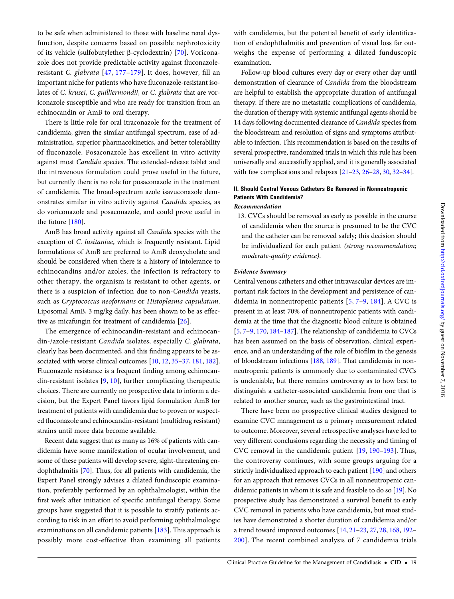to be safe when administered to those with baseline renal dysfunction, despite concerns based on possible nephrotoxicity of its vehicle (sulfobutylether β-cyclodextrin) [[70\]](#page-39-0). Voriconazole does not provide predictable activity against fluconazoleresistant C. glabrata [[47](#page-39-0), [177](#page-42-0)–[179\]](#page-42-0). It does, however, fill an important niche for patients who have fluconazole-resistant isolates of C. krusei, C. guilliermondii, or C. glabrata that are voriconazole susceptible and who are ready for transition from an echinocandin or AmB to oral therapy.

There is little role for oral itraconazole for the treatment of candidemia, given the similar antifungal spectrum, ease of administration, superior pharmacokinetics, and better tolerability of fluconazole. Posaconazole has excellent in vitro activity against most Candida species. The extended-release tablet and the intravenous formulation could prove useful in the future, but currently there is no role for posaconazole in the treatment of candidemia. The broad-spectrum azole isavuconazole demonstrates similar in vitro activity against Candida species, as do voriconazole and posaconazole, and could prove useful in the future [[180](#page-42-0)].

AmB has broad activity against all Candida species with the exception of C. lusitaniae, which is frequently resistant. Lipid formulations of AmB are preferred to AmB deoxycholate and should be considered when there is a history of intolerance to echinocandins and/or azoles, the infection is refractory to other therapy, the organism is resistant to other agents, or there is a suspicion of infection due to non-Candida yeasts, such as Cryptococcus neoformans or Histoplasma capsulatum. Liposomal AmB, 3 mg/kg daily, has been shown to be as effective as micafungin for treatment of candidemia [[26\]](#page-38-0).

The emergence of echinocandin-resistant and echinocandin-/azole-resistant Candida isolates, especially C. glabrata, clearly has been documented, and this finding appears to be associated with worse clinical outcomes [\[10](#page-38-0), [12](#page-38-0), [35](#page-39-0)–[37](#page-39-0), [181,](#page-42-0) [182\]](#page-42-0). Fluconazole resistance is a frequent finding among echinocandin-resistant isolates [[9](#page-38-0), [10](#page-38-0)], further complicating therapeutic choices. There are currently no prospective data to inform a decision, but the Expert Panel favors lipid formulation AmB for treatment of patients with candidemia due to proven or suspected fluconazole and echinocandin-resistant (multidrug resistant) strains until more data become available.

Recent data suggest that as many as 16% of patients with candidemia have some manifestation of ocular involvement, and some of these patients will develop severe, sight-threatening endophthalmitis [\[70](#page-39-0)]. Thus, for all patients with candidemia, the Expert Panel strongly advises a dilated funduscopic examination, preferably performed by an ophthalmologist, within the first week after initiation of specific antifungal therapy. Some groups have suggested that it is possible to stratify patients according to risk in an effort to avoid performing ophthalmologic examinations on all candidemic patients [\[183\]](#page-42-0). This approach is possibly more cost-effective than examining all patients

with candidemia, but the potential benefit of early identification of endophthalmitis and prevention of visual loss far outweighs the expense of performing a dilated funduscopic examination.

Follow-up blood cultures every day or every other day until demonstration of clearance of Candida from the bloodstream are helpful to establish the appropriate duration of antifungal therapy. If there are no metastatic complications of candidemia, the duration of therapy with systemic antifungal agents should be 14 days following documented clearance of Candida species from the bloodstream and resolution of signs and symptoms attributable to infection. This recommendation is based on the results of several prospective, randomized trials in which this rule has been universally and successfully applied, and it is generally associated with few complications and relapses [\[21](#page-38-0)–[23,](#page-38-0) [26](#page-38-0)–[28](#page-39-0), [30](#page-39-0), [32](#page-39-0)–[34](#page-39-0)].

### II. Should Central Venous Catheters Be Removed in Nonneutropenic Patients With Candidemia?

### Recommendation

13. CVCs should be removed as early as possible in the course of candidemia when the source is presumed to be the CVC and the catheter can be removed safely; this decision should be individualized for each patient (strong recommendation; moderate-quality evidence).

### Evidence Summary

Central venous catheters and other intravascular devices are important risk factors in the development and persistence of candidemia in nonneutropenic patients [[5,](#page-38-0) [7](#page-38-0)–[9,](#page-38-0) [184\]](#page-42-0). A CVC is present in at least 70% of nonneutropenic patients with candidemia at the time that the diagnostic blood culture is obtained [\[5,](#page-38-0) [7](#page-38-0)–[9](#page-38-0), [170,](#page-41-0) [184](#page-42-0)–[187\]](#page-42-0). The relationship of candidemia to CVCs has been assumed on the basis of observation, clinical experience, and an understanding of the role of biofilm in the genesis of bloodstream infections [\[188,](#page-42-0) [189\]](#page-42-0). That candidemia in nonneutropenic patients is commonly due to contaminated CVCs is undeniable, but there remains controversy as to how best to distinguish a catheter-associated candidemia from one that is related to another source, such as the gastrointestinal tract.

There have been no prospective clinical studies designed to examine CVC management as a primary measurement related to outcome. Moreover, several retrospective analyses have led to very different conclusions regarding the necessity and timing of CVC removal in the candidemic patient [\[19](#page-38-0), [190](#page-42-0)–[193\]](#page-42-0). Thus, the controversy continues, with some groups arguing for a strictly individualized approach to each patient [[190\]](#page-42-0) and others for an approach that removes CVCs in all nonneutropenic candidemic patients in whom it is safe and feasible to do so [\[19\]](#page-38-0). No prospective study has demonstrated a survival benefit to early CVC removal in patients who have candidemia, but most studies have demonstrated a shorter duration of candidemia and/or a trend toward improved outcomes [[14](#page-38-0), [21](#page-38-0)–[23,](#page-38-0) [27,](#page-38-0) [28](#page-39-0), [168,](#page-41-0) [192](#page-42-0)– [200](#page-42-0)]. The recent combined analysis of 7 candidemia trials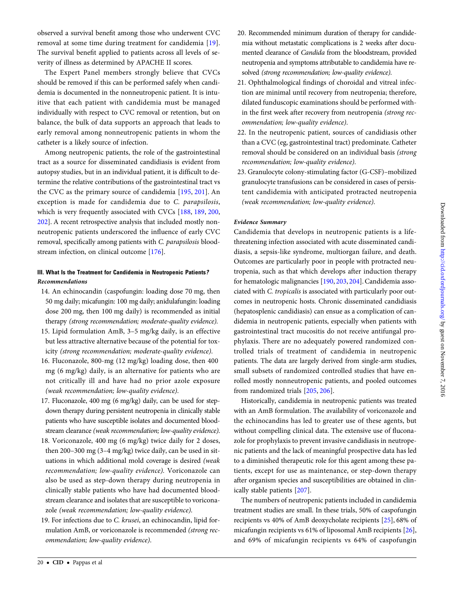observed a survival benefit among those who underwent CVC removal at some time during treatment for candidemia [\[19](#page-38-0)]. The survival benefit applied to patients across all levels of severity of illness as determined by APACHE II scores.

The Expert Panel members strongly believe that CVCs should be removed if this can be performed safely when candidemia is documented in the nonneutropenic patient. It is intuitive that each patient with candidemia must be managed individually with respect to CVC removal or retention, but on balance, the bulk of data supports an approach that leads to early removal among nonneutropenic patients in whom the catheter is a likely source of infection.

Among neutropenic patients, the role of the gastrointestinal tract as a source for disseminated candidiasis is evident from autopsy studies, but in an individual patient, it is difficult to determine the relative contributions of the gastrointestinal tract vs the CVC as the primary source of candidemia [\[195,](#page-42-0) [201](#page-42-0)]. An exception is made for candidemia due to C. parapsilosis, which is very frequently associated with CVCs [[188](#page-42-0), [189,](#page-42-0) [200,](#page-42-0) [202\]](#page-42-0). A recent retrospective analysis that included mostly nonneutropenic patients underscored the influence of early CVC removal, specifically among patients with C. parapsilosis bloodstream infection, on clinical outcome [\[176\]](#page-42-0).

### III. What Is the Treatment for Candidemia in Neutropenic Patients? Recommendations

- 14. An echinocandin (caspofungin: loading dose 70 mg, then 50 mg daily; micafungin: 100 mg daily; anidulafungin: loading dose 200 mg, then 100 mg daily) is recommended as initial therapy (strong recommendation; moderate-quality evidence).
- 15. Lipid formulation AmB, 3–5 mg/kg daily, is an effective but less attractive alternative because of the potential for toxicity (strong recommendation; moderate-quality evidence).
- 16. Fluconazole, 800-mg (12 mg/kg) loading dose, then 400 mg (6 mg/kg) daily, is an alternative for patients who are not critically ill and have had no prior azole exposure (weak recommendation; low-quality evidence).
- 17. Fluconazole, 400 mg (6 mg/kg) daily, can be used for stepdown therapy during persistent neutropenia in clinically stable patients who have susceptible isolates and documented bloodstream clearance (weak recommendation; low-quality evidence).
- 18. Voriconazole, 400 mg (6 mg/kg) twice daily for 2 doses, then 200–300 mg (3–4 mg/kg) twice daily, can be used in situations in which additional mold coverage is desired (weak recommendation; low-quality evidence). Voriconazole can also be used as step-down therapy during neutropenia in clinically stable patients who have had documented bloodstream clearance and isolates that are susceptible to voriconazole (weak recommendation; low-quality evidence).
- 19. For infections due to C. krusei, an echinocandin, lipid formulation AmB, or voriconazole is recommended (strong recommendation; low-quality evidence).
- 20. Recommended minimum duration of therapy for candidemia without metastatic complications is 2 weeks after documented clearance of Candida from the bloodstream, provided neutropenia and symptoms attributable to candidemia have resolved (strong recommendation; low-quality evidence).
- 21. Ophthalmological findings of choroidal and vitreal infection are minimal until recovery from neutropenia; therefore, dilated funduscopic examinations should be performed within the first week after recovery from neutropenia (strong recommendation; low-quality evidence).
- 22. In the neutropenic patient, sources of candidiasis other than a CVC (eg, gastrointestinal tract) predominate. Catheter removal should be considered on an individual basis (strong recommendation; low-quality evidence).
- 23. Granulocyte colony-stimulating factor (G-CSF)–mobilized granulocyte transfusions can be considered in cases of persistent candidemia with anticipated protracted neutropenia (weak recommendation; low-quality evidence).

### Evidence Summary

Candidemia that develops in neutropenic patients is a lifethreatening infection associated with acute disseminated candidiasis, a sepsis-like syndrome, multiorgan failure, and death. Outcomes are particularly poor in people with protracted neutropenia, such as that which develops after induction therapy for hematologic malignancies [\[190](#page-42-0), [203](#page-42-0), [204](#page-42-0)]. Candidemia associated with C. tropicalis is associated with particularly poor outcomes in neutropenic hosts. Chronic disseminated candidiasis (hepatosplenic candidiasis) can ensue as a complication of candidemia in neutropenic patients, especially when patients with gastrointestinal tract mucositis do not receive antifungal prophylaxis. There are no adequately powered randomized controlled trials of treatment of candidemia in neutropenic patients. The data are largely derived from single-arm studies, small subsets of randomized controlled studies that have enrolled mostly nonneutropenic patients, and pooled outcomes from randomized trials [[205](#page-42-0), [206](#page-42-0)].

Historically, candidemia in neutropenic patients was treated with an AmB formulation. The availability of voriconazole and the echinocandins has led to greater use of these agents, but without compelling clinical data. The extensive use of fluconazole for prophylaxis to prevent invasive candidiasis in neutropenic patients and the lack of meaningful prospective data has led to a diminished therapeutic role for this agent among these patients, except for use as maintenance, or step-down therapy after organism species and susceptibilities are obtained in clinically stable patients [\[207](#page-42-0)].

The numbers of neutropenic patients included in candidemia treatment studies are small. In these trials, 50% of caspofungin recipients vs 40% of AmB deoxycholate recipients [\[25](#page-38-0)], 68% of micafungin recipients vs 61% of liposomal AmB recipients [\[26\]](#page-38-0), and 69% of micafungin recipients vs 64% of caspofungin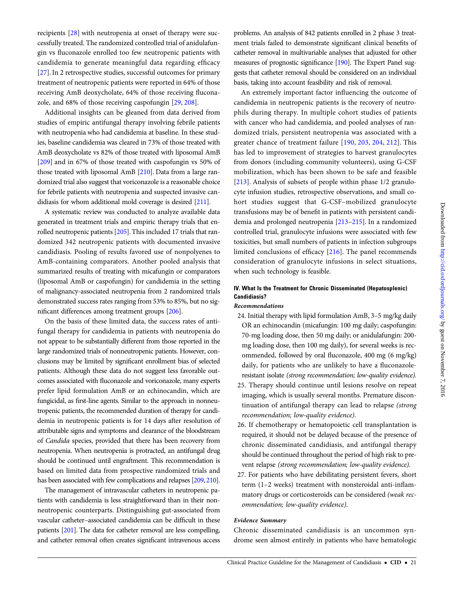recipients [\[28](#page-39-0)] with neutropenia at onset of therapy were successfully treated. The randomized controlled trial of anidulafungin vs fluconazole enrolled too few neutropenic patients with candidemia to generate meaningful data regarding efficacy [\[27](#page-38-0)]. In 2 retrospective studies, successful outcomes for primary treatment of neutropenic patients were reported in 64% of those receiving AmB deoxycholate, 64% of those receiving fluconazole, and 68% of those receiving caspofungin [[29,](#page-39-0) [208\]](#page-42-0).

Additional insights can be gleaned from data derived from studies of empiric antifungal therapy involving febrile patients with neutropenia who had candidemia at baseline. In these studies, baseline candidemia was cleared in 73% of those treated with AmB deoxycholate vs 82% of those treated with liposomal AmB [\[209\]](#page-42-0) and in 67% of those treated with caspofungin vs 50% of those treated with liposomal AmB [\[210](#page-42-0)]. Data from a large randomized trial also suggest that voriconazole is a reasonable choice for febrile patients with neutropenia and suspected invasive candidiasis for whom additional mold coverage is desired [\[211](#page-42-0)].

A systematic review was conducted to analyze available data generated in treatment trials and empiric therapy trials that enrolled neutropenic patients [[205\]](#page-42-0).This included 17 trials that randomized 342 neutropenic patients with documented invasive candidiasis. Pooling of results favored use of nonpolyenes to AmB-containing comparators. Another pooled analysis that summarized results of treating with micafungin or comparators (liposomal AmB or caspofungin) for candidemia in the setting of malignancy-associated neutropenia from 2 randomized trials demonstrated success rates ranging from 53% to 85%, but no significant differences among treatment groups [[206\]](#page-42-0).

On the basis of these limited data, the success rates of antifungal therapy for candidemia in patients with neutropenia do not appear to be substantially different from those reported in the large randomized trials of nonneutropenic patients. However, conclusions may be limited by significant enrollment bias of selected patients. Although these data do not suggest less favorable outcomes associated with fluconazole and voriconazole, many experts prefer lipid formulation AmB or an echinocandin, which are fungicidal, as first-line agents. Similar to the approach in nonneutropenic patients, the recommended duration of therapy for candidemia in neutropenic patients is for 14 days after resolution of attributable signs and symptoms and clearance of the bloodstream of Candida species, provided that there has been recovery from neutropenia. When neutropenia is protracted, an antifungal drug should be continued until engraftment. This recommendation is based on limited data from prospective randomized trials and has been associated with few complications and relapses [[209,](#page-42-0) [210\]](#page-42-0).

The management of intravascular catheters in neutropenic patients with candidemia is less straightforward than in their nonneutropenic counterparts. Distinguishing gut-associated from vascular catheter–associated candidemia can be difficult in these patients [\[201](#page-42-0)]. The data for catheter removal are less compelling, and catheter removal often creates significant intravenous access

problems. An analysis of 842 patients enrolled in 2 phase 3 treatment trials failed to demonstrate significant clinical benefits of catheter removal in multivariable analyses that adjusted for other measures of prognostic significance [\[190\]](#page-42-0). The Expert Panel suggests that catheter removal should be considered on an individual basis, taking into account feasibility and risk of removal.

An extremely important factor influencing the outcome of candidemia in neutropenic patients is the recovery of neutrophils during therapy. In multiple cohort studies of patients with cancer who had candidemia, and pooled analyses of randomized trials, persistent neutropenia was associated with a greater chance of treatment failure [\[190,](#page-42-0) [203](#page-42-0), [204,](#page-42-0) [212\]](#page-42-0). This has led to improvement of strategies to harvest granulocytes from donors (including community volunteers), using G-CSF mobilization, which has been shown to be safe and feasible [\[213\]](#page-42-0). Analysis of subsets of people within phase 1/2 granulocyte infusion studies, retrospective observations, and small cohort studies suggest that G-CSF–mobilized granulocyte transfusions may be of benefit in patients with persistent candidemia and prolonged neutropenia [\[213](#page-42-0)–[215](#page-42-0)]. In a randomized controlled trial, granulocyte infusions were associated with few toxicities, but small numbers of patients in infection subgroups limited conclusions of efficacy [[216](#page-42-0)]. The panel recommends consideration of granulocyte infusions in select situations, when such technology is feasible.

### IV. What Is the Treatment for Chronic Disseminated (Hepatosplenic) Candidiasis?

### Recommendations

- 24. Initial therapy with lipid formulation AmB, 3–5 mg/kg daily OR an echinocandin (micafungin: 100 mg daily; caspofungin: 70-mg loading dose, then 50 mg daily; or anidulafungin: 200 mg loading dose, then 100 mg daily), for several weeks is recommended, followed by oral fluconazole, 400 mg (6 mg/kg) daily, for patients who are unlikely to have a fluconazoleresistant isolate (strong recommendation; low-quality evidence).
- 25. Therapy should continue until lesions resolve on repeat imaging, which is usually several months. Premature discontinuation of antifungal therapy can lead to relapse (strong recommendation; low-quality evidence).
- 26. If chemotherapy or hematopoietic cell transplantation is required, it should not be delayed because of the presence of chronic disseminated candidiasis, and antifungal therapy should be continued throughout the period of high risk to prevent relapse (strong recommendation; low-quality evidence).
- 27. For patients who have debilitating persistent fevers, short term (1–2 weeks) treatment with nonsteroidal anti-inflammatory drugs or corticosteroids can be considered (weak recommendation; low-quality evidence).

#### Evidence Summary

Chronic disseminated candidiasis is an uncommon syndrome seen almost entirely in patients who have hematologic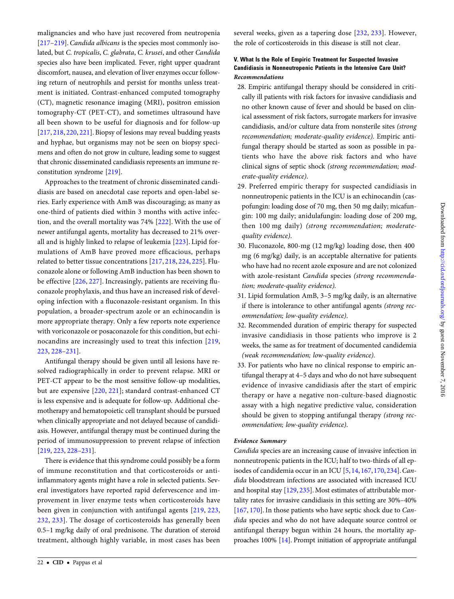malignancies and who have just recovered from neutropenia [\[217](#page-42-0)–[219](#page-42-0)]. Candida albicans is the species most commonly isolated, but C. tropicalis, C. glabrata, C. krusei, and other Candida species also have been implicated. Fever, right upper quadrant discomfort, nausea, and elevation of liver enzymes occur following return of neutrophils and persist for months unless treatment is initiated. Contrast-enhanced computed tomography (CT), magnetic resonance imaging (MRI), positron emission tomography-CT (PET-CT), and sometimes ultrasound have all been shown to be useful for diagnosis and for follow-up [\[217,](#page-42-0) [218](#page-42-0), [220](#page-42-0), [221\]](#page-42-0). Biopsy of lesions may reveal budding yeasts and hyphae, but organisms may not be seen on biopsy specimens and often do not grow in culture, leading some to suggest that chronic disseminated candidiasis represents an immune reconstitution syndrome [[219\]](#page-42-0).

Approaches to the treatment of chronic disseminated candidiasis are based on anecdotal case reports and open-label series. Early experience with AmB was discouraging; as many as one-third of patients died within 3 months with active infection, and the overall mortality was 74% [[222\]](#page-42-0). With the use of newer antifungal agents, mortality has decreased to 21% overall and is highly linked to relapse of leukemia [\[223](#page-43-0)]. Lipid formulations of AmB have proved more efficacious, perhaps related to better tissue concentrations [\[217](#page-42-0), [218,](#page-42-0) [224](#page-43-0), [225](#page-43-0)]. Fluconazole alone or following AmB induction has been shown to be effective [\[226](#page-43-0), [227](#page-43-0)]. Increasingly, patients are receiving fluconazole prophylaxis, and thus have an increased risk of developing infection with a fluconazole-resistant organism. In this population, a broader-spectrum azole or an echinocandin is more appropriate therapy. Only a few reports note experience with voriconazole or posaconazole for this condition, but echinocandins are increasingly used to treat this infection [[219,](#page-42-0) [223,](#page-43-0) [228](#page-43-0)–[231](#page-43-0)].

Antifungal therapy should be given until all lesions have resolved radiographically in order to prevent relapse. MRI or PET-CT appear to be the most sensitive follow-up modalities, but are expensive [[220](#page-42-0), [221](#page-42-0)]; standard contrast-enhanced CT is less expensive and is adequate for follow-up. Additional chemotherapy and hematopoietic cell transplant should be pursued when clinically appropriate and not delayed because of candidiasis. However, antifungal therapy must be continued during the period of immunosuppression to prevent relapse of infection [\[219,](#page-42-0) [223,](#page-43-0) [228](#page-43-0)–[231](#page-43-0)].

There is evidence that this syndrome could possibly be a form of immune reconstitution and that corticosteroids or antiinflammatory agents might have a role in selected patients. Several investigators have reported rapid defervescence and improvement in liver enzyme tests when corticosteroids have been given in conjunction with antifungal agents [[219,](#page-42-0) [223,](#page-43-0) [232](#page-43-0), [233\]](#page-43-0). The dosage of corticosteroids has generally been 0.5–1 mg/kg daily of oral prednisone. The duration of steroid treatment, although highly variable, in most cases has been several weeks, given as a tapering dose [\[232,](#page-43-0) [233](#page-43-0)]. However, the role of corticosteroids in this disease is still not clear.

### V. What Is the Role of Empiric Treatment for Suspected Invasive Candidiasis in Nonneutropenic Patients in the Intensive Care Unit? Recommendations

- 28. Empiric antifungal therapy should be considered in critically ill patients with risk factors for invasive candidiasis and no other known cause of fever and should be based on clinical assessment of risk factors, surrogate markers for invasive candidiasis, and/or culture data from nonsterile sites (strong recommendation; moderate-quality evidence). Empiric antifungal therapy should be started as soon as possible in patients who have the above risk factors and who have clinical signs of septic shock (strong recommendation; moderate-quality evidence).
- 29. Preferred empiric therapy for suspected candidiasis in nonneutropenic patients in the ICU is an echinocandin (caspofungin: loading dose of 70 mg, then 50 mg daily; micafungin: 100 mg daily; anidulafungin: loading dose of 200 mg, then 100 mg daily) (strong recommendation; moderatequality evidence).
- 30. Fluconazole, 800-mg (12 mg/kg) loading dose, then 400 mg (6 mg/kg) daily, is an acceptable alternative for patients who have had no recent azole exposure and are not colonized with azole-resistant Candida species (strong recommendation; moderate-quality evidence).
- 31. Lipid formulation AmB, 3–5 mg/kg daily, is an alternative if there is intolerance to other antifungal agents (strong recommendation; low-quality evidence).
- 32. Recommended duration of empiric therapy for suspected invasive candidiasis in those patients who improve is 2 weeks, the same as for treatment of documented candidemia (weak recommendation; low-quality evidence).
- 33. For patients who have no clinical response to empiric antifungal therapy at 4–5 days and who do not have subsequent evidence of invasive candidiasis after the start of empiric therapy or have a negative non-culture-based diagnostic assay with a high negative predictive value, consideration should be given to stopping antifungal therapy (strong recommendation; low-quality evidence).

### Evidence Summary

Candida species are an increasing cause of invasive infection in nonneutropenic patients in the ICU; half to two-thirds of all ep-isodes of candidemia occur in an ICU [[5](#page-38-0), [14,](#page-38-0) [167,](#page-41-0) [170,](#page-41-0) [234\]](#page-43-0). Candida bloodstream infections are associated with increased ICU and hospital stay [[129](#page-41-0), [235](#page-43-0)]. Most estimates of attributable mortality rates for invasive candidiasis in this setting are 30%–40% [\[167,](#page-41-0) [170](#page-41-0)]. In those patients who have septic shock due to Candida species and who do not have adequate source control or antifungal therapy begun within 24 hours, the mortality approaches 100% [[14\]](#page-38-0). Prompt initiation of appropriate antifungal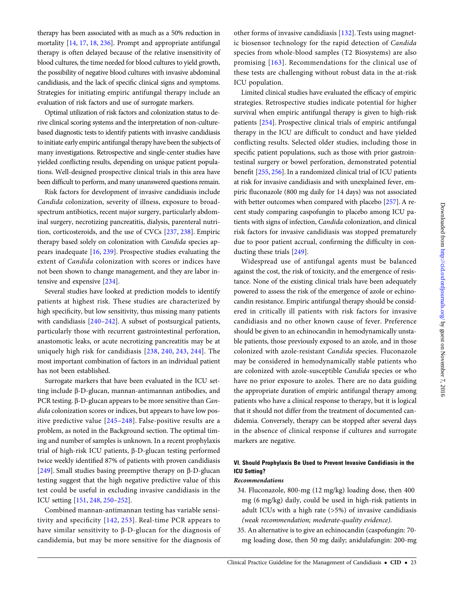therapy has been associated with as much as a 50% reduction in mortality [\[14](#page-38-0), [17](#page-38-0), [18,](#page-38-0) [236\]](#page-43-0). Prompt and appropriate antifungal therapy is often delayed because of the relative insensitivity of blood cultures, the time needed for blood cultures to yield growth, the possibility of negative blood cultures with invasive abdominal candidiasis, and the lack of specific clinical signs and symptoms. Strategies for initiating empiric antifungal therapy include an evaluation of risk factors and use of surrogate markers.

Optimal utilization of risk factors and colonization status to derive clinical scoring systems and the interpretation of non-culturebased diagnostic tests to identify patients with invasive candidiasis to initiate early empiric antifungal therapy have been the subjects of many investigations. Retrospective and single-center studies have yielded conflicting results, depending on unique patient populations. Well-designed prospective clinical trials in this area have been difficult to perform, and many unanswered questions remain.

Risk factors for development of invasive candidiasis include Candida colonization, severity of illness, exposure to broadspectrum antibiotics, recent major surgery, particularly abdominal surgery, necrotizing pancreatitis, dialysis, parenteral nutrition, corticosteroids, and the use of CVCs [[237,](#page-43-0) [238\]](#page-43-0). Empiric therapy based solely on colonization with Candida species appears inadequate [[16](#page-38-0), [239\]](#page-43-0). Prospective studies evaluating the extent of Candida colonization with scores or indices have not been shown to change management, and they are labor intensive and expensive [\[234](#page-43-0)].

Several studies have looked at prediction models to identify patients at highest risk. These studies are characterized by high specificity, but low sensitivity, thus missing many patients with candidiasis [\[240](#page-43-0)–[242\]](#page-43-0). A subset of postsurgical patients, particularly those with recurrent gastrointestinal perforation, anastomotic leaks, or acute necrotizing pancreatitis may be at uniquely high risk for candidiasis [[238](#page-43-0), [240](#page-43-0), [243](#page-43-0), [244\]](#page-43-0). The most important combination of factors in an individual patient has not been established.

Surrogate markers that have been evaluated in the ICU setting include β-D-glucan, mannan-antimannan antibodies, and PCR testing. β-D-glucan appears to be more sensitive than Candida colonization scores or indices, but appears to have low positive predictive value [[245](#page-43-0)–[248](#page-43-0)]. False-positive results are a problem, as noted in the Background section. The optimal timing and number of samples is unknown. In a recent prophylaxis trial of high-risk ICU patients, β-D-glucan testing performed twice weekly identified 87% of patients with proven candidiasis [\[249\]](#page-43-0). Small studies basing preemptive therapy on β-D-glucan testing suggest that the high negative predictive value of this test could be useful in excluding invasive candidiasis in the ICU setting [\[151](#page-41-0), [248,](#page-43-0) [250](#page-43-0)–[252](#page-43-0)].

Combined mannan-antimannan testing has variable sensitivity and specificity [[142,](#page-41-0) [253](#page-43-0)]. Real-time PCR appears to have similar sensitivity to β-D-glucan for the diagnosis of candidemia, but may be more sensitive for the diagnosis of other forms of invasive candidiasis [\[132](#page-41-0)]. Tests using magnetic biosensor technology for the rapid detection of Candida species from whole-blood samples (T2 Biosystems) are also promising [[163\]](#page-41-0). Recommendations for the clinical use of these tests are challenging without robust data in the at-risk ICU population.

Limited clinical studies have evaluated the efficacy of empiric strategies. Retrospective studies indicate potential for higher survival when empiric antifungal therapy is given to high-risk patients [\[254](#page-43-0)]. Prospective clinical trials of empiric antifungal therapy in the ICU are difficult to conduct and have yielded conflicting results. Selected older studies, including those in specific patient populations, such as those with prior gastrointestinal surgery or bowel perforation, demonstrated potential benefit [[255](#page-43-0), [256\]](#page-43-0). In a randomized clinical trial of ICU patients at risk for invasive candidiasis and with unexplained fever, empiric fluconazole (800 mg daily for 14 days) was not associated with better outcomes when compared with placebo [[257](#page-43-0)]. A recent study comparing caspofungin to placebo among ICU patients with signs of infection, Candida colonization, and clinical risk factors for invasive candidiasis was stopped prematurely due to poor patient accrual, confirming the difficulty in conducting these trials [[249](#page-43-0)].

Widespread use of antifungal agents must be balanced against the cost, the risk of toxicity, and the emergence of resistance. None of the existing clinical trials have been adequately powered to assess the risk of the emergence of azole or echinocandin resistance. Empiric antifungal therapy should be considered in critically ill patients with risk factors for invasive candidiasis and no other known cause of fever. Preference should be given to an echinocandin in hemodynamically unstable patients, those previously exposed to an azole, and in those colonized with azole-resistant Candida species. Fluconazole may be considered in hemodynamically stable patients who are colonized with azole-susceptible Candida species or who have no prior exposure to azoles. There are no data guiding the appropriate duration of empiric antifungal therapy among patients who have a clinical response to therapy, but it is logical that it should not differ from the treatment of documented candidemia. Conversely, therapy can be stopped after several days in the absence of clinical response if cultures and surrogate markers are negative.

### VI. Should Prophylaxis Be Used to Prevent Invasive Candidiasis in the ICU Setting?

### Recommendations

- 34. Fluconazole, 800-mg (12 mg/kg) loading dose, then 400 mg (6 mg/kg) daily, could be used in high-risk patients in adult ICUs with a high rate (>5%) of invasive candidiasis (weak recommendation; moderate-quality evidence).
- 35. An alternative is to give an echinocandin (caspofungin: 70 mg loading dose, then 50 mg daily; anidulafungin: 200-mg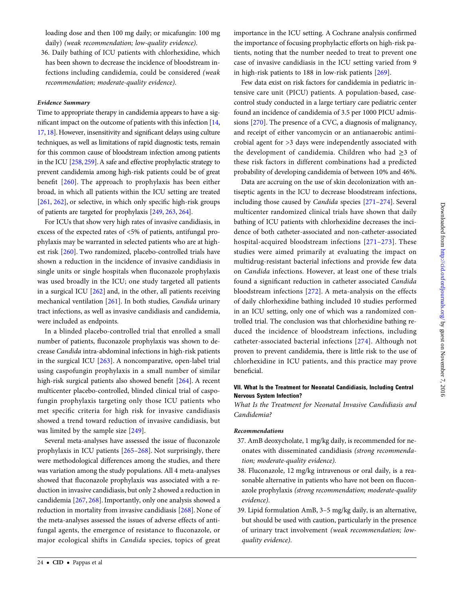Downloaded from http://cid.oxfordjournals.org/ by guest on November 7, 2016  $D$ ownloaded from <http://cid.oxfordjournals.org/> by guest on November 7, 2016

loading dose and then 100 mg daily; or micafungin: 100 mg daily) (weak recommendation; low-quality evidence).

36. Daily bathing of ICU patients with chlorhexidine, which has been shown to decrease the incidence of bloodstream infections including candidemia, could be considered (weak recommendation; moderate-quality evidence).

#### Evidence Summary

Time to appropriate therapy in candidemia appears to have a significant impact on the outcome of patients with this infection [\[14,](#page-38-0) [17,](#page-38-0) [18](#page-38-0)]. However, insensitivity and significant delays using culture techniques, as well as limitations of rapid diagnostic tests, remain for this common cause of bloodstream infection among patients in the ICU [[258,](#page-43-0) [259\]](#page-43-0). A safe and effective prophylactic strategy to prevent candidemia among high-risk patients could be of great benefit [\[260](#page-43-0)]. The approach to prophylaxis has been either broad, in which all patients within the ICU setting are treated [\[261,](#page-43-0) [262\]](#page-43-0), or selective, in which only specific high-risk groups of patients are targeted for prophylaxis [\[249](#page-43-0), [263,](#page-43-0) [264](#page-43-0)].

For ICUs that show very high rates of invasive candidiasis, in excess of the expected rates of <5% of patients, antifungal prophylaxis may be warranted in selected patients who are at highest risk [[260](#page-43-0)]. Two randomized, placebo-controlled trials have shown a reduction in the incidence of invasive candidiasis in single units or single hospitals when fluconazole prophylaxis was used broadly in the ICU; one study targeted all patients in a surgical ICU [\[262\]](#page-43-0) and, in the other, all patients receiving mechanical ventilation [[261\]](#page-43-0). In both studies, Candida urinary tract infections, as well as invasive candidiasis and candidemia, were included as endpoints.

In a blinded placebo-controlled trial that enrolled a small number of patients, fluconazole prophylaxis was shown to decrease Candida intra-abdominal infections in high-risk patients in the surgical ICU [\[263](#page-43-0)]. A noncomparative, open-label trial using caspofungin prophylaxis in a small number of similar high-risk surgical patients also showed benefit [[264](#page-43-0)]. A recent multicenter placebo-controlled, blinded clinical trial of caspofungin prophylaxis targeting only those ICU patients who met specific criteria for high risk for invasive candidiasis showed a trend toward reduction of invasive candidiasis, but was limited by the sample size [[249](#page-43-0)].

Several meta-analyses have assessed the issue of fluconazole prophylaxis in ICU patients [[265](#page-43-0)–[268](#page-43-0)]. Not surprisingly, there were methodological differences among the studies, and there was variation among the study populations. All 4 meta-analyses showed that fluconazole prophylaxis was associated with a reduction in invasive candidiasis, but only 2 showed a reduction in candidemia [[267](#page-43-0), [268](#page-43-0)]. Importantly, only one analysis showed a reduction in mortality from invasive candidiasis [\[268](#page-43-0)]. None of the meta-analyses assessed the issues of adverse effects of antifungal agents, the emergence of resistance to fluconazole, or major ecological shifts in Candida species, topics of great

importance in the ICU setting. A Cochrane analysis confirmed the importance of focusing prophylactic efforts on high-risk patients, noting that the number needed to treat to prevent one case of invasive candidiasis in the ICU setting varied from 9 in high-risk patients to 188 in low-risk patients [\[269\]](#page-43-0).

Few data exist on risk factors for candidemia in pediatric intensive care unit (PICU) patients. A population-based, casecontrol study conducted in a large tertiary care pediatric center found an incidence of candidemia of 3.5 per 1000 PICU admissions [[270\]](#page-43-0). The presence of a CVC, a diagnosis of malignancy, and receipt of either vancomycin or an antianaerobic antimicrobial agent for >3 days were independently associated with the development of candidemia. Children who had ≥3 of these risk factors in different combinations had a predicted probability of developing candidemia of between 10% and 46%.

Data are accruing on the use of skin decolonization with antiseptic agents in the ICU to decrease bloodstream infections, including those caused by Candida species [\[271](#page-43-0)–[274\]](#page-44-0). Several multicenter randomized clinical trials have shown that daily bathing of ICU patients with chlorhexidine decreases the incidence of both catheter-associated and non-catheter-associated hospital-acquired bloodstream infections [[271](#page-43-0)–[273](#page-43-0)]. These studies were aimed primarily at evaluating the impact on multidrug-resistant bacterial infections and provide few data on Candida infections. However, at least one of these trials found a significant reduction in catheter associated Candida bloodstream infections [[272\]](#page-43-0). A meta-analysis on the effects of daily chlorhexidine bathing included 10 studies performed in an ICU setting, only one of which was a randomized controlled trial. The conclusion was that chlorhexidine bathing reduced the incidence of bloodstream infections, including catheter-associated bacterial infections [[274\]](#page-44-0). Although not proven to prevent candidemia, there is little risk to the use of chlorhexidine in ICU patients, and this practice may prove beneficial.

### VII. What Is the Treatment for Neonatal Candidiasis, Including Central Nervous System Infection?

What Is the Treatment for Neonatal Invasive Candidiasis and Candidemia?

### Recommendations

- 37. AmB deoxycholate, 1 mg/kg daily, is recommended for neonates with disseminated candidiasis (strong recommendation; moderate-quality evidence).
- 38. Fluconazole, 12 mg/kg intravenous or oral daily, is a reasonable alternative in patients who have not been on fluconazole prophylaxis (strong recommendation; moderate-quality evidence).
- 39. Lipid formulation AmB, 3–5 mg/kg daily, is an alternative, but should be used with caution, particularly in the presence of urinary tract involvement (weak recommendation; lowquality evidence).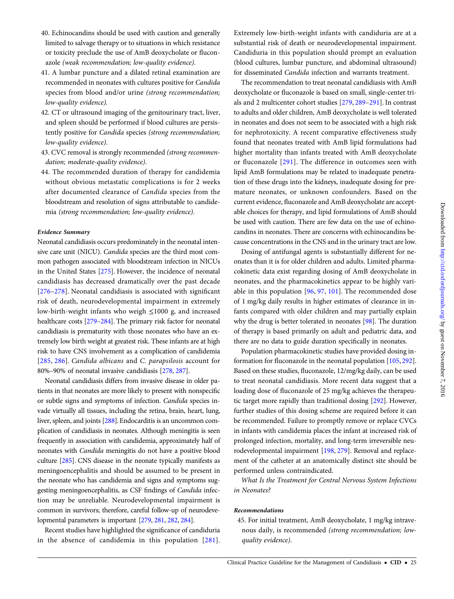- 40. Echinocandins should be used with caution and generally limited to salvage therapy or to situations in which resistance or toxicity preclude the use of AmB deoxycholate or fluconazole (weak recommendation; low-quality evidence).
- 41. A lumbar puncture and a dilated retinal examination are recommended in neonates with cultures positive for Candida species from blood and/or urine (strong recommendation; low-quality evidence).
- 42. CT or ultrasound imaging of the genitourinary tract, liver, and spleen should be performed if blood cultures are persistently positive for Candida species (strong recommendation; low-quality evidence).
- 43. CVC removal is strongly recommended (strong recommendation; moderate-quality evidence).
- 44. The recommended duration of therapy for candidemia without obvious metastatic complications is for 2 weeks after documented clearance of Candida species from the bloodstream and resolution of signs attributable to candidemia (strong recommendation; low-quality evidence).

Neonatal candidiasis occurs predominately in the neonatal intensive care unit (NICU). Candida species are the third most common pathogen associated with bloodstream infection in NICUs in the United States [[275](#page-44-0)]. However, the incidence of neonatal candidiasis has decreased dramatically over the past decade [\[276](#page-44-0)–[278\]](#page-44-0). Neonatal candidiasis is associated with significant risk of death, neurodevelopmental impairment in extremely low-birth-weight infants who weigh ≤1000 g, and increased healthcare costs [\[279](#page-44-0)–[284\]](#page-44-0). The primary risk factor for neonatal candidiasis is prematurity with those neonates who have an extremely low birth weight at greatest risk. These infants are at high risk to have CNS involvement as a complication of candidemia [\[285](#page-44-0), [286](#page-44-0)]. Candida albicans and C. parapsilosis account for 80%–90% of neonatal invasive candidiasis [\[278,](#page-44-0) [287](#page-44-0)].

Neonatal candidiasis differs from invasive disease in older patients in that neonates are more likely to present with nonspecific or subtle signs and symptoms of infection. Candida species invade virtually all tissues, including the retina, brain, heart, lung, liver, spleen, and joints [[288](#page-44-0)]. Endocarditis is an uncommon complication of candidiasis in neonates. Although meningitis is seen frequently in association with candidemia, approximately half of neonates with Candida meningitis do not have a positive blood culture [[285](#page-44-0)]. CNS disease in the neonate typically manifests as meningoencephalitis and should be assumed to be present in the neonate who has candidemia and signs and symptoms suggesting meningoencephalitis, as CSF findings of Candida infection may be unreliable. Neurodevelopmental impairment is common in survivors; therefore, careful follow-up of neurodevelopmental parameters is important [\[279,](#page-44-0) [281,](#page-44-0) [282](#page-44-0), [284\]](#page-44-0).

Recent studies have highlighted the significance of candiduria in the absence of candidemia in this population [[281](#page-44-0)]. Extremely low-birth-weight infants with candiduria are at a substantial risk of death or neurodevelopmental impairment. Candiduria in this population should prompt an evaluation (blood cultures, lumbar puncture, and abdominal ultrasound) for disseminated Candida infection and warrants treatment.

The recommendation to treat neonatal candidiasis with AmB deoxycholate or fluconazole is based on small, single-center trials and 2 multicenter cohort studies [\[279,](#page-44-0) [289](#page-44-0)–[291\]](#page-44-0). In contrast to adults and older children, AmB deoxycholate is well tolerated in neonates and does not seem to be associated with a high risk for nephrotoxicity. A recent comparative effectiveness study found that neonates treated with AmB lipid formulations had higher mortality than infants treated with AmB deoxycholate or fluconazole [[291\]](#page-44-0). The difference in outcomes seen with lipid AmB formulations may be related to inadequate penetration of these drugs into the kidneys, inadequate dosing for premature neonates, or unknown confounders. Based on the current evidence, fluconazole and AmB deoxycholate are acceptable choices for therapy, and lipid formulations of AmB should be used with caution. There are few data on the use of echinocandins in neonates. There are concerns with echinocandins because concentrations in the CNS and in the urinary tract are low.

Dosing of antifungal agents is substantially different for neonates than it is for older children and adults. Limited pharmacokinetic data exist regarding dosing of AmB deoxycholate in neonates, and the pharmacokinetics appear to be highly variable in this population [\[96,](#page-40-0) [97,](#page-40-0) [101\]](#page-40-0). The recommended dose of 1 mg/kg daily results in higher estimates of clearance in infants compared with older children and may partially explain why the drug is better tolerated in neonates [[98\]](#page-40-0). The duration of therapy is based primarily on adult and pediatric data, and there are no data to guide duration specifically in neonates.

Population pharmacokinetic studies have provided dosing information for fluconazole in the neonatal population [[105,](#page-40-0) [292\]](#page-44-0). Based on these studies, fluconazole, 12/mg/kg daily, can be used to treat neonatal candidiasis. More recent data suggest that a loading dose of fluconazole of 25 mg/kg achieves the therapeutic target more rapidly than traditional dosing [\[292\]](#page-44-0). However, further studies of this dosing scheme are required before it can be recommended. Failure to promptly remove or replace CVCs in infants with candidemia places the infant at increased risk of prolonged infection, mortality, and long-term irreversible neurodevelopmental impairment [\[198](#page-42-0), [279\]](#page-44-0). Removal and replacement of the catheter at an anatomically distinct site should be performed unless contraindicated.

What Is the Treatment for Central Nervous System Infections in Neonates?

### Recommendations

45. For initial treatment, AmB deoxycholate, 1 mg/kg intravenous daily, is recommended (strong recommendation; lowquality evidence).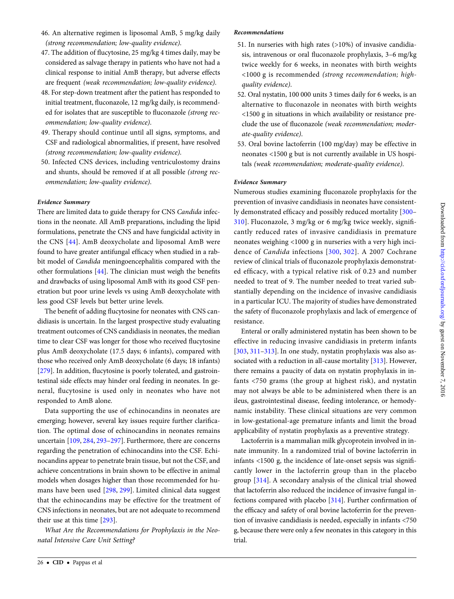- 47. The addition of flucytosine, 25 mg/kg 4 times daily, may be considered as salvage therapy in patients who have not had a clinical response to initial AmB therapy, but adverse effects are frequent (weak recommendation; low-quality evidence).
- 48. For step-down treatment after the patient has responded to initial treatment, fluconazole, 12 mg/kg daily, is recommended for isolates that are susceptible to fluconazole (strong recommendation; low-quality evidence).
- 49. Therapy should continue until all signs, symptoms, and CSF and radiological abnormalities, if present, have resolved (strong recommendation; low-quality evidence).
- 50. Infected CNS devices, including ventriculostomy drains and shunts, should be removed if at all possible (strong recommendation; low-quality evidence).

There are limited data to guide therapy for CNS Candida infections in the neonate. All AmB preparations, including the lipid formulations, penetrate the CNS and have fungicidal activity in the CNS [[44](#page-39-0)]. AmB deoxycholate and liposomal AmB were found to have greater antifungal efficacy when studied in a rabbit model of Candida meningoencephalitis compared with the other formulations [[44](#page-39-0)]. The clinician must weigh the benefits and drawbacks of using liposomal AmB with its good CSF penetration but poor urine levels vs using AmB deoxycholate with less good CSF levels but better urine levels.

The benefit of adding flucytosine for neonates with CNS candidiasis is uncertain. In the largest prospective study evaluating treatment outcomes of CNS candidiasis in neonates, the median time to clear CSF was longer for those who received flucytosine plus AmB deoxycholate (17.5 days; 6 infants), compared with those who received only AmB deoxycholate (6 days; 18 infants) [\[279\]](#page-44-0). In addition, flucytosine is poorly tolerated, and gastrointestinal side effects may hinder oral feeding in neonates. In general, flucytosine is used only in neonates who have not responded to AmB alone.

Data supporting the use of echinocandins in neonates are emerging; however, several key issues require further clarification. The optimal dose of echinocandins in neonates remains uncertain [[109,](#page-40-0) [284](#page-44-0), [293](#page-44-0)–[297](#page-44-0)]. Furthermore, there are concerns regarding the penetration of echinocandins into the CSF. Echinocandins appear to penetrate brain tissue, but not the CSF, and achieve concentrations in brain shown to be effective in animal models when dosages higher than those recommended for humans have been used [\[298,](#page-44-0) [299](#page-44-0)]. Limited clinical data suggest that the echinocandins may be effective for the treatment of CNS infections in neonates, but are not adequate to recommend their use at this time [\[293\]](#page-44-0).

What Are the Recommendations for Prophylaxis in the Neonatal Intensive Care Unit Setting?

### Recommendations

- 51. In nurseries with high rates (>10%) of invasive candidiasis, intravenous or oral fluconazole prophylaxis, 3–6 mg/kg twice weekly for 6 weeks, in neonates with birth weights <1000 g is recommended (strong recommendation; highquality evidence).
- 52. Oral nystatin, 100 000 units 3 times daily for 6 weeks, is an alternative to fluconazole in neonates with birth weights <1500 g in situations in which availability or resistance preclude the use of fluconazole (weak recommendation; moderate-quality evidence).
- 53. Oral bovine lactoferrin (100 mg/day) may be effective in neonates <1500 g but is not currently available in US hospitals (weak recommendation; moderate-quality evidence).

### Evidence Summary

Numerous studies examining fluconazole prophylaxis for the prevention of invasive candidiasis in neonates have consistently demonstrated efficacy and possibly reduced mortality [\[300](#page-44-0)– [310](#page-44-0)]. Fluconazole, 3 mg/kg or 6 mg/kg twice weekly, significantly reduced rates of invasive candidiasis in premature neonates weighing <1000 g in nurseries with a very high incidence of Candida infections [[300](#page-44-0), [302\]](#page-44-0). A 2007 Cochrane review of clinical trials of fluconazole prophylaxis demonstrated efficacy, with a typical relative risk of 0.23 and number needed to treat of 9. The number needed to treat varied substantially depending on the incidence of invasive candidiasis in a particular ICU. The majority of studies have demonstrated the safety of fluconazole prophylaxis and lack of emergence of resistance.

Enteral or orally administered nystatin has been shown to be effective in reducing invasive candidiasis in preterm infants [\[303,](#page-44-0) [311](#page-44-0)–[313](#page-44-0)]. In one study, nystatin prophylaxis was also associated with a reduction in all-cause mortality [[313\]](#page-44-0). However, there remains a paucity of data on nystatin prophylaxis in infants <750 grams (the group at highest risk), and nystatin may not always be able to be administered when there is an ileus, gastrointestinal disease, feeding intolerance, or hemodynamic instability. These clinical situations are very common in low-gestational-age premature infants and limit the broad applicability of nystatin prophylaxis as a preventive strategy.

Lactoferrin is a mammalian milk glycoprotein involved in innate immunity. In a randomized trial of bovine lactoferrin in infants <1500 g, the incidence of late-onset sepsis was significantly lower in the lactoferrin group than in the placebo group [[314\]](#page-44-0). A secondary analysis of the clinical trial showed that lactoferrin also reduced the incidence of invasive fungal infections compared with placebo [[314](#page-44-0)]. Further confirmation of the efficacy and safety of oral bovine lactoferrin for the prevention of invasive candidiasis is needed, especially in infants <750 g, because there were only a few neonates in this category in this trial.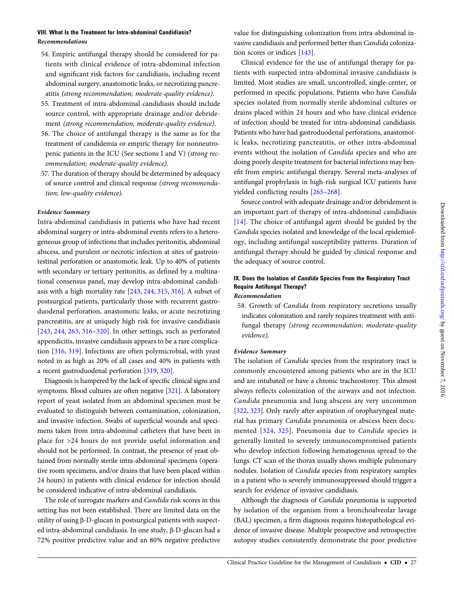- 54. Empiric antifungal therapy should be considered for patients with clinical evidence of intra-abdominal infection and significant risk factors for candidiasis, including recent abdominal surgery, anastomotic leaks, or necrotizing pancreatitis (strong recommendation; moderate-quality evidence).
- 55. Treatment of intra-abdominal candidiasis should include source control, with appropriate drainage and/or debridement (strong recommendation; moderate-quality evidence).
- 56. The choice of antifungal therapy is the same as for the treatment of candidemia or empiric therapy for nonneutropenic patients in the ICU (See sections I and V) (strong recommendation; moderate-quality evidence).
- 57. The duration of therapy should be determined by adequacy of source control and clinical response (strong recommendation; low-quality evidence).

Intra-abdominal candidiasis in patients who have had recent abdominal surgery or intra-abdominal events refers to a heterogeneous group of infections that includes peritonitis, abdominal abscess, and purulent or necrotic infection at sites of gastrointestinal perforation or anastomotic leak. Up to 40% of patients with secondary or tertiary peritonitis, as defined by a multinational consensus panel, may develop intra-abdominal candidiasis with a high mortality rate [[243,](#page-43-0) [244](#page-43-0), [315](#page-44-0), [316](#page-44-0)]. A subset of postsurgical patients, particularly those with recurrent gastroduodenal perforation, anastomotic leaks, or acute necrotizing pancreatitis, are at uniquely high risk for invasive candidiasis [\[243](#page-43-0), [244](#page-43-0), [263,](#page-43-0) [316](#page-44-0)–[320\]](#page-44-0). In other settings, such as perforated appendicitis, invasive candidiasis appears to be a rare complication [[316,](#page-44-0) [319](#page-44-0)]. Infections are often polymicrobial, with yeast noted in as high as 20% of all cases and 40% in patients with a recent gastroduodenal perforation [\[319,](#page-44-0) [320\]](#page-44-0).

Diagnosis is hampered by the lack of specific clinical signs and symptoms. Blood cultures are often negative [[321](#page-44-0)]. A laboratory report of yeast isolated from an abdominal specimen must be evaluated to distinguish between contamination, colonization, and invasive infection. Swabs of superficial wounds and specimens taken from intra-abdominal catheters that have been in place for >24 hours do not provide useful information and should not be performed. In contrast, the presence of yeast obtained from normally sterile intra-abdominal specimens (operative room specimens, and/or drains that have been placed within 24 hours) in patients with clinical evidence for infection should be considered indicative of intra-abdominal candidiasis.

The role of surrogate markers and Candida risk scores in this setting has not been established. There are limited data on the utility of using β-D-glucan in postsurgical patients with suspected intra-abdominal candidiasis. In one study, β-D-glucan had a 72% positive predictive value and an 80% negative predictive value for distinguishing colonization from intra-abdominal invasive candidiasis and performed better than Candida colonization scores or indices [\[143](#page-41-0)].

Clinical evidence for the use of antifungal therapy for patients with suspected intra-abdominal invasive candidiasis is limited. Most studies are small, uncontrolled, single-center, or performed in specific populations. Patients who have Candida species isolated from normally sterile abdominal cultures or drains placed within 24 hours and who have clinical evidence of infection should be treated for intra-abdominal candidiasis. Patients who have had gastroduodenal perforations, anastomotic leaks, necrotizing pancreatitis, or other intra-abdominal events without the isolation of Candida species and who are doing poorly despite treatment for bacterial infections may benefit from empiric antifungal therapy. Several meta-analyses of antifungal prophylaxis in high-risk surgical ICU patients have yielded conflicting results [\[265](#page-43-0)–[268\]](#page-43-0).

Source control with adequate drainage and/or debridement is an important part of therapy of intra-abdominal candidiasis [\[14\]](#page-38-0). The choice of antifungal agent should be guided by the Candida species isolated and knowledge of the local epidemiology, including antifungal susceptibility patterns. Duration of antifungal therapy should be guided by clinical response and the adequacy of source control.

### IX. Does the Isolation of *Candida* Species From the Respiratory Tract Require Antifungal Therapy? Recommendation

58. Growth of Candida from respiratory secretions usually indicates colonization and rarely requires treatment with antifungal therapy (strong recommendation; moderate-quality evidence).

#### Evidence Summary

The isolation of Candida species from the respiratory tract is commonly encountered among patients who are in the ICU and are intubated or have a chronic tracheostomy. This almost always reflects colonization of the airways and not infection. Candida pneumonia and lung abscess are very uncommon [\[322,](#page-44-0) [323\]](#page-44-0). Only rarely after aspiration of oropharyngeal material has primary Candida pneumonia or abscess been documented [[324,](#page-44-0) [325\]](#page-44-0). Pneumonia due to Candida species is generally limited to severely immunocompromised patients who develop infection following hematogenous spread to the lungs. CT scan of the thorax usually shows multiple pulmonary nodules. Isolation of Candida species from respiratory samples in a patient who is severely immunosuppressed should trigger a search for evidence of invasive candidiasis.

Although the diagnosis of Candida pneumonia is supported by isolation of the organism from a bronchoalveolar lavage (BAL) specimen, a firm diagnosis requires histopathological evidence of invasive disease. Multiple prospective and retrospective autopsy studies consistently demonstrate the poor predictive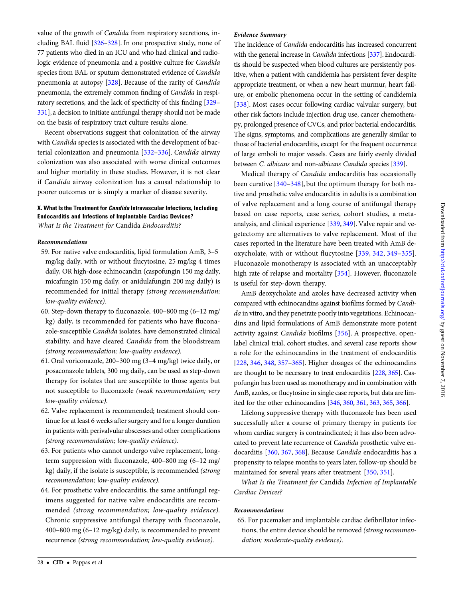value of the growth of Candida from respiratory secretions, including BAL fluid [[326](#page-44-0)–[328](#page-45-0)]. In one prospective study, none of 77 patients who died in an ICU and who had clinical and radiologic evidence of pneumonia and a positive culture for Candida species from BAL or sputum demonstrated evidence of Candida pneumonia at autopsy [\[328\]](#page-45-0). Because of the rarity of Candida pneumonia, the extremely common finding of Candida in respiratory secretions, and the lack of specificity of this finding [[329](#page-45-0)– [331](#page-45-0)], a decision to initiate antifungal therapy should not be made on the basis of respiratory tract culture results alone.

Recent observations suggest that colonization of the airway with Candida species is associated with the development of bacterial colonization and pneumonia [[332](#page-45-0)–[336](#page-45-0)]. Candida airway colonization was also associated with worse clinical outcomes and higher mortality in these studies. However, it is not clear if Candida airway colonization has a causal relationship to poorer outcomes or is simply a marker of disease severity.

### X. What Is the Treatment for Candida Intravascular Infections, Including Endocarditis and Infections of Implantable Cardiac Devices?

What Is the Treatment for Candida Endocarditis?

### Recommendations

- 59. For native valve endocarditis, lipid formulation AmB, 3–5 mg/kg daily, with or without flucytosine, 25 mg/kg 4 times daily, OR high-dose echinocandin (caspofungin 150 mg daily, micafungin 150 mg daily, or anidulafungin 200 mg daily) is recommended for initial therapy (strong recommendation; low-quality evidence).
- 60. Step-down therapy to fluconazole, 400–800 mg (6–12 mg/ kg) daily, is recommended for patients who have fluconazole-susceptible Candida isolates, have demonstrated clinical stability, and have cleared Candida from the bloodstream (strong recommendation; low-quality evidence).
- 61. Oral voriconazole, 200–300 mg (3–4 mg/kg) twice daily, or posaconazole tablets, 300 mg daily, can be used as step-down therapy for isolates that are susceptible to those agents but not susceptible to fluconazole (weak recommendation; very low-quality evidence).
- 62. Valve replacement is recommended; treatment should continue for at least 6 weeks after surgery and for a longer duration in patients with perivalvular abscesses and other complications (strong recommendation; low-quality evidence).
- 63. For patients who cannot undergo valve replacement, longterm suppression with fluconazole, 400–800 mg (6–12 mg/ kg) daily, if the isolate is susceptible, is recommended (strong recommendation; low-quality evidence).
- 64. For prosthetic valve endocarditis, the same antifungal regimens suggested for native valve endocarditis are recommended (strong recommendation; low-quality evidence). Chronic suppressive antifungal therapy with fluconazole, 400–800 mg (6–12 mg/kg) daily, is recommended to prevent recurrence (strong recommendation; low-quality evidence).

#### Evidence Summary

The incidence of Candida endocarditis has increased concurrent with the general increase in Candida infections [[337\]](#page-45-0). Endocarditis should be suspected when blood cultures are persistently positive, when a patient with candidemia has persistent fever despite appropriate treatment, or when a new heart murmur, heart failure, or embolic phenomena occur in the setting of candidemia [\[338\]](#page-45-0). Most cases occur following cardiac valvular surgery, but other risk factors include injection drug use, cancer chemotherapy, prolonged presence of CVCs, and prior bacterial endocarditis. The signs, symptoms, and complications are generally similar to those of bacterial endocarditis, except for the frequent occurrence of large emboli to major vessels. Cases are fairly evenly divided between C. albicans and non-albicans Candida species [\[339\]](#page-45-0).

Medical therapy of Candida endocarditis has occasionally been curative [\[340](#page-45-0)–[348\]](#page-45-0), but the optimum therapy for both native and prosthetic valve endocarditis in adults is a combination of valve replacement and a long course of antifungal therapy based on case reports, case series, cohort studies, a metaanalysis, and clinical experience [\[339,](#page-45-0) [349](#page-45-0)]. Valve repair and vegetectomy are alternatives to valve replacement. Most of the cases reported in the literature have been treated with AmB deoxycholate, with or without flucytosine [[339,](#page-45-0) [342,](#page-45-0) [349](#page-45-0)–[355](#page-45-0)]. Fluconazole monotherapy is associated with an unacceptably high rate of relapse and mortality [\[354\]](#page-45-0). However, fluconazole is useful for step-down therapy.

AmB deoxycholate and azoles have decreased activity when compared with echinocandins against biofilms formed by Candida in vitro, and they penetrate poorly into vegetations. Echinocandins and lipid formulations of AmB demonstrate more potent activity against Candida biofilms [\[356](#page-45-0)]. A prospective, openlabel clinical trial, cohort studies, and several case reports show a role for the echinocandins in the treatment of endocarditis [\[228,](#page-43-0) [346,](#page-45-0) [348,](#page-45-0) [357](#page-45-0)–[365](#page-45-0)]. Higher dosages of the echinocandins are thought to be necessary to treat endocarditis [\[228,](#page-43-0) [365](#page-45-0)]. Caspofungin has been used as monotherapy and in combination with AmB, azoles, or flucytosine in single case reports, but data are limited for the other echinocandins [\[346,](#page-45-0) [360,](#page-45-0) [361](#page-45-0), [363,](#page-45-0) [365,](#page-45-0) [366](#page-45-0)].

Lifelong suppressive therapy with fluconazole has been used successfully after a course of primary therapy in patients for whom cardiac surgery is contraindicated; it has also been advocated to prevent late recurrence of Candida prosthetic valve endocarditis [[360](#page-45-0), [367](#page-45-0), [368](#page-45-0)]. Because Candida endocarditis has a propensity to relapse months to years later, follow-up should be maintained for several years after treatment [\[350,](#page-45-0) [351\]](#page-45-0).

What Is the Treatment for Candida Infection of Implantable Cardiac Devices?

#### Recommendations

65. For pacemaker and implantable cardiac defibrillator infections, the entire device should be removed (strong recommendation; moderate-quality evidence).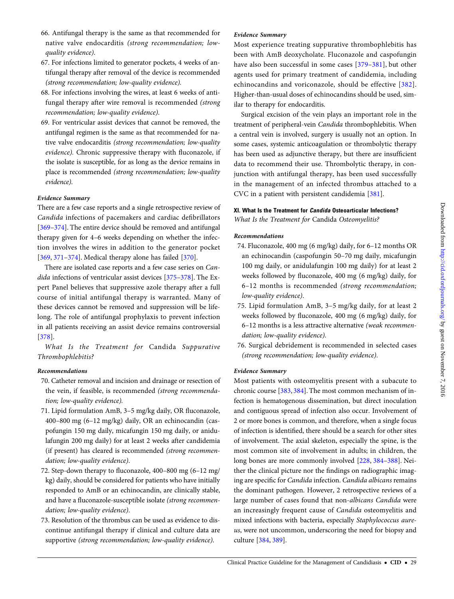- 66. Antifungal therapy is the same as that recommended for native valve endocarditis (strong recommendation; lowquality evidence).
- 67. For infections limited to generator pockets, 4 weeks of antifungal therapy after removal of the device is recommended (strong recommendation; low-quality evidence).
- 68. For infections involving the wires, at least 6 weeks of antifungal therapy after wire removal is recommended (strong recommendation; low-quality evidence).
- 69. For ventricular assist devices that cannot be removed, the antifungal regimen is the same as that recommended for native valve endocarditis (strong recommendation; low-quality evidence). Chronic suppressive therapy with fluconazole, if the isolate is susceptible, for as long as the device remains in place is recommended (strong recommendation; low-quality evidence).

There are a few case reports and a single retrospective review of Candida infections of pacemakers and cardiac defibrillators [\[369](#page-45-0)–[374](#page-45-0)]. The entire device should be removed and antifungal therapy given for 4–6 weeks depending on whether the infection involves the wires in addition to the generator pocket [\[369,](#page-45-0) [371](#page-45-0)–[374](#page-45-0)]. Medical therapy alone has failed [[370\]](#page-45-0).

There are isolated case reports and a few case series on Can-dida infections of ventricular assist devices [[375](#page-45-0)–[378\]](#page-45-0). The Expert Panel believes that suppressive azole therapy after a full course of initial antifungal therapy is warranted. Many of these devices cannot be removed and suppression will be lifelong. The role of antifungal prophylaxis to prevent infection in all patients receiving an assist device remains controversial [\[378\]](#page-45-0).

What Is the Treatment for Candida Suppurative Thrombophlebitis?

#### Recommendations

- 70. Catheter removal and incision and drainage or resection of the vein, if feasible, is recommended (strong recommendation; low-quality evidence).
- 71. Lipid formulation AmB, 3–5 mg/kg daily, OR fluconazole, 400–800 mg (6–12 mg/kg) daily, OR an echinocandin (caspofungin 150 mg daily, micafungin 150 mg daily, or anidulafungin 200 mg daily) for at least 2 weeks after candidemia (if present) has cleared is recommended (strong recommendation; low-quality evidence).
- 72. Step-down therapy to fluconazole, 400–800 mg (6–12 mg/ kg) daily, should be considered for patients who have initially responded to AmB or an echinocandin, are clinically stable, and have a fluconazole-susceptible isolate (strong recommendation; low-quality evidence).
- 73. Resolution of the thrombus can be used as evidence to discontinue antifungal therapy if clinical and culture data are supportive (strong recommendation; low-quality evidence).

### Evidence Summary

Most experience treating suppurative thrombophlebitis has been with AmB deoxycholate. Fluconazole and caspofungin have also been successful in some cases [[379](#page-45-0)–[381\]](#page-45-0), but other agents used for primary treatment of candidemia, including echinocandins and voriconazole, should be effective [[382](#page-46-0)]. Higher-than-usual doses of echinocandins should be used, similar to therapy for endocarditis.

Surgical excision of the vein plays an important role in the treatment of peripheral-vein Candida thrombophlebitis. When a central vein is involved, surgery is usually not an option. In some cases, systemic anticoagulation or thrombolytic therapy has been used as adjunctive therapy, but there are insufficient data to recommend their use. Thrombolytic therapy, in conjunction with antifungal therapy, has been used successfully in the management of an infected thrombus attached to a CVC in a patient with persistent candidemia [[381](#page-45-0)].

### XI. What Is the Treatment for Candida Osteoarticular Infections? What Is the Treatment for Candida Osteomyelitis?

#### Recommendations

- 74. Fluconazole, 400 mg (6 mg/kg) daily, for 6–12 months OR an echinocandin (caspofungin 50–70 mg daily, micafungin 100 mg daily, or anidulafungin 100 mg daily) for at least 2 weeks followed by fluconazole, 400 mg (6 mg/kg) daily, for 6–12 months is recommended (strong recommendation; low-quality evidence).
- 75. Lipid formulation AmB, 3–5 mg/kg daily, for at least 2 weeks followed by fluconazole, 400 mg (6 mg/kg) daily, for 6–12 months is a less attractive alternative (weak recommendation; low-quality evidence).
- 76. Surgical debridement is recommended in selected cases (strong recommendation; low-quality evidence).

### Evidence Summary

Most patients with osteomyelitis present with a subacute to chronic course [[383](#page-46-0), [384\]](#page-46-0). The most common mechanism of infection is hematogenous dissemination, but direct inoculation and contiguous spread of infection also occur. Involvement of 2 or more bones is common, and therefore, when a single focus of infection is identified, there should be a search for other sites of involvement. The axial skeleton, especially the spine, is the most common site of involvement in adults; in children, the long bones are more commonly involved [\[228,](#page-43-0) [384](#page-46-0)–[388](#page-46-0)]. Neither the clinical picture nor the findings on radiographic imaging are specific for Candida infection. Candida albicans remains the dominant pathogen. However, 2 retrospective reviews of a large number of cases found that non-albicans Candida were an increasingly frequent cause of Candida osteomyelitis and mixed infections with bacteria, especially Staphylococcus aureus, were not uncommon, underscoring the need for biopsy and culture [\[384](#page-46-0), [389\]](#page-46-0).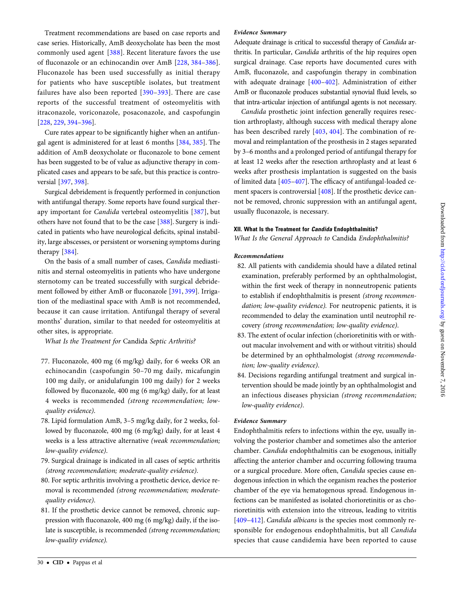Treatment recommendations are based on case reports and case series. Historically, AmB deoxycholate has been the most commonly used agent [\[388](#page-46-0)]. Recent literature favors the use of fluconazole or an echinocandin over AmB [\[228](#page-43-0), [384](#page-46-0)–[386\]](#page-46-0). Fluconazole has been used successfully as initial therapy for patients who have susceptible isolates, but treatment failures have also been reported [[390](#page-46-0)–[393](#page-46-0)]. There are case reports of the successful treatment of osteomyelitis with itraconazole, voriconazole, posaconazole, and caspofungin [\[228,](#page-43-0) [229,](#page-43-0) [394](#page-46-0)–[396](#page-46-0)].

Cure rates appear to be significantly higher when an antifungal agent is administered for at least 6 months [[384](#page-46-0), [385](#page-46-0)]. The addition of AmB deoxycholate or fluconazole to bone cement has been suggested to be of value as adjunctive therapy in complicated cases and appears to be safe, but this practice is controversial [\[397,](#page-46-0) [398\]](#page-46-0).

Surgical debridement is frequently performed in conjunction with antifungal therapy. Some reports have found surgical therapy important for *Candida* vertebral osteomyelitis [\[387](#page-46-0)], but others have not found that to be the case [[388\]](#page-46-0). Surgery is indicated in patients who have neurological deficits, spinal instability, large abscesses, or persistent or worsening symptoms during therapy [[384](#page-46-0)].

On the basis of a small number of cases, Candida mediastinitis and sternal osteomyelitis in patients who have undergone sternotomy can be treated successfully with surgical debridement followed by either AmB or fluconazole [\[391,](#page-46-0) [399](#page-46-0)]. Irrigation of the mediastinal space with AmB is not recommended, because it can cause irritation. Antifungal therapy of several months' duration, similar to that needed for osteomyelitis at other sites, is appropriate.

What Is the Treatment for Candida Septic Arthritis?

- 77. Fluconazole, 400 mg (6 mg/kg) daily, for 6 weeks OR an echinocandin (caspofungin 50–70 mg daily, micafungin 100 mg daily, or anidulafungin 100 mg daily) for 2 weeks followed by fluconazole, 400 mg (6 mg/kg) daily, for at least 4 weeks is recommended (strong recommendation; lowquality evidence).
- 78. Lipid formulation AmB, 3–5 mg/kg daily, for 2 weeks, followed by fluconazole, 400 mg (6 mg/kg) daily, for at least 4 weeks is a less attractive alternative (weak recommendation; low-quality evidence).
- 79. Surgical drainage is indicated in all cases of septic arthritis (strong recommendation; moderate-quality evidence).
- 80. For septic arthritis involving a prosthetic device, device removal is recommended (strong recommendation; moderatequality evidence).
- 81. If the prosthetic device cannot be removed, chronic suppression with fluconazole, 400 mg (6 mg/kg) daily, if the isolate is susceptible, is recommended (strong recommendation; low-quality evidence).

### Evidence Summary

Adequate drainage is critical to successful therapy of Candida arthritis. In particular, Candida arthritis of the hip requires open surgical drainage. Case reports have documented cures with AmB, fluconazole, and caspofungin therapy in combination with adequate drainage [\[400](#page-46-0)–[402\]](#page-46-0). Administration of either AmB or fluconazole produces substantial synovial fluid levels, so that intra-articular injection of antifungal agents is not necessary.

Candida prosthetic joint infection generally requires resection arthroplasty, although success with medical therapy alone has been described rarely [[403](#page-46-0), [404\]](#page-46-0). The combination of removal and reimplantation of the prosthesis in 2 stages separated by 3–6 months and a prolonged period of antifungal therapy for at least 12 weeks after the resection arthroplasty and at least 6 weeks after prosthesis implantation is suggested on the basis of limited data [\[405](#page-46-0)–[407](#page-46-0)]. The efficacy of antifungal-loaded cement spacers is controversial [\[408](#page-46-0)]. If the prosthetic device cannot be removed, chronic suppression with an antifungal agent, usually fluconazole, is necessary.

#### XII. What Is the Treatment for Candida Endophthalmitis?

What Is the General Approach to Candida Endophthalmitis?

#### Recommendations

- 82. All patients with candidemia should have a dilated retinal examination, preferably performed by an ophthalmologist, within the first week of therapy in nonneutropenic patients to establish if endophthalmitis is present (strong recommendation; low-quality evidence). For neutropenic patients, it is recommended to delay the examination until neutrophil recovery (strong recommendation; low-quality evidence).
- 83. The extent of ocular infection (chorioretinitis with or without macular involvement and with or without vitritis) should be determined by an ophthalmologist (strong recommendation; low-quality evidence).
- 84. Decisions regarding antifungal treatment and surgical intervention should be made jointly by an ophthalmologist and an infectious diseases physician (strong recommendation; low-quality evidence).

#### Evidence Summary

Endophthalmitis refers to infections within the eye, usually involving the posterior chamber and sometimes also the anterior chamber. Candida endophthalmitis can be exogenous, initially affecting the anterior chamber and occurring following trauma or a surgical procedure. More often, Candida species cause endogenous infection in which the organism reaches the posterior chamber of the eye via hematogenous spread. Endogenous infections can be manifested as isolated chorioretinitis or as chorioretinitis with extension into the vitreous, leading to vitritis [\[409](#page-46-0)–[412](#page-46-0)]. *Candida albicans* is the species most commonly responsible for endogenous endophthalmitis, but all Candida species that cause candidemia have been reported to cause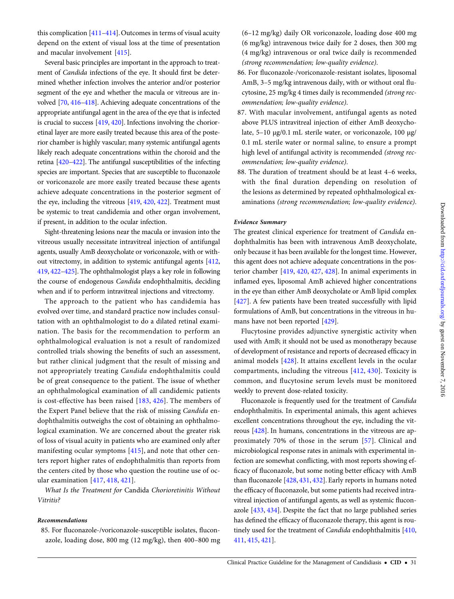this complication [\[411](#page-46-0)–[414\]](#page-46-0). Outcomes in terms of visual acuity depend on the extent of visual loss at the time of presentation and macular involvement [[415\]](#page-46-0).

Several basic principles are important in the approach to treatment of Candida infections of the eye. It should first be determined whether infection involves the anterior and/or posterior segment of the eye and whether the macula or vitreous are involved [\[70,](#page-39-0) [416](#page-46-0)–[418\]](#page-46-0). Achieving adequate concentrations of the appropriate antifungal agent in the area of the eye that is infected is crucial to success [[419](#page-46-0), [420\]](#page-46-0). Infections involving the chorioretinal layer are more easily treated because this area of the posterior chamber is highly vascular; many systemic antifungal agents likely reach adequate concentrations within the choroid and the retina [[420](#page-46-0)–[422](#page-46-0)]. The antifungal susceptibilities of the infecting species are important. Species that are susceptible to fluconazole or voriconazole are more easily treated because these agents achieve adequate concentrations in the posterior segment of the eye, including the vitreous [[419](#page-46-0), [420](#page-46-0), [422\]](#page-46-0). Treatment must be systemic to treat candidemia and other organ involvement, if present, in addition to the ocular infection.

Sight-threatening lesions near the macula or invasion into the vitreous usually necessitate intravitreal injection of antifungal agents, usually AmB deoxycholate or voriconazole, with or without vitrectomy, in addition to systemic antifungal agents [\[412,](#page-46-0) [419](#page-46-0), [422](#page-46-0)–[425\]](#page-46-0). The ophthalmologist plays a key role in following the course of endogenous Candida endophthalmitis, deciding when and if to perform intravitreal injections and vitrectomy.

The approach to the patient who has candidemia has evolved over time, and standard practice now includes consultation with an ophthalmologist to do a dilated retinal examination. The basis for the recommendation to perform an ophthalmological evaluation is not a result of randomized controlled trials showing the benefits of such an assessment, but rather clinical judgment that the result of missing and not appropriately treating Candida endophthalmitis could be of great consequence to the patient. The issue of whether an ophthalmological examination of all candidemic patients is cost-effective has been raised [[183](#page-42-0), [426](#page-46-0)]. The members of the Expert Panel believe that the risk of missing Candida endophthalmitis outweighs the cost of obtaining an ophthalmological examination. We are concerned about the greater risk of loss of visual acuity in patients who are examined only after manifesting ocular symptoms [[415\]](#page-46-0), and note that other centers report higher rates of endophthalmitis than reports from the centers cited by those who question the routine use of ocular examination [\[417](#page-46-0), [418,](#page-46-0) [421\]](#page-46-0).

What Is the Treatment for Candida Chorioretinitis Without Vitritis?

#### Recommendations

85. For fluconazole-/voriconazole-susceptible isolates, fluconazole, loading dose, 800 mg (12 mg/kg), then 400–800 mg

- (6–12 mg/kg) daily OR voriconazole, loading dose 400 mg (6 mg/kg) intravenous twice daily for 2 doses, then 300 mg (4 mg/kg) intravenous or oral twice daily is recommended (strong recommendation; low-quality evidence).
- 86. For fluconazole-/voriconazole-resistant isolates, liposomal AmB, 3–5 mg/kg intravenous daily, with or without oral flucytosine, 25 mg/kg 4 times daily is recommended (strong recommendation; low-quality evidence).
- 87. With macular involvement, antifungal agents as noted above PLUS intravitreal injection of either AmB deoxycholate, 5–10 µg/0.1 mL sterile water, or voriconazole, 100 µg/ 0.1 mL sterile water or normal saline, to ensure a prompt high level of antifungal activity is recommended (strong recommendation; low-quality evidence).
- 88. The duration of treatment should be at least 4–6 weeks, with the final duration depending on resolution of the lesions as determined by repeated ophthalmological examinations (strong recommendation; low-quality evidence).

### Evidence Summary

The greatest clinical experience for treatment of Candida endophthalmitis has been with intravenous AmB deoxycholate, only because it has been available for the longest time. However, this agent does not achieve adequate concentrations in the posterior chamber [[419,](#page-46-0) [420](#page-46-0), [427](#page-46-0), [428\]](#page-46-0). In animal experiments in inflamed eyes, liposomal AmB achieved higher concentrations in the eye than either AmB deoxycholate or AmB lipid complex [\[427\]](#page-46-0). A few patients have been treated successfully with lipid formulations of AmB, but concentrations in the vitreous in humans have not been reported [[429\]](#page-46-0).

Flucytosine provides adjunctive synergistic activity when used with AmB; it should not be used as monotherapy because of development of resistance and reports of decreased efficacy in animal models [[428\]](#page-46-0). It attains excellent levels in the ocular compartments, including the vitreous [[412,](#page-46-0) [430\]](#page-46-0). Toxicity is common, and flucytosine serum levels must be monitored weekly to prevent dose-related toxicity.

Fluconazole is frequently used for the treatment of Candida endophthalmitis. In experimental animals, this agent achieves excellent concentrations throughout the eye, including the vitreous [[428](#page-46-0)]. In humans, concentrations in the vitreous are approximately 70% of those in the serum [[57](#page-39-0)]. Clinical and microbiological response rates in animals with experimental infection are somewhat conflicting, with most reports showing efficacy of fluconazole, but some noting better efficacy with AmB than fluconazole [\[428,](#page-46-0) [431](#page-46-0), [432](#page-46-0)]. Early reports in humans noted the efficacy of fluconazole, but some patients had received intravitreal injection of antifungal agents, as well as systemic fluconazole [\[433,](#page-46-0) [434\]](#page-46-0). Despite the fact that no large published series has defined the efficacy of fluconazole therapy, this agent is routinely used for the treatment of Candida endophthalmitis [\[410,](#page-46-0) [411,](#page-46-0) [415](#page-46-0), [421](#page-46-0)].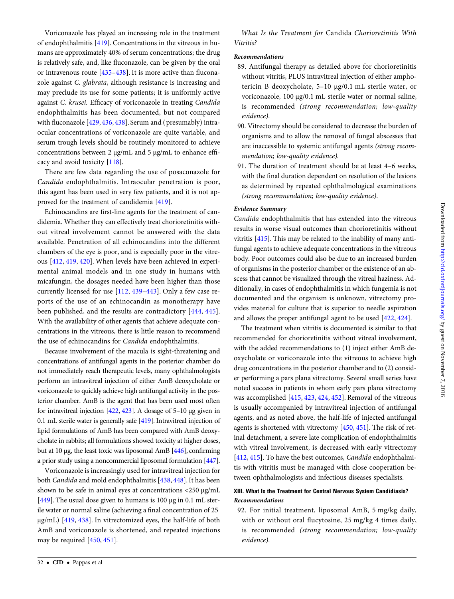Voriconazole has played an increasing role in the treatment of endophthalmitis [[419](#page-46-0)]. Concentrations in the vitreous in humans are approximately 40% of serum concentrations; the drug is relatively safe, and, like fluconazole, can be given by the oral or intravenous route [[435](#page-46-0)–[438\]](#page-47-0). It is more active than fluconazole against C. glabrata, although resistance is increasing and may preclude its use for some patients; it is uniformly active against C. krusei. Efficacy of voriconazole in treating Candida endophthalmitis has been documented, but not compared with fluconazole [\[429,](#page-46-0) [436,](#page-46-0) [438\]](#page-47-0). Serum and ( presumably) intraocular concentrations of voriconazole are quite variable, and serum trough levels should be routinely monitored to achieve concentrations between 2 µg/mL and 5 µg/mL to enhance efficacy and avoid toxicity [\[118](#page-40-0)].

There are few data regarding the use of posaconazole for Candida endophthalmitis. Intraocular penetration is poor, this agent has been used in very few patients, and it is not approved for the treatment of candidemia [\[419\]](#page-46-0).

Echinocandins are first-line agents for the treatment of candidemia. Whether they can effectively treat chorioretinitis without vitreal involvement cannot be answered with the data available. Penetration of all echinocandins into the different chambers of the eye is poor, and is especially poor in the vitreous [\[412,](#page-46-0) [419,](#page-46-0) [420\]](#page-46-0). When levels have been achieved in experimental animal models and in one study in humans with micafungin, the dosages needed have been higher than those currently licensed for use [\[112,](#page-40-0) [439](#page-47-0)–[443](#page-47-0)]. Only a few case reports of the use of an echinocandin as monotherapy have been published, and the results are contradictory [[444,](#page-47-0) [445](#page-47-0)]. With the availability of other agents that achieve adequate concentrations in the vitreous, there is little reason to recommend the use of echinocandins for Candida endophthalmitis.

Because involvement of the macula is sight-threatening and concentrations of antifungal agents in the posterior chamber do not immediately reach therapeutic levels, many ophthalmologists perform an intravitreal injection of either AmB deoxycholate or voriconazole to quickly achieve high antifungal activity in the posterior chamber. AmB is the agent that has been used most often for intravitreal injection [\[422](#page-46-0), [423](#page-46-0)]. A dosage of 5–10 µg given in 0.1 mL sterile water is generally safe [\[419](#page-46-0)]. Intravitreal injection of lipid formulations of AmB has been compared with AmB deoxycholate in rabbits; all formulations showed toxicity at higher doses, but at 10 µg, the least toxic was liposomal AmB [\[446\]](#page-47-0), confirming a prior study using a noncommercial liposomal formulation [[447\]](#page-47-0).

Voriconazole is increasingly used for intravitreal injection for both Candida and mold endophthalmitis [\[438](#page-47-0), [448](#page-47-0)]. It has been shown to be safe in animal eyes at concentrations <250 µg/mL [\[449\]](#page-47-0). The usual dose given to humans is 100  $\mu$ g in 0.1 mL sterile water or normal saline (achieving a final concentration of 25 µg/mL) [[419,](#page-46-0) [438](#page-47-0)]. In vitrectomized eyes, the half-life of both AmB and voriconazole is shortened, and repeated injections may be required [\[450,](#page-47-0) [451\]](#page-47-0).

What Is the Treatment for Candida Chorioretinitis With Vitritis?

### Recommendations

- 89. Antifungal therapy as detailed above for chorioretinitis without vitritis, PLUS intravitreal injection of either amphotericin B deoxycholate, 5–10 µg/0.1 mL sterile water, or voriconazole, 100 µg/0.1 mL sterile water or normal saline, is recommended (strong recommendation; low-quality evidence).
- 90. Vitrectomy should be considered to decrease the burden of organisms and to allow the removal of fungal abscesses that are inaccessible to systemic antifungal agents (strong recommendation; low-quality evidence).
- 91. The duration of treatment should be at least 4–6 weeks, with the final duration dependent on resolution of the lesions as determined by repeated ophthalmological examinations (strong recommendation; low-quality evidence).

### Evidence Summary

Candida endophthalmitis that has extended into the vitreous results in worse visual outcomes than chorioretinitis without vitritis [\[415\]](#page-46-0). This may be related to the inability of many antifungal agents to achieve adequate concentrations in the vitreous body. Poor outcomes could also be due to an increased burden of organisms in the posterior chamber or the existence of an abscess that cannot be visualized through the vitreal haziness. Additionally, in cases of endophthalmitis in which fungemia is not documented and the organism is unknown, vitrectomy provides material for culture that is superior to needle aspiration and allows the proper antifungal agent to be used [\[422,](#page-46-0) [424\]](#page-46-0).

The treatment when vitritis is documented is similar to that recommended for chorioretinitis without vitreal involvement, with the added recommendations to (1) inject either AmB deoxycholate or voriconazole into the vitreous to achieve high drug concentrations in the posterior chamber and to (2) consider performing a pars plana vitrectomy. Several small series have noted success in patients in whom early pars plana vitrectomy was accomplished [\[415,](#page-46-0) [423,](#page-46-0) [424](#page-46-0), [452](#page-47-0)]. Removal of the vitreous is usually accompanied by intravitreal injection of antifungal agents, and as noted above, the half-life of injected antifungal agents is shortened with vitrectomy [\[450,](#page-47-0) [451\]](#page-47-0). The risk of retinal detachment, a severe late complication of endophthalmitis with vitreal involvement, is decreased with early vitrectomy [\[412,](#page-46-0) [415](#page-46-0)]. To have the best outcomes, *Candida* endophthalmitis with vitritis must be managed with close cooperation between ophthalmologists and infectious diseases specialists.

### XIII. What Is the Treatment for Central Nervous System Candidiasis? Recommendations

92. For initial treatment, liposomal AmB, 5 mg/kg daily, with or without oral flucytosine, 25 mg/kg 4 times daily, is recommended (strong recommendation; low-quality evidence).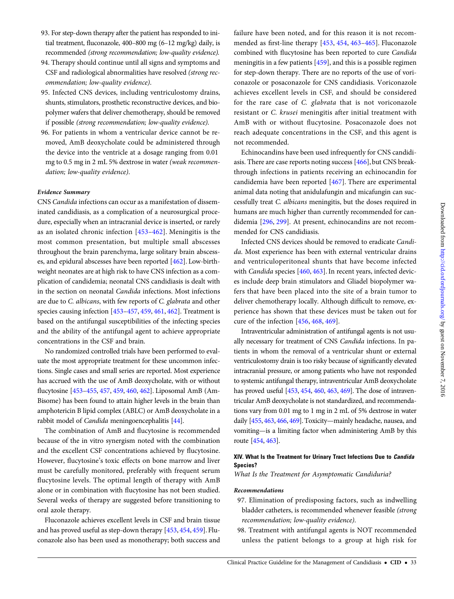- 93. For step-down therapy after the patient has responded to initial treatment, fluconazole, 400–800 mg (6–12 mg/kg) daily, is recommended (strong recommendation; low-quality evidence).
- 94. Therapy should continue until all signs and symptoms and CSF and radiological abnormalities have resolved (strong recommendation; low-quality evidence).
- 95. Infected CNS devices, including ventriculostomy drains, shunts, stimulators, prosthetic reconstructive devices, and biopolymer wafers that deliver chemotherapy, should be removed if possible (strong recommendation; low-quality evidence).
- 96. For patients in whom a ventricular device cannot be removed, AmB deoxycholate could be administered through the device into the ventricle at a dosage ranging from 0.01 mg to 0.5 mg in 2 mL 5% dextrose in water (weak recommendation; low-quality evidence).

CNS Candida infections can occur as a manifestation of disseminated candidiasis, as a complication of a neurosurgical procedure, especially when an intracranial device is inserted, or rarely as an isolated chronic infection [[453](#page-47-0)–[462](#page-47-0)]. Meningitis is the most common presentation, but multiple small abscesses throughout the brain parenchyma, large solitary brain abscesses, and epidural abscesses have been reported [[462](#page-47-0)]. Low-birthweight neonates are at high risk to have CNS infection as a complication of candidemia; neonatal CNS candidiasis is dealt with in the section on neonatal Candida infections. Most infections are due to C. albicans, with few reports of C. glabrata and other species causing infection [[453](#page-47-0)–[457](#page-47-0), [459,](#page-47-0) [461,](#page-47-0) [462](#page-47-0)]. Treatment is based on the antifungal susceptibilities of the infecting species and the ability of the antifungal agent to achieve appropriate concentrations in the CSF and brain.

No randomized controlled trials have been performed to evaluate the most appropriate treatment for these uncommon infections. Single cases and small series are reported. Most experience has accrued with the use of AmB deoxycholate, with or without flucytosine [[453](#page-47-0)–[455](#page-47-0), [457,](#page-47-0) [459](#page-47-0), [460,](#page-47-0) [462](#page-47-0)]. Liposomal AmB (Am-Bisome) has been found to attain higher levels in the brain than amphotericin B lipid complex (ABLC) or AmB deoxycholate in a rabbit model of Candida meningoencephalitis [[44\]](#page-39-0).

The combination of AmB and flucytosine is recommended because of the in vitro synergism noted with the combination and the excellent CSF concentrations achieved by flucytosine. However, flucytosine's toxic effects on bone marrow and liver must be carefully monitored, preferably with frequent serum flucytosine levels. The optimal length of therapy with AmB alone or in combination with flucytosine has not been studied. Several weeks of therapy are suggested before transitioning to oral azole therapy.

Fluconazole achieves excellent levels in CSF and brain tissue and has proved useful as step-down therapy [[453](#page-47-0), [454,](#page-47-0) [459\]](#page-47-0). Fluconazole also has been used as monotherapy; both success and

failure have been noted, and for this reason it is not recommended as first-line therapy [[453,](#page-47-0) [454](#page-47-0), [463](#page-47-0)–[465](#page-47-0)]. Fluconazole combined with flucytosine has been reported to cure Candida meningitis in a few patients [\[459\]](#page-47-0), and this is a possible regimen for step-down therapy. There are no reports of the use of voriconazole or posaconazole for CNS candidiasis. Voriconazole achieves excellent levels in CSF, and should be considered for the rare case of C. glabrata that is not voriconazole resistant or C. krusei meningitis after initial treatment with AmB with or without flucytosine. Posaconazole does not reach adequate concentrations in the CSF, and this agent is not recommended.

Echinocandins have been used infrequently for CNS candidiasis. There are case reports noting success [\[466\]](#page-47-0), but CNS breakthrough infections in patients receiving an echinocandin for candidemia have been reported [[467](#page-47-0)]. There are experimental animal data noting that anidulafungin and micafungin can successfully treat C. albicans meningitis, but the doses required in humans are much higher than currently recommended for candidemia [\[296,](#page-44-0) [299](#page-44-0)]. At present, echinocandins are not recommended for CNS candidiasis.

Infected CNS devices should be removed to eradicate Candida. Most experience has been with external ventricular drains and ventriculoperitoneal shunts that have become infected with Candida species [[460](#page-47-0), [463\]](#page-47-0). In recent years, infected devices include deep brain stimulators and Gliadel biopolymer wafers that have been placed into the site of a brain tumor to deliver chemotherapy locally. Although difficult to remove, experience has shown that these devices must be taken out for cure of the infection [[456](#page-47-0), [468](#page-47-0), [469](#page-47-0)].

Intraventricular administration of antifungal agents is not usually necessary for treatment of CNS Candida infections. In patients in whom the removal of a ventricular shunt or external ventriculostomy drain is too risky because of significantly elevated intracranial pressure, or among patients who have not responded to systemic antifungal therapy, intraventricular AmB deoxycholate has proved useful [\[453](#page-47-0), [454,](#page-47-0) [460,](#page-47-0) [463,](#page-47-0) [469](#page-47-0)]. The dose of intraventricular AmB deoxycholate is not standardized, and recommendations vary from 0.01 mg to 1 mg in 2 mL of 5% dextrose in water daily [[455,](#page-47-0) [463,](#page-47-0) [466](#page-47-0), [469\]](#page-47-0). Toxicity—mainly headache, nausea, and vomiting—is a limiting factor when administering AmB by this route [\[454](#page-47-0), [463](#page-47-0)].

### XIV. What Is the Treatment for Urinary Tract Infections Due to Candida Species?

What Is the Treatment for Asymptomatic Candiduria?

#### Recommendations

- 97. Elimination of predisposing factors, such as indwelling bladder catheters, is recommended whenever feasible (strong recommendation; low-quality evidence).
- 98. Treatment with antifungal agents is NOT recommended unless the patient belongs to a group at high risk for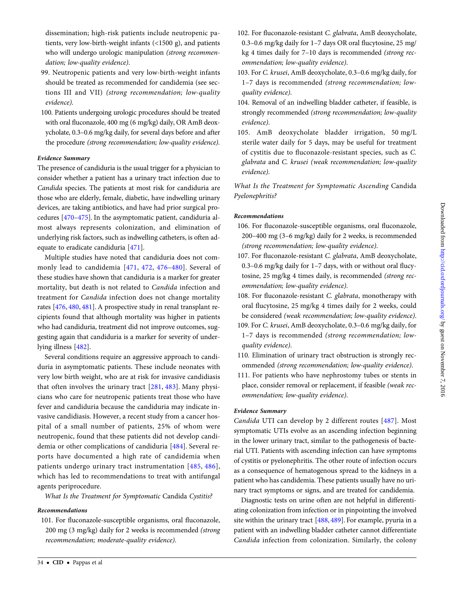dissemination; high-risk patients include neutropenic patients, very low-birth-weight infants (<1500 g), and patients who will undergo urologic manipulation (strong recommendation; low-quality evidence).

- 99. Neutropenic patients and very low-birth-weight infants should be treated as recommended for candidemia (see sections III and VII) (strong recommendation; low-quality evidence).
- 100. Patients undergoing urologic procedures should be treated with oral fluconazole, 400 mg (6 mg/kg) daily, OR AmB deoxycholate, 0.3–0.6 mg/kg daily, for several days before and after the procedure (strong recommendation; low-quality evidence).

### Evidence Summary

The presence of candiduria is the usual trigger for a physician to consider whether a patient has a urinary tract infection due to Candida species. The patients at most risk for candiduria are those who are elderly, female, diabetic, have indwelling urinary devices, are taking antibiotics, and have had prior surgical procedures [\[470](#page-47-0)–[475\]](#page-47-0). In the asymptomatic patient, candiduria almost always represents colonization, and elimination of underlying risk factors, such as indwelling catheters, is often adequate to eradicate candiduria [\[471\]](#page-47-0).

Multiple studies have noted that candiduria does not commonly lead to candidemia [[471](#page-47-0), [472,](#page-47-0) [476](#page-47-0)–[480\]](#page-47-0). Several of these studies have shown that candiduria is a marker for greater mortality, but death is not related to Candida infection and treatment for Candida infection does not change mortality rates [\[476,](#page-47-0) [480](#page-47-0), [481\]](#page-47-0). A prospective study in renal transplant recipients found that although mortality was higher in patients who had candiduria, treatment did not improve outcomes, suggesting again that candiduria is a marker for severity of underlying illness [[482\]](#page-47-0).

Several conditions require an aggressive approach to candiduria in asymptomatic patients. These include neonates with very low birth weight, who are at risk for invasive candidiasis that often involves the urinary tract [\[281](#page-44-0), [483](#page-47-0)]. Many physicians who care for neutropenic patients treat those who have fever and candiduria because the candiduria may indicate invasive candidiasis. However, a recent study from a cancer hospital of a small number of patients, 25% of whom were neutropenic, found that these patients did not develop candidemia or other complications of candiduria [[484\]](#page-47-0). Several reports have documented a high rate of candidemia when patients undergo urinary tract instrumentation [\[485,](#page-47-0) [486](#page-47-0)], which has led to recommendations to treat with antifungal agents periprocedure.

What Is the Treatment for Symptomatic Candida Cystitis?

### Recommendations

101. For fluconazole-susceptible organisms, oral fluconazole, 200 mg (3 mg/kg) daily for 2 weeks is recommended (strong recommendation; moderate-quality evidence).

- 102. For fluconazole-resistant C. glabrata, AmB deoxycholate, 0.3–0.6 mg/kg daily for 1–7 days OR oral flucytosine, 25 mg/ kg 4 times daily for 7–10 days is recommended (strong recommendation; low-quality evidence).
- 103. For C. krusei, AmB deoxycholate, 0.3–0.6 mg/kg daily, for 1–7 days is recommended (strong recommendation; lowquality evidence).
- 104. Removal of an indwelling bladder catheter, if feasible, is strongly recommended (strong recommendation; low-quality evidence).
- 105. AmB deoxycholate bladder irrigation, 50 mg/L sterile water daily for 5 days, may be useful for treatment of cystitis due to fluconazole-resistant species, such as C. glabrata and C. krusei (weak recommendation; low-quality evidence).

What Is the Treatment for Symptomatic Ascending Candida Pyelonephritis?

### Recommendations

- 106. For fluconazole-susceptible organisms, oral fluconazole, 200–400 mg (3–6 mg/kg) daily for 2 weeks, is recommended (strong recommendation; low-quality evidence).
- 107. For fluconazole-resistant C. glabrata, AmB deoxycholate, 0.3–0.6 mg/kg daily for 1–7 days, with or without oral flucytosine, 25 mg/kg 4 times daily, is recommended (strong recommendation; low-quality evidence).
- 108. For fluconazole-resistant C. glabrata, monotherapy with oral flucytosine, 25 mg/kg 4 times daily for 2 weeks, could be considered (weak recommendation; low-quality evidence).
- 109. For C. krusei, AmB deoxycholate, 0.3–0.6 mg/kg daily, for 1–7 days is recommended (strong recommendation; lowquality evidence).
- 110. Elimination of urinary tract obstruction is strongly recommended (strong recommendation; low-quality evidence).
- 111. For patients who have nephrostomy tubes or stents in place, consider removal or replacement, if feasible (weak recommendation; low-quality evidence).

#### Evidence Summary

Candida UTI can develop by 2 different routes [[487](#page-47-0)]. Most symptomatic UTIs evolve as an ascending infection beginning in the lower urinary tract, similar to the pathogenesis of bacterial UTI. Patients with ascending infection can have symptoms of cystitis or pyelonephritis. The other route of infection occurs as a consequence of hematogenous spread to the kidneys in a patient who has candidemia. These patients usually have no urinary tract symptoms or signs, and are treated for candidemia.

Diagnostic tests on urine often are not helpful in differentiating colonization from infection or in pinpointing the involved site within the urinary tract [\[488,](#page-47-0) [489](#page-47-0)]. For example, pyuria in a patient with an indwelling bladder catheter cannot differentiate Candida infection from colonization. Similarly, the colony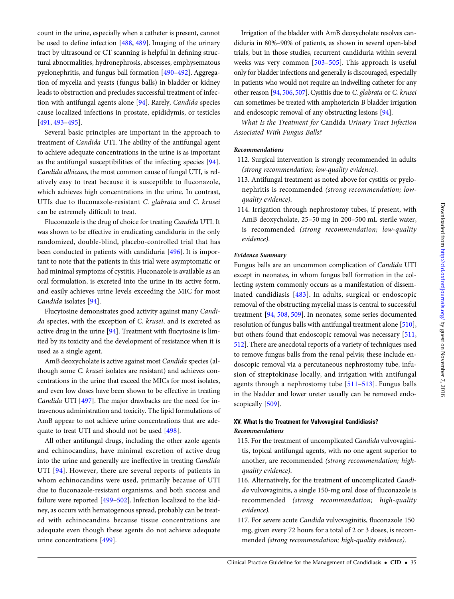count in the urine, especially when a catheter is present, cannot be used to define infection [[488,](#page-47-0) [489](#page-47-0)]. Imaging of the urinary tract by ultrasound or CT scanning is helpful in defining structural abnormalities, hydronephrosis, abscesses, emphysematous pyelonephritis, and fungus ball formation [[490](#page-47-0)–[492](#page-47-0)]. Aggregation of mycelia and yeasts (fungus balls) in bladder or kidney leads to obstruction and precludes successful treatment of infection with antifungal agents alone [\[94](#page-40-0)]. Rarely, Candida species cause localized infections in prostate, epididymis, or testicles [\[491,](#page-47-0) [493](#page-47-0)–[495](#page-48-0)].

Several basic principles are important in the approach to treatment of Candida UTI. The ability of the antifungal agent to achieve adequate concentrations in the urine is as important as the antifungal susceptibilities of the infecting species [\[94\]](#page-40-0). Candida albicans, the most common cause of fungal UTI, is relatively easy to treat because it is susceptible to fluconazole, which achieves high concentrations in the urine. In contrast, UTIs due to fluconazole-resistant C. glabrata and C. krusei can be extremely difficult to treat.

Fluconazole is the drug of choice for treating Candida UTI. It was shown to be effective in eradicating candiduria in the only randomized, double-blind, placebo-controlled trial that has been conducted in patients with candiduria [\[496\]](#page-48-0). It is important to note that the patients in this trial were asymptomatic or had minimal symptoms of cystitis. Fluconazole is available as an oral formulation, is excreted into the urine in its active form, and easily achieves urine levels exceeding the MIC for most Candida isolates [[94\]](#page-40-0).

Flucytosine demonstrates good activity against many Candida species, with the exception of C. krusei, and is excreted as active drug in the urine [[94\]](#page-40-0). Treatment with flucytosine is limited by its toxicity and the development of resistance when it is used as a single agent.

AmB deoxycholate is active against most Candida species (although some C. krusei isolates are resistant) and achieves concentrations in the urine that exceed the MICs for most isolates, and even low doses have been shown to be effective in treating Candida UTI [\[497](#page-48-0)]. The major drawbacks are the need for intravenous administration and toxicity. The lipid formulations of AmB appear to not achieve urine concentrations that are adequate to treat UTI and should not be used [[498](#page-48-0)].

All other antifungal drugs, including the other azole agents and echinocandins, have minimal excretion of active drug into the urine and generally are ineffective in treating Candida UTI [[94](#page-40-0)]. However, there are several reports of patients in whom echinocandins were used, primarily because of UTI due to fluconazole-resistant organisms, and both success and failure were reported [\[499](#page-48-0)–[502\]](#page-48-0). Infection localized to the kidney, as occurs with hematogenous spread, probably can be treated with echinocandins because tissue concentrations are adequate even though these agents do not achieve adequate urine concentrations [[499](#page-48-0)].

Irrigation of the bladder with AmB deoxycholate resolves candiduria in 80%–90% of patients, as shown in several open-label trials, but in those studies, recurrent candiduria within several weeks was very common [[503](#page-48-0)–[505](#page-48-0)]. This approach is useful only for bladder infections and generally is discouraged, especially in patients who would not require an indwelling catheter for any other reason [\[94,](#page-40-0) [506,](#page-48-0) [507](#page-48-0)]. Cystitis due to C. glabrata or C. krusei can sometimes be treated with amphotericin B bladder irrigation and endoscopic removal of any obstructing lesions [\[94\]](#page-40-0).

What Is the Treatment for Candida Urinary Tract Infection Associated With Fungus Balls?

### Recommendations

- 112. Surgical intervention is strongly recommended in adults (strong recommendation; low-quality evidence).
- 113. Antifungal treatment as noted above for cystitis or pyelonephritis is recommended (strong recommendation; lowquality evidence).
- 114. Irrigation through nephrostomy tubes, if present, with AmB deoxycholate, 25–50 mg in 200–500 mL sterile water, is recommended (strong recommendation; low-quality evidence).

### Evidence Summary

Fungus balls are an uncommon complication of Candida UTI except in neonates, in whom fungus ball formation in the collecting system commonly occurs as a manifestation of disseminated candidiasis [\[483\]](#page-47-0). In adults, surgical or endoscopic removal of the obstructing mycelial mass is central to successful treatment [\[94](#page-40-0), [508](#page-48-0), [509](#page-48-0)]. In neonates, some series documented resolution of fungus balls with antifungal treatment alone [[510\]](#page-48-0), but others found that endoscopic removal was necessary [\[511,](#page-48-0) [512\]](#page-48-0). There are anecdotal reports of a variety of techniques used to remove fungus balls from the renal pelvis; these include endoscopic removal via a percutaneous nephrostomy tube, infusion of streptokinase locally, and irrigation with antifungal agents through a nephrostomy tube [\[511](#page-48-0)–[513\]](#page-48-0). Fungus balls in the bladder and lower ureter usually can be removed endo-scopically [[509\]](#page-48-0).

### XV. What Is the Treatment for Vulvovaginal Candidiasis? Recommendations

- 115. For the treatment of uncomplicated Candida vulvovaginitis, topical antifungal agents, with no one agent superior to another, are recommended (strong recommendation; highquality evidence).
- 116. Alternatively, for the treatment of uncomplicated Candida vulvovaginitis, a single 150-mg oral dose of fluconazole is recommended (strong recommendation; high-quality evidence).
- 117. For severe acute Candida vulvovaginitis, fluconazole 150 mg, given every 72 hours for a total of 2 or 3 doses, is recommended (strong recommendation; high-quality evidence).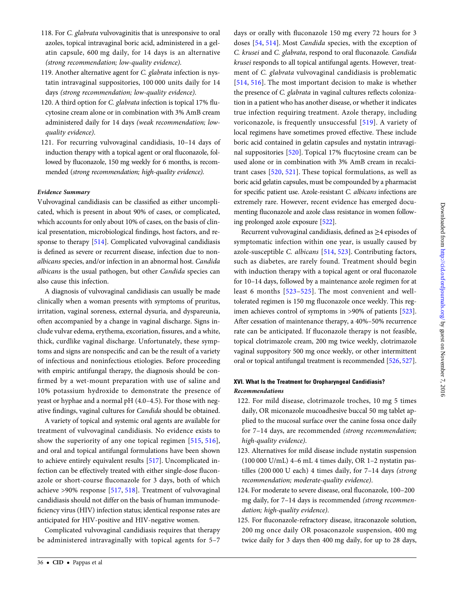- 118. For C. glabrata vulvovaginitis that is unresponsive to oral azoles, topical intravaginal boric acid, administered in a gelatin capsule, 600 mg daily, for 14 days is an alternative (strong recommendation; low-quality evidence).
- 119. Another alternative agent for C. glabrata infection is nystatin intravaginal suppositories, 100 000 units daily for 14 days (strong recommendation; low-quality evidence).
- 120. A third option for C. glabrata infection is topical 17% flucytosine cream alone or in combination with 3% AmB cream administered daily for 14 days (weak recommendation; lowquality evidence).
- 121. For recurring vulvovaginal candidiasis, 10–14 days of induction therapy with a topical agent or oral fluconazole, followed by fluconazole, 150 mg weekly for 6 months, is recommended (strong recommendation; high-quality evidence).

Vulvovaginal candidiasis can be classified as either uncomplicated, which is present in about 90% of cases, or complicated, which accounts for only about 10% of cases, on the basis of clinical presentation, microbiological findings, host factors, and response to therapy [[514\]](#page-48-0). Complicated vulvovaginal candidiasis is defined as severe or recurrent disease, infection due to nonalbicans species, and/or infection in an abnormal host. Candida albicans is the usual pathogen, but other Candida species can also cause this infection.

A diagnosis of vulvovaginal candidiasis can usually be made clinically when a woman presents with symptoms of pruritus, irritation, vaginal soreness, external dysuria, and dyspareunia, often accompanied by a change in vaginal discharge. Signs include vulvar edema, erythema, excoriation, fissures, and a white, thick, curdlike vaginal discharge. Unfortunately, these symptoms and signs are nonspecific and can be the result of a variety of infectious and noninfectious etiologies. Before proceeding with empiric antifungal therapy, the diagnosis should be confirmed by a wet-mount preparation with use of saline and 10% potassium hydroxide to demonstrate the presence of yeast or hyphae and a normal pH (4.0–4.5). For those with negative findings, vaginal cultures for Candida should be obtained.

A variety of topical and systemic oral agents are available for treatment of vulvovaginal candidiasis. No evidence exists to show the superiority of any one topical regimen [\[515](#page-48-0), [516](#page-48-0)], and oral and topical antifungal formulations have been shown to achieve entirely equivalent results [\[517](#page-48-0)]. Uncomplicated infection can be effectively treated with either single-dose fluconazole or short-course fluconazole for 3 days, both of which achieve >90% response [[517,](#page-48-0) [518](#page-48-0)]. Treatment of vulvovaginal candidiasis should not differ on the basis of human immunodeficiency virus (HIV) infection status; identical response rates are anticipated for HIV-positive and HIV-negative women.

Complicated vulvovaginal candidiasis requires that therapy be administered intravaginally with topical agents for 5–7 days or orally with fluconazole 150 mg every 72 hours for 3 doses [[54,](#page-39-0) [514\]](#page-48-0). Most Candida species, with the exception of C. krusei and C. glabrata, respond to oral fluconazole. Candida krusei responds to all topical antifungal agents. However, treatment of C. glabrata vulvovaginal candidiasis is problematic [\[514](#page-48-0), [516](#page-48-0)]. The most important decision to make is whether the presence of C. glabrata in vaginal cultures reflects colonization in a patient who has another disease, or whether it indicates true infection requiring treatment. Azole therapy, including voriconazole, is frequently unsuccessful [[519](#page-48-0)]. A variety of local regimens have sometimes proved effective. These include boric acid contained in gelatin capsules and nystatin intravaginal suppositories [\[520\]](#page-48-0). Topical 17% flucytosine cream can be used alone or in combination with 3% AmB cream in recalcitrant cases [[520,](#page-48-0) [521](#page-48-0)]. These topical formulations, as well as boric acid gelatin capsules, must be compounded by a pharmacist for specific patient use. Azole-resistant C. albicans infections are extremely rare. However, recent evidence has emerged documenting fluconazole and azole class resistance in women following prolonged azole exposure [[522\]](#page-48-0).

Recurrent vulvovaginal candidiasis, defined as ≥4 episodes of symptomatic infection within one year, is usually caused by azole-susceptible C. albicans [\[514](#page-48-0), [523\]](#page-48-0). Contributing factors, such as diabetes, are rarely found. Treatment should begin with induction therapy with a topical agent or oral fluconazole for 10–14 days, followed by a maintenance azole regimen for at least 6 months [[523](#page-48-0)–[525\]](#page-48-0). The most convenient and welltolerated regimen is 150 mg fluconazole once weekly. This regimen achieves control of symptoms in >90% of patients [[523\]](#page-48-0). After cessation of maintenance therapy, a 40%–50% recurrence rate can be anticipated. If fluconazole therapy is not feasible, topical clotrimazole cream, 200 mg twice weekly, clotrimazole vaginal suppository 500 mg once weekly, or other intermittent oral or topical antifungal treatment is recommended [[526](#page-48-0), [527\]](#page-48-0).

### XVI. What Is the Treatment for Oropharyngeal Candidiasis? Recommendations

- 122. For mild disease, clotrimazole troches, 10 mg 5 times daily, OR miconazole mucoadhesive buccal 50 mg tablet applied to the mucosal surface over the canine fossa once daily for 7–14 days, are recommended (strong recommendation; high-quality evidence).
- 123. Alternatives for mild disease include nystatin suspension (100 000 U/mL) 4–6 mL 4 times daily, OR 1–2 nystatin pastilles (200 000 U each) 4 times daily, for 7–14 days (strong recommendation; moderate-quality evidence).
- 124. For moderate to severe disease, oral fluconazole, 100–200 mg daily, for 7–14 days is recommended (strong recommendation; high-quality evidence).
- 125. For fluconazole-refractory disease, itraconazole solution, 200 mg once daily OR posaconazole suspension, 400 mg twice daily for 3 days then 400 mg daily, for up to 28 days,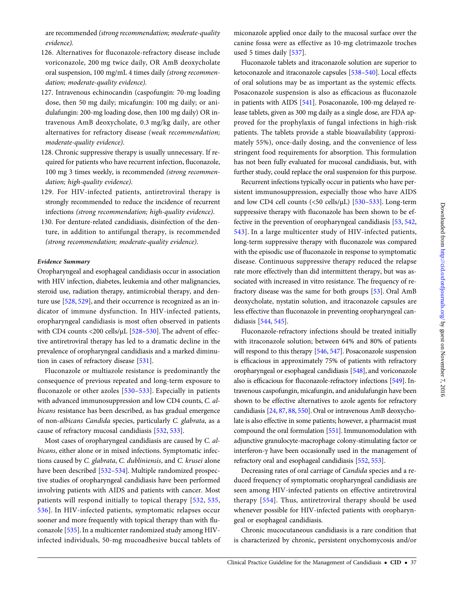are recommended (strong recommendation; moderate-quality evidence).

- 126. Alternatives for fluconazole-refractory disease include voriconazole, 200 mg twice daily, OR AmB deoxycholate oral suspension, 100 mg/mL 4 times daily (strong recommendation; moderate-quality evidence).
- 127. Intravenous echinocandin (caspofungin: 70-mg loading dose, then 50 mg daily; micafungin: 100 mg daily; or anidulafungin: 200-mg loading dose, then 100 mg daily) OR intravenous AmB deoxycholate, 0.3 mg/kg daily, are other alternatives for refractory disease (weak recommendation; moderate-quality evidence).
- 128. Chronic suppressive therapy is usually unnecessary. If required for patients who have recurrent infection, fluconazole, 100 mg 3 times weekly, is recommended (strong recommendation; high-quality evidence).
- 129. For HIV-infected patients, antiretroviral therapy is strongly recommended to reduce the incidence of recurrent infections (strong recommendation; high-quality evidence).
- 130. For denture-related candidiasis, disinfection of the denture, in addition to antifungal therapy, is recommended (strong recommendation; moderate-quality evidence).

### Evidence Summary

Oropharyngeal and esophageal candidiasis occur in association with HIV infection, diabetes, leukemia and other malignancies, steroid use, radiation therapy, antimicrobial therapy, and denture use [[528](#page-48-0), [529\]](#page-48-0), and their occurrence is recognized as an indicator of immune dysfunction. In HIV-infected patients, oropharyngeal candidiasis is most often observed in patients with CD4 counts <200 cells/ $\mu$ L [\[528](#page-48-0)–[530\]](#page-48-0). The advent of effective antiretroviral therapy has led to a dramatic decline in the prevalence of oropharyngeal candidiasis and a marked diminution in cases of refractory disease [[531\]](#page-48-0).

Fluconazole or multiazole resistance is predominantly the consequence of previous repeated and long-term exposure to fluconazole or other azoles [\[530](#page-48-0)–[533\]](#page-48-0). Especially in patients with advanced immunosuppression and low CD4 counts, C. albicans resistance has been described, as has gradual emergence of non-albicans Candida species, particularly C. glabrata, as a cause of refractory mucosal candidiasis [\[532,](#page-48-0) [533\]](#page-48-0).

Most cases of oropharyngeal candidiasis are caused by C. albicans, either alone or in mixed infections. Symptomatic infections caused by C. glabrata, C. dubliniensis, and C. krusei alone have been described [[532](#page-48-0)–[534](#page-48-0)]. Multiple randomized prospective studies of oropharyngeal candidiasis have been performed involving patients with AIDS and patients with cancer. Most patients will respond initially to topical therapy [[532](#page-48-0), [535,](#page-48-0) [536](#page-48-0)]. In HIV-infected patients, symptomatic relapses occur sooner and more frequently with topical therapy than with fluconazole [\[535\]](#page-48-0). In a multicenter randomized study among HIVinfected individuals, 50-mg mucoadhesive buccal tablets of miconazole applied once daily to the mucosal surface over the canine fossa were as effective as 10-mg clotrimazole troches used 5 times daily [\[537](#page-48-0)].

Fluconazole tablets and itraconazole solution are superior to ketoconazole and itraconazole capsules [\[538](#page-48-0)–[540](#page-48-0)]. Local effects of oral solutions may be as important as the systemic effects. Posaconazole suspension is also as efficacious as fluconazole in patients with AIDS [\[541\]](#page-48-0). Posaconazole, 100-mg delayed release tablets, given as 300 mg daily as a single dose, are FDA approved for the prophylaxis of fungal infections in high-risk patients. The tablets provide a stable bioavailability (approximately 55%), once-daily dosing, and the convenience of less stringent food requirements for absorption. This formulation has not been fully evaluated for mucosal candidiasis, but, with further study, could replace the oral suspension for this purpose.

Recurrent infections typically occur in patients who have persistent immunosuppression, especially those who have AIDS and low CD4 cell counts (<50 cells/µL) [\[530](#page-48-0)-[533](#page-48-0)]. Long-term suppressive therapy with fluconazole has been shown to be effective in the prevention of oropharyngeal candidiasis [\[53](#page-39-0), [542,](#page-48-0) [543](#page-48-0)]. In a large multicenter study of HIV-infected patients, long-term suppressive therapy with fluconazole was compared with the episodic use of fluconazole in response to symptomatic disease. Continuous suppressive therapy reduced the relapse rate more effectively than did intermittent therapy, but was associated with increased in vitro resistance. The frequency of refractory disease was the same for both groups [\[53\]](#page-39-0). Oral AmB deoxycholate, nystatin solution, and itraconazole capsules are less effective than fluconazole in preventing oropharyngeal candidiasis [\[544](#page-48-0), [545](#page-48-0)].

Fluconazole-refractory infections should be treated initially with itraconazole solution; between 64% and 80% of patients will respond to this therapy [\[546,](#page-48-0) [547\]](#page-49-0). Posaconazole suspension is efficacious in approximately 75% of patients with refractory oropharyngeal or esophageal candidiasis [\[548\]](#page-49-0), and voriconazole also is efficacious for fluconazole-refractory infections [[549](#page-49-0)]. Intravenous caspofungin, micafungin, and anidulafungin have been shown to be effective alternatives to azole agents for refractory candidiasis [\[24](#page-38-0), [87](#page-40-0), [88,](#page-40-0) [550\]](#page-49-0). Oral or intravenous AmB deoxycholate is also effective in some patients; however, a pharmacist must compound the oral formulation [[551\]](#page-49-0). Immunomodulation with adjunctive granulocyte-macrophage colony-stimulating factor or interferon-γ have been occasionally used in the management of refractory oral and esophageal candidiasis [\[552](#page-49-0), [553\]](#page-49-0).

Decreasing rates of oral carriage of Candida species and a reduced frequency of symptomatic oropharyngeal candidiasis are seen among HIV-infected patients on effective antiretroviral therapy [\[554\]](#page-49-0). Thus, antiretroviral therapy should be used whenever possible for HIV-infected patients with oropharyngeal or esophageal candidiasis.

Chronic mucocutaneous candidiasis is a rare condition that is characterized by chronic, persistent onychomycosis and/or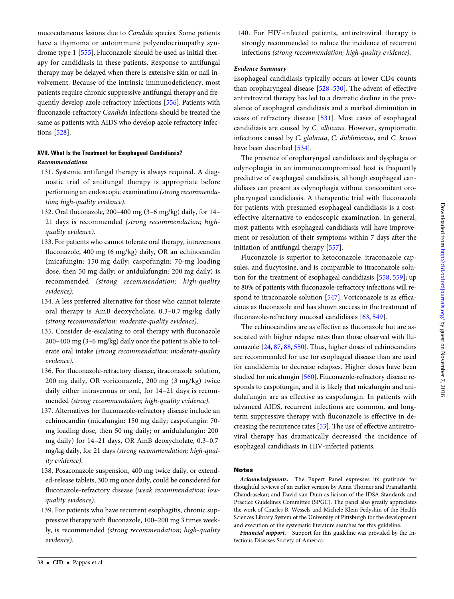mucocutaneous lesions due to Candida species. Some patients have a thymoma or autoimmune polyendocrinopathy syndrome type 1 [[555](#page-49-0)]. Fluconazole should be used as initial therapy for candidiasis in these patients. Response to antifungal therapy may be delayed when there is extensive skin or nail involvement. Because of the intrinsic immunodeficiency, most patients require chronic suppressive antifungal therapy and frequently develop azole-refractory infections [\[556](#page-49-0)]. Patients with fluconazole-refractory Candida infections should be treated the same as patients with AIDS who develop azole refractory infections [[528](#page-48-0)].

### XVII. What Is the Treatment for Esophageal Candidiasis? Recommendations

- 131. Systemic antifungal therapy is always required. A diagnostic trial of antifungal therapy is appropriate before performing an endoscopic examination (strong recommendation; high-quality evidence).
- 132. Oral fluconazole, 200–400 mg (3–6 mg/kg) daily, for 14– 21 days is recommended (strong recommendation; highquality evidence).
- 133. For patients who cannot tolerate oral therapy, intravenous fluconazole, 400 mg (6 mg/kg) daily, OR an echinocandin (micafungin: 150 mg daily; caspofungin: 70-mg loading dose, then 50 mg daily; or anidulafungin: 200 mg daily) is recommended (strong recommendation; high-quality evidence).
- 134. A less preferred alternative for those who cannot tolerate oral therapy is AmB deoxycholate, 0.3–0.7 mg/kg daily (strong recommendation; moderate-quality evidence).
- 135. Consider de-escalating to oral therapy with fluconazole 200–400 mg (3–6 mg/kg) daily once the patient is able to tolerate oral intake (strong recommendation; moderate-quality evidence).
- 136. For fluconazole-refractory disease, itraconazole solution, 200 mg daily, OR voriconazole, 200 mg (3 mg/kg) twice daily either intravenous or oral, for 14–21 days is recommended (strong recommendation; high-quality evidence).
- 137. Alternatives for fluconazole-refractory disease include an echinocandin (micafungin: 150 mg daily; caspofungin: 70 mg loading dose, then 50 mg daily; or anidulafungin: 200 mg daily) for 14–21 days, OR AmB deoxycholate, 0.3–0.7 mg/kg daily, for 21 days (strong recommendation; high-quality evidence).
- 138. Posaconazole suspension, 400 mg twice daily, or extended-release tablets, 300 mg once daily, could be considered for fluconazole-refractory disease (weak recommendation; lowquality evidence).
- 139. For patients who have recurrent esophagitis, chronic suppressive therapy with fluconazole, 100–200 mg 3 times weekly, is recommended (strong recommendation; high-quality evidence).

140. For HIV-infected patients, antiretroviral therapy is strongly recommended to reduce the incidence of recurrent infections (strong recommendation; high-quality evidence).

### Evidence Summary

Esophageal candidiasis typically occurs at lower CD4 counts than oropharyngeal disease [\[528](#page-48-0)–[530](#page-48-0)]. The advent of effective antiretroviral therapy has led to a dramatic decline in the prevalence of esophageal candidiasis and a marked diminution in cases of refractory disease [[531\]](#page-48-0). Most cases of esophageal candidiasis are caused by C. albicans. However, symptomatic infections caused by C. glabrata, C. dubliniensis, and C. krusei have been described [[534](#page-48-0)].

The presence of oropharyngeal candidiasis and dysphagia or odynophagia in an immunocompromised host is frequently predictive of esophageal candidiasis, although esophageal candidiasis can present as odynophagia without concomitant oropharyngeal candidiasis. A therapeutic trial with fluconazole for patients with presumed esophageal candidiasis is a costeffective alternative to endoscopic examination. In general, most patients with esophageal candidiasis will have improvement or resolution of their symptoms within 7 days after the initiation of antifungal therapy [[557\]](#page-49-0).

Fluconazole is superior to ketoconazole, itraconazole capsules, and flucytosine, and is comparable to itraconazole solution for the treatment of esophageal candidiasis [[558](#page-49-0), [559](#page-49-0)]; up to 80% of patients with fluconazole-refractory infections will respond to itraconazole solution [\[547\]](#page-49-0). Voriconazole is as efficacious as fluconazole and has shown success in the treatment of fluconazole-refractory mucosal candidiasis [\[63](#page-39-0), [549\]](#page-49-0).

The echinocandins are as effective as fluconazole but are associated with higher relapse rates than those observed with fluconazole [\[24](#page-38-0), [87](#page-40-0), [88](#page-40-0), [550](#page-49-0)]. Thus, higher doses of echinocandins are recommended for use for esophageal disease than are used for candidemia to decrease relapses. Higher doses have been studied for micafungin [\[560](#page-49-0)]. Fluconazole-refractory disease responds to caspofungin, and it is likely that micafungin and anidulafungin are as effective as caspofungin. In patients with advanced AIDS, recurrent infections are common, and longterm suppressive therapy with fluconazole is effective in decreasing the recurrence rates [[53](#page-39-0)]. The use of effective antiretroviral therapy has dramatically decreased the incidence of esophageal candidiasis in HIV-infected patients.

#### Notes

Acknowledgments. The Expert Panel expresses its gratitude for thoughtful reviews of an earlier version by Anna Thorner and Pranatharthi Chandrasekar; and David van Duin as liaison of the IDSA Standards and Practice Guidelines Committee (SPGC). The panel also greatly appreciates the work of Charles B. Wessels and Michele Klein Fedyshin of the Health Sciences Library System of the University of Pittsburgh for the development and execution of the systematic literature searches for this guideline.

Financial support. Support for this guideline was provided by the Infectious Diseases Society of America.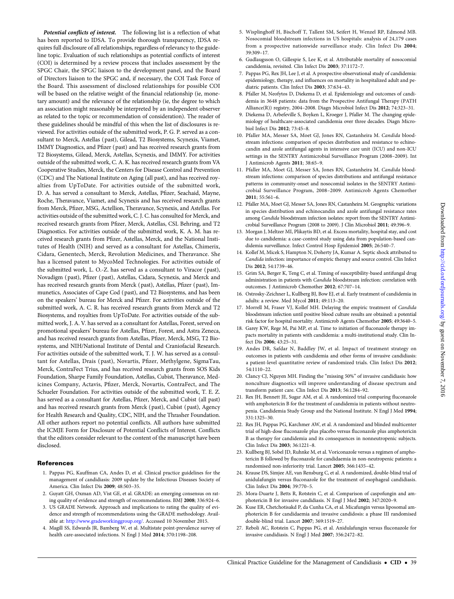<span id="page-38-0"></span>Potential conflicts of interest. The following list is a reflection of what has been reported to IDSA. To provide thorough transparency, IDSA requires full disclosure of all relationships, regardless of relevancy to the guideline topic. Evaluation of such relationships as potential conflicts of interest (COI) is determined by a review process that includes assessment by the SPGC Chair, the SPGC liaison to the development panel, and the Board of Directors liaison to the SPGC and, if necessary, the COI Task Force of the Board. This assessment of disclosed relationships for possible COI will be based on the relative weight of the financial relationship (ie, monetary amount) and the relevance of the relationship (ie, the degree to which an association might reasonably be interpreted by an independent observer as related to the topic or recommendation of consideration). The reader of these guidelines should be mindful of this when the list of disclosures is reviewed. For activities outside of the submitted work, P. G. P. served as a consultant to Merck, Astellas (past), Gilead, T2 Biosystems, Scynexis, Viamet, IMMY Diagnostics, and Pfizer (past) and has received research grants from T2 Biosystems, Gilead, Merck, Astellas, Scynexis, and IMMY. For activities outside of the submitted work, C. A. K. has received research grants from VA Cooperative Studies, Merck, the Centers for Disease Control and Prevention (CDC) and The National Institute on Aging (all past), and has received royalties from UpToDate. For activities outside of the submitted work, D. A. has served a consultant to Merck, Astellas, Pfizer, Seachaid, Mayne, Roche, Theravance, Viamet, and Scynexis and has received research grants from Merck, Pfizer, MSG, Actellion, Theravance, Scynexis, and Astellas. For activities outside of the submitted work, C. J. C. has consulted for Merck, and received research grants from Pfizer, Merck, Astellas, CSL Behring, and T2 Diagnostics. For activities outside of the submitted work, K. A. M. has received research grants from Pfizer, Astellas, Merck, and the National Institutes of Health (NIH) and served as a consultant for Astellas, Chimerix, Cidara, Genentech, Merck, Revolution Medicines, and Theravance. She has a licensed patent to MycoMed Technologies. For activities outside of the submitted work, L. O.-Z. has served as a consultant to Viracor (past), Novadigm (past), Pfizer ( past), Astellas, Cidara, Scynexis, and Merck and has received research grants from Merck (past), Astellas, Pfizer (past), Immunetics, Associates of Cape Cod (past), and T2 Biosystems, and has been on the speakers' bureau for Merck and Pfizer. For activities outside of the submitted work, A. C. R. has received research grants from Merck and T2 Biosystems, and royalties from UpToDate. For activities outside of the submitted work, J. A. V. has served as a consultant for Astellas, Forest, served on promotional speakers' bureau for Astellas, Pfizer, Forest, and Astra Zeneca, and has received research grants from Astellas, Pfizer, Merck, MSG, T2 Biosystems, and NIH/National Institute of Dental and Craniofacial Research. For activities outside of the submitted work, T. J. W. has served as a consultant for Astellas, Drais ( past), Novartis, Pfizer, Methylgene, SigmaTau, Merck, ContraFect Trius, and has received research grants from SOS Kids Foundation, Sharpe Family Foundation, Astellas, Cubist, Theravance, Medicines Company, Actavis, Pfizer, Merck, Novartis, ContraFect, and The Schueler Foundation. For activities outside of the submitted work, T. E. Z. has served as a consultant for Astellas, Pfizer, Merck, and Cubist (all past) and has received research grants from Merck (past), Cubist (past), Agency for Health Research and Quality, CDC, NIH, and the Thrasher Foundation. All other authors report no potential conflicts. All authors have submitted the ICMJE Form for Disclosure of Potential Conflicts of Interest. Conflicts that the editors consider relevant to the content of the manuscript have been disclosed.

#### **References**

- 1. Pappas PG, Kauffman CA, Andes D, et al. Clinical practice guidelines for the management of candidiasis: 2009 update by the Infectious Diseases Society of America. Clin Infect Dis 2009; 48:503–35.
- 2. Guyatt GH, Oxman AD, Vist GE, et al. GRADE: an emerging consensus on rating quality of evidence and strength of recommendations. BMJ 2008; 336:924–6.
- 3. US GRADE Network. Approach and implications to rating the quality of evidence and strength of recommendations using the GRADE methodology. Available at: [http://www.gradeworkinggroup.org/.](http://www.gradeworkinggroup.org/) Accessed 10 November 2015.
- 4. Magill SS, Edwards JR, Bamberg W, et al. Multistate point-prevalence survey of health care-associated infections. N Engl J Med 2014; 370:1198–208.
- 5. Wisplinghoff H, Bischoff T, Tallent SM, Seifert H, Wenzel RP, Edmond MB. Nosocomial bloodstream infections in US hospitals: analysis of 24,179 cases from a prospective nationwide surveillance study. Clin Infect Dis 2004; 39:309–17.
- 6. Gudlaugsson O, Gillespie S, Lee K, et al. Attributable mortality of nosocomial candidemia, revisited. Clin Infect Dis 2003; 37:1172–7.
- 7. Pappas PG, Rex JH, Lee J, et al. A prospective observational study of candidemia: epidemiology, therapy, and influences on mortality in hospitalized adult and pediatric patients. Clin Infect Dis 2003; 37:634–43.
- 8. Pfaller M, Neofytos D, Diekema D, et al. Epidemiology and outcomes of candidemia in 3648 patients: data from the Prospective Antifungal Therapy (PATH Alliance(R)) registry, 2004–2008. Diagn Microbiol Infect Dis 2012; 74:323–31.
- 9. Diekema D, Arbefeville S, Boyken L, Kroeger J, Pfaller M. The changing epidemiology of healthcare-associated candidemia over three decades. Diagn Microbiol Infect Dis 2012; 73:45–8.
- 10. Pfaller MA, Messer SA, Moet GJ, Jones RN, Castanheira M. Candida bloodstream infections: comparison of species distribution and resistance to echinocandin and azole antifungal agents in intensive care unit (ICU) and non-ICU settings in the SENTRY Antimicrobial Surveillance Program (2008–2009). Int J Antimicrob Agents 2011; 38:65–9.
- 11. Pfaller MA, Moet GJ, Messer SA, Jones RN, Castanheira M. Candida bloodstream infections: comparison of species distributions and antifungal resistance patterns in community-onset and nosocomial isolates in the SENTRY Antimicrobial Surveillance Program, 2008–2009. Antimicrob Agents Chemother 2011; 55:561–6.
- 12. Pfaller MA, Moet GJ, Messer SA, Jones RN, Castanheira M. Geographic variations in species distribution and echinocandin and azole antifungal resistance rates among Candida bloodstream infection isolates: report from the SENTRY Antimicrobial Surveillance Program (2008 to 2009). J Clin Microbiol 2011; 49:396–9.
- 13. Morgan J, Meltzer MI, Plikaytis BD, et al. Excess mortality, hospital stay, and cost due to candidemia: a case-control study using data from population-based candidemia surveillance. Infect Control Hosp Epidemiol 2005; 26:540–7.
- 14. Kollef M, Micek S, Hampton N, Doherty JA, Kumar A. Septic shock attributed to Candida infection: importance of empiric therapy and source control. Clin Infect Dis 2012; 54:1739–46.
- 15. Grim SA, Berger K, Teng C, et al. Timing of susceptibility-based antifungal drug administration in patients with Candida bloodstream infection: correlation with outcomes. J Antimicrob Chemother 2012; 67:707–14.
- 16. Ostrosky-Zeichner L, Kullberg BJ, Bow EJ, et al. Early treatment of candidemia in adults: a review. Med Mycol 2011; 49:113–20.
- 17. Morrell M, Fraser VJ, Kollef MH. Delaying the empiric treatment of Candida bloodstream infection until positive blood culture results are obtained: a potential risk factor for hospital mortality. Antimicrob Agents Chemother 2005; 49:3640–5.
- 18. Garey KW, Rege M, Pai MP, et al. Time to initiation of fluconazole therapy impacts mortality in patients with candidemia: a multi-institutional study. Clin Infect Dis 2006; 43:25–31.
- 19. Andes DR, Safdar N, Baddley JW, et al. Impact of treatment strategy on outcomes in patients with candidemia and other forms of invasive candidiasis: a patient-level quantitative review of randomized trials. Clin Infect Dis 2012; 54:1110–22.
- 20. Clancy CJ, Nguyen MH. Finding the "missing 50%" of invasive candidiasis: how nonculture diagnostics will improve understanding of disease spectrum and transform patient care. Clin Infect Dis 2013; 56:1284–92.
- 21. Rex JH, Bennett JE, Sugar AM, et al. A randomized trial comparing fluconazole with amphotericin B for the treatment of candidemia in patients without neutropenia. Candidemia Study Group and the National Institute. N Engl J Med 1994; 331:1325–30.
- 22. Rex JH, Pappas PG, Karchmer AW, et al. A randomized and blinded multicenter trial of high-dose fluconazole plus placebo versus fluconazole plus amphotericin B as therapy for candidemia and its consequences in nonneutropenic subjects. Clin Infect Dis 2003; 36:1221–8.
- 23. Kullberg BJ, Sobel JD, Ruhnke M, et al. Voriconazole versus a regimen of amphotericin B followed by fluconazole for candidaemia in non-neutropenic patients: a randomised non-inferiority trial. Lancet 2005; 366:1435–42.
- 24. Krause DS, Simjee AE, van Rensburg C, et al. A randomized, double-blind trial of anidulafungin versus fluconazole for the treatment of esophageal candidiasis. Clin Infect Dis 2004; 39:770–5.
- 25. Mora-Duarte J, Betts R, Rotstein C, et al. Comparison of caspofungin and amphotericin B for invasive candidiasis. N Engl J Med 2002; 347:2020–9.
- 26. Kuse ER, Chetchotisakd P, da Cunha CA, et al. Micafungin versus liposomal amphotericin B for candidaemia and invasive candidosis: a phase III randomised double-blind trial. Lancet 2007; 369:1519–27.
- 27. Reboli AC, Rotstein C, Pappas PG, et al. Anidulafungin versus fluconazole for invasive candidiasis. N Engl J Med 2007; 356:2472–82.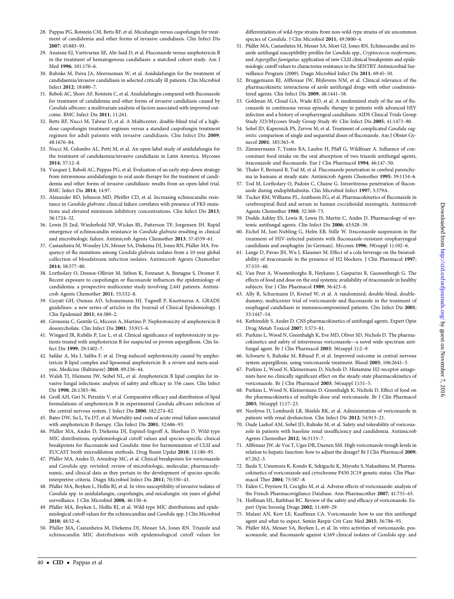- <span id="page-39-0"></span>28. Pappas PG, Rotstein CM, Betts RF, et al. Micafungin versus caspofungin for treatment of candidemia and other forms of invasive candidiasis. Clin Infect Dis 2007; 45:883–93.
- 29. Anaissie EJ, Vartivarian SE, Abi-Said D, et al. Fluconazole versus amphotericin B in the treatment of hematogenous candidiasis: a matched cohort study. Am J Med 1996; 101:170–6.
- 30. Ruhnke M, Paiva JA, Meersseman W, et al. Anidulafungin for the treatment of candidaemia/invasive candidiasis in selected critically ill patients. Clin Microbiol Infect 2012; 18:680–7.
- 31. Reboli AC, Shorr AF, Rotstein C, et al. Anidulafungin compared with fluconazole for treatment of candidemia and other forms of invasive candidiasis caused by Candida albicans: a multivariate analysis of factors associated with improved outcome. BMC Infect Dis 2011; 11:261.
- 32. Betts RF, Nucci M, Talwar D, et al. A Multicenter, double-blind trial of a highdose caspofungin treatment regimen versus a standard caspofungin treatment regimen for adult patients with invasive candidiasis. Clin Infect Dis 2009; 48:1676–84.
- 33. Nucci M, Colombo AL, Petti M, et al. An open-label study of anidulafungin for the treatment of candidaemia/invasive candidiasis in Latin America. Mycoses 2014; 57:12–8.
- 34. Vazquez J, Reboli AC, Pappas PG, et al. Evaluation of an early step-down strategy from intravenous anidulafungin to oral azole therapy for the treatment of candidemia and other forms of invasive candidiasis: results from an open-label trial. BMC Infect Dis 2014; 14:97.
- 35. Alexander BD, Johnson MD, Pfeiffer CD, et al. Increasing echinocandin resistance in Candida glabrata: clinical failure correlates with presence of FKS mutations and elevated minimum inhibitory concentrations. Clin Infect Dis 2013; 56:1724–32.
- 36. Lewis JS 2nd, Wiederhold NP, Wickes BL, Patterson TF, Jorgensen JH. Rapid emergence of echinocandin resistance in Candida glabrata resulting in clinical and microbiologic failure. Antimicrob Agents Chemother 2013; 57:4559–61.
- 37. Castanheira M, Woosley LN, Messer SA, Diekema DJ, Jones RN, Pfaller MA. Frequency of fks mutations among Candida glabrata isolates from a 10-year global collection of bloodstream infection isolates. Antimicrob Agents Chemother 2014; 58:577–80.
- 38. Lortholary O, Desnos-Ollivier M, Sitbon K, Fontanet A, Bretagne S, Dromer F. Recent exposure to caspofungin or fluconazole influences the epidemiology of candidemia: a prospective multicenter study involving 2,441 patients. Antimicrob Agents Chemother 2011; 55:532–8.
- 39. Guyatt GH, Oxman AD, Schunemann HJ, Tugwell P, Knottnerus A. GRADE guidelines: a new series of articles in the Journal of Clinical Epidemiology. J Clin Epidemiol 2011; 64:380–2.
- 40. Girmenia C, Gentile G, Micozzi A, Martino P. Nephrotoxicity of amphotericin B desoxycholate. Clin Infect Dis 2001; 33:915–6.
- 41. Wingard JR, Kubilis P, Lee L, et al. Clinical significance of nephrotoxicity in patients treated with amphotericin B for suspected or proven aspergillosis. Clin Infect Dis 1999; 29:1402–7.
- 42. Safdar A, Ma J, Saliba F, et al. Drug-induced nephrotoxicity caused by amphotericin B lipid complex and liposomal amphotericin B: a review and meta-analysis. Medicine (Baltimore) 2010; 89:236–44.
- 43. Walsh TJ, Hiemenz JW, Seibel NL, et al. Amphotericin B lipid complex for invasive fungal infections: analysis of safety and efficacy in 556 cases. Clin Infect Dis 1998; 26:1383–96.
- 44. Groll AH, Giri N, Petraitis V, et al. Comparative efficacy and distribution of lipid formulations of amphotericin B in experimental Candida albicans infection of the central nervous system. J Infect Dis 2000; 182:274–82.
- 45. Bates DW, Su L, Yu DT, et al. Mortality and costs of acute renal failure associated with amphotericin B therapy. Clin Infect Dis 2001; 32:686–93.
- 46. Pfaller MA, Andes D, Diekema DJ, Espinel-Ingroff A, Sheehan D. Wild-type MIC distributions, epidemiological cutoff values and species-specific clinical breakpoints for fluconazole and Candida: time for harmonization of CLSI and EUCAST broth microdilution methods. Drug Resist Updat 2010; 13:180–95.
- 47. Pfaller MA, Andes D, Arendrup MC, et al. Clinical breakpoints for voriconazole and Candida spp. revisited: review of microbiologic, molecular, pharmacodynamic, and clinical data as they pertain to the development of species-specific interpretive criteria. Diagn Microbiol Infect Dis 2011; 70:330–43.
- 48. Pfaller MA, Boyken L, Hollis RJ, et al. In vitro susceptibility of invasive isolates of Candida spp. to anidulafungin, caspofungin, and micafungin: six years of global surveillance. J Clin Microbiol 2008; 46:150–6.
- 49. Pfaller MA, Boyken L, Hollis RJ, et al. Wild-type MIC distributions and epidemiological cutoff values for the echinocandins and Candida spp. J Clin Microbiol 2010; 48:52–6.
- 50. Pfaller MA, Castanheira M, Diekema DJ, Messer SA, Jones RN. Triazole and echinocandin MIC distributions with epidemiological cutoff values for

differentiation of wild-type strains from non-wild-type strains of six uncommon species of Candida. J Clin Microbiol 2011; 49:3800-4.

- 51. Pfaller MA, Castanheira M, Messer SA, Moet GJ, Jones RN. Echinocandin and triazole antifungal susceptibility profiles for Candida spp., Cryptococcus neoformans, and Aspergillus fumigatus: application of new CLSI clinical breakpoints and epidemiologic cutoff values to characterize resistance in the SENTRY Antimicrobial Surveillance Program (2009). Diagn Microbiol Infect Dis 2011; 69:45–50.
- 52. Bruggemann RJ, Alffenaar JW, Blijlevens NM, et al. Clinical relevance of the pharmacokinetic interactions of azole antifungal drugs with other coadministered agents. Clin Infect Dis 2009; 48:1441–58.
- 53. Goldman M, Cloud GA, Wade KD, et al. A randomized study of the use of fluconazole in continuous versus episodic therapy in patients with advanced HIV infection and a history of oropharyngeal candidiasis: AIDS Clinical Trials Group Study 323/Mycoses Study Group Study 40. Clin Infect Dis 2005; 41:1473–80.
- 54. Sobel JD, Kapernick PS, Zervos M, et al. Treatment of complicated Candida vaginitis: comparison of single and sequential doses of fluconazole. Am J Obstet Gynecol 2001; 185:363–9.
- 55. Zimmermann T, Yeates RA, Laufen H, Pfaff G, Wildfeuer A. Influence of concomitant food intake on the oral absorption of two triazole antifungal agents, itraconazole and fluconazole. Eur J Clin Pharmacol 1994; 46:147–50.
- 56. Thaler F, Bernard B, Tod M, et al. Fluconazole penetration in cerebral parenchyma in humans at steady state. Antimicrob Agents Chemother 1995; 39:1154–6.
- 57. Tod M, Lortholary O, Padoin C, Chaine G. Intravitreous penetration of fluconazole during endophthalmitis. Clin Microbiol Infect 1997; 3:379A.
- 58. Tucker RM, Williams PL, Arathoon EG, et al. Pharmacokinetics of fluconazole in cerebrospinal fluid and serum in human coccidioidal meningitis. Antimicrob Agents Chemother 1988; 32:369–73.
- 59. Dodds Ashley ES, Lewis R, Lewis JS, Martin C, Andes D. Pharmacology of systemic antifungal agents. Clin Infect Dis 2006; 43:S28–39.
- 60. Eichel M, Just-Nubling G, Helm EB, Stille W. Itraconazole suspension in the treatment of HIV-infected patients with fluconazole-resistant oropharyngeal candidiasis and esophagitis [in German]. Mycoses 1996; 39(suppl 1):102–6.
- 61. Lange D, Pavao JH, Wu J, Klausner M. Effect of a cola beverage on the bioavailability of itraconazole in the presence of H2 blockers. J Clin Pharmacol 1997; 37:535–40.
- 62. Van Peer A, Woestenborghs R, Heykants J, Gasparini R, Gauwenbergh G. The effects of food and dose on the oral systemic availability of itraconazole in healthy subjects. Eur J Clin Pharmacol 1989; 36:423–6.
- 63. Ally R, Schurmann D, Kreisel W, et al. A randomized, double-blind, doubledummy, multicenter trial of voriconazole and fluconazole in the treatment of esophageal candidiasis in immunocompromised patients. Clin Infect Dis 2001; 33:1447–54.
- 64. Kethireddy S, Andes D. CNS pharmacokinetics of antifungal agents. Expert Opin Drug Metab Toxicol 2007; 3:573–81.
- 65. Purkins L, Wood N, Greenhalgh K, Eve MD, Oliver SD, Nichols D. The pharmacokinetics and safety of intravenous voriconazole—a novel wide-spectrum antifungal agent. Br J Clin Pharmacol 2003; 56(suppl 1):2–9.
- 66. Schwartz S, Ruhnke M, Ribaud P, et al. Improved outcome in central nervous system aspergillosis, using voriconazole treatment. Blood 2005; 106:2641–5.
- 67. Purkins L, Wood N, Kleinermans D, Nichols D. Histamine H2-receptor antagonists have no clinically significant effect on the steady-state pharmacokinetics of voriconazole. Br J Clin Pharmacol 2003; 56(suppl 1):51–5.
- 68. Purkins L, Wood N, Kleinermans D, Greenhalgh K, Nichols D. Effect of food on the pharmacokinetics of multiple-dose oral voriconazole. Br J Clin Pharmacol 2003; 56(suppl 1):17–23.
- 69. Neofytos D, Lombardi LR, Shields RK, et al. Administration of voriconazole in patients with renal dysfunction. Clin Infect Dis 2012; 54:913–21.
- 70. Oude Lashof AM, Sobel JD, Ruhnke M, et al. Safety and tolerability of voriconazole in patients with baseline renal insufficiency and candidemia. Antimicrob Agents Chemother 2012; 56:3133–7.
- 71. Alffenaar JW, de Vos T, Uges DR, Daenen SM. High voriconazole trough levels in relation to hepatic function: how to adjust the dosage? Br J Clin Pharmacol 2009; 67:262–3.
- 72. Ikeda Y, Umemura K, Kondo K, Sekiguchi K, Miyoshi S, Nakashima M. Pharmacokinetics of voriconazole and cytochrome P450 2C19 genetic status. Clin Pharmacol Ther 2004; 75:587–8.
- 73. Eiden C, Peyriere H, Cociglio M, et al. Adverse effects of voriconazole: analysis of the French Pharmacovigilance Database. Ann Pharmacother 2007; 41:755–63.
- 74. Hoffman HL, Rathbun RC. Review of the safety and efficacy of voriconazole. Expert Opin Investig Drugs 2002; 11:409–29.
- 75. Malani AN, Kerr LE, Kauffman CA. Voriconazole: how to use this antifungal agent and what to expect. Semin Respir Crit Care Med 2015; 36:786–95.
- 76. Pfaller MA, Messer SA, Boyken L, et al. In vitro activities of voriconazole, posaconazole, and fluconazole against 4,169 clinical isolates of Candida spp. and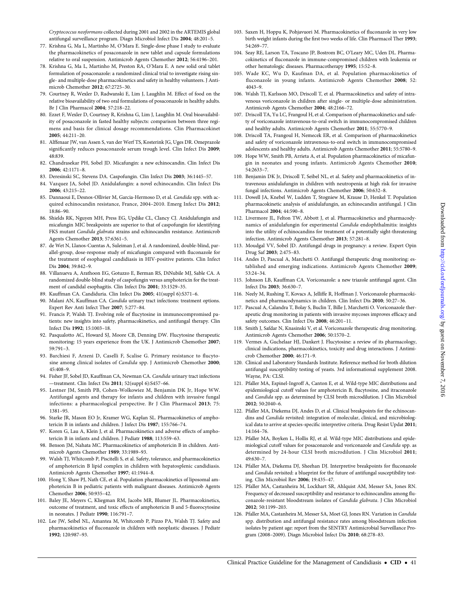- <span id="page-40-0"></span>77. Krishna G, Ma L, Martinho M, O'Mara E. Single-dose phase I study to evaluate the pharmacokinetics of posaconazole in new tablet and capsule formulations relative to oral suspension. Antimicrob Agents Chemother 2012; 56:4196–201.
- 78. Krishna G, Ma L, Martinho M, Preston RA, O'Mara E. A new solid oral tablet formulation of posaconazole: a randomized clinical trial to investigate rising single- and multiple-dose pharmacokinetics and safety in healthy volunteers. J Antimicrob Chemother 2012; 67:2725–30.
- 79. Courtney R, Wexler D, Radwanski E, Lim J, Laughlin M. Effect of food on the relative bioavailability of two oral formulations of posaconazole in healthy adults. Br J Clin Pharmacol 2004; 57:218–22.
- 80. Ezzet F, Wexler D, Courtney R, Krishna G, Lim J, Laughlin M. Oral bioavailability of posaconazole in fasted healthy subjects: comparison between three regimens and basis for clinical dosage recommendations. Clin Pharmacokinet 2005; 44:211–20.
- 81. Alffenaar JW, van Assen S, van der Werf TS, Kosterink JG, Uges DR. Omeprazole significantly reduces posaconazole serum trough level. Clin Infect Dis 2009; 48:839.
- 82. Chandrasekar PH, Sobel JD. Micafungin: a new echinocandin. Clin Infect Dis 2006; 42:1171–8.
- 83. Deresinski SC, Stevens DA. Caspofungin. Clin Infect Dis 2003; 36:1445–57.
- 84. Vazquez JA, Sobel JD. Anidulafungin: a novel echinocandin. Clin Infect Dis 2006; 43:215–22.
- 85. Dannaoui E, Desnos-Ollivier M, Garcia-Hermoso D, et al. Candida spp. with acquired echinocandin resistance, France, 2004–2010. Emerg Infect Dis 2012; 18:86–90.
- 86. Shields RK, Nguyen MH, Press EG, Updike CL, Clancy CJ. Anidulafungin and micafungin MIC breakpoints are superior to that of caspofungin for identifying FKS mutant Candida glabrata strains and echinocandin resistance. Antimicrob Agents Chemother 2013; 57:6361–5.
- 87. de Wet N, Llanos-Cuentas A, Suleiman J, et al. A randomized, double-blind, parallel-group, dose-response study of micafungin compared with fluconazole for the treatment of esophageal candidiasis in HIV-positive patients. Clin Infect Dis 2004; 39:842–9.
- 88. Villanueva A, Arathoon EG, Gotuzzo E, Berman RS, DiNubile MJ, Sable CA. A randomized double-blind study of caspofungin versus amphotericin for the treatment of candidal esophagitis. Clin Infect Dis 2001; 33:1529–35.
- 89. Kauffman CA. Candiduria. Clin Infect Dis 2005; 41(suppl 6):S371–6.
- 90. Malani AN, Kauffman CA. Candida urinary tract infections: treatment options. Expert Rev Anti Infect Ther 2007; 5:277–84.
- 91. Francis P, Walsh TJ. Evolving role of flucytosine in immunocompromised patients: new insights into safety, pharmacokinetics, and antifungal therapy. Clin Infect Dis 1992; 15:1003–18.
- 92. Pasqualotto AC, Howard SJ, Moore CB, Denning DW. Flucytosine therapeutic monitoring: 15 years experience from the UK. J Antimicrob Chemother 2007; 59:791–3.
- 93. Barchiesi F, Arzeni D, Caselli F, Scalise G. Primary resistance to flucytosine among clinical isolates of Candida spp. J Antimicrob Chemother 2000; 45:408–9.
- 94. Fisher JF, Sobel JD, Kauffman CA, Newman CA. Candida urinary tract infections —treatment. Clin Infect Dis 2011; 52(suppl 6):S457–66.
- 95. Lestner JM, Smith PB, Cohen-Wolkowiez M, Benjamin DK Jr, Hope WW. Antifungal agents and therapy for infants and children with invasive fungal infections: a pharmacological perspective. Br J Clin Pharmacol 2013; 75: 1381–95.
- 96. Starke JR, Mason EO Jr, Kramer WG, Kaplan SL. Pharmacokinetics of amphotericin B in infants and children. J Infect Dis 1987; 155:766–74.
- 97. Koren G, Lau A, Klein J, et al. Pharmacokinetics and adverse effects of amphotericin B in infants and children. J Pediatr 1988; 113:559–63.
- 98. Benson JM, Nahata MC. Pharmacokinetics of amphotericin B in children. Antimicrob Agents Chemother 1989; 33:1989–93.
- 99. Walsh TJ, Whitcomb P, Piscitelli S, et al. Safety, tolerance, and pharmacokinetics of amphotericin B lipid complex in children with hepatosplenic candidiasis. Antimicrob Agents Chemother 1997; 41:1944–8.
- 100. Hong Y, Shaw PJ, Nath CE, et al. Population pharmacokinetics of liposomal amphotericin B in pediatric patients with malignant diseases. Antimicrob Agents Chemother 2006; 50:935–42.
- 101. Baley JE, Meyers C, Kliegman RM, Jacobs MR, Blumer JL. Pharmacokinetics, outcome of treatment, and toxic effects of amphotericin B and 5-fluorocytosine in neonates. J Pediatr 1990; 116:791–7.
- 102. Lee JW, Seibel NL, Amantea M, Whitcomb P, Pizzo PA, Walsh TJ. Safety and pharmacokinetics of fluconazole in children with neoplastic diseases. J Pediatr 1992; 120:987–93.
- 103. Saxen H, Hoppu K, Pohjavuori M. Pharmacokinetics of fluconazole in very low birth weight infants during the first two weeks of life. Clin Pharmacol Ther 1993; 54:269–77.
- 104. Seay RE, Larson TA, Toscano JP, Bostrom BC, O'Leary MC, Uden DL. Pharmacokinetics of fluconazole in immune-compromised children with leukemia or other hematologic diseases. Pharmacotherapy 1995; 15:52–8.
- 105. Wade KC, Wu D, Kaufman DA, et al. Population pharmacokinetics of fluconazole in young infants. Antimicrob Agents Chemother 2008; 52: 4043–9.
- 106. Walsh TJ, Karlsson MO, Driscoll T, et al. Pharmacokinetics and safety of intravenous voriconazole in children after single- or multiple-dose administration. Antimicrob Agents Chemother 2004; 48:2166–72.
- 107. Driscoll TA, Yu LC, Frangoul H, et al. Comparison of pharmacokinetics and safety of voriconazole intravenous-to-oral switch in immunocompromised children and healthy adults. Antimicrob Agents Chemother 2011; 55:5770–9.
- 108. Driscoll TA, Frangoul H, Nemecek ER, et al. Comparison of pharmacokinetics and safety of voriconazole intravenous-to-oral switch in immunocompromised adolescents and healthy adults. Antimicrob Agents Chemother 2011; 55:5780–9.
- 109. Hope WW, Smith PB, Arrieta A, et al. Population pharmacokinetics of micafungin in neonates and young infants. Antimicrob Agents Chemother 2010; 54:2633–7.
- 110. Benjamin DK Jr, Driscoll T, Seibel NL, et al. Safety and pharmacokinetics of intravenous anidulafungin in children with neutropenia at high risk for invasive fungal infections. Antimicrob Agents Chemother 2006; 50:632–8.
- 111. Dowell JA, Knebel W, Ludden T, Stogniew M, Krause D, Henkel T. Population pharmacokinetic analysis of anidulafungin, an echinocandin antifungal. J Clin Pharmacol 2004; 44:590–8.
- 112. Livermore JL, Felton TW, Abbott J, et al. Pharmacokinetics and pharmacodynamics of anidulafungin for experimental Candida endophthalmitis: insights into the utility of echinocandins for treatment of a potentially sight-threatening infection. Antimicrob Agents Chemother 2013; 57:281–8.
- 113. Moudgal VV, Sobel JD. Antifungal drugs in pregnancy: a review. Expert Opin Drug Saf 2003; 2:475–83.
- 114. Andes D, Pascual A, Marchetti O. Antifungal therapeutic drug monitoring: established and emerging indications. Antimicrob Agents Chemother 2009; 53:24–34.
- 115. Johnson LB, Kauffman CA. Voriconazole: a new triazole antifungal agent. Clin Infect Dis 2003; 36:630–7.
- 116. Neely M, Rushing T, Kovacs A, Jelliffe R, Hoffman J. Voriconazole pharmacokinetics and pharmacodynamics in children. Clin Infect Dis 2010; 50:27–36.
- 117. Pascual A, Calandra T, Bolay S, Buclin T, Bille J, Marchetti O. Voriconazole therapeutic drug monitoring in patients with invasive mycoses improves efficacy and safety outcomes. Clin Infect Dis 2008; 46:201-11.
- 118. Smith J, Safdar N, Knasinski V, et al. Voriconazole therapeutic drug monitoring. Antimicrob Agents Chemother 2006; 50:1570–2.
- 119. Vermes A, Guchelaar HJ, Dankert J. Flucytosine: a review of its pharmacology, clinical indications, pharmacokinetics, toxicity and drug interactions. J Antimicrob Chemother 2000; 46:171–9.
- 120. Clinical and Laboratory Standards Institute. Reference method for broth dilution antifungal susceptibility testing of yeasts. 3rd informational supplement 2008. Wayne, PA: CLSI.
- 121. Pfaller MA, Espinel-Ingroff A, Canton E, et al. Wild-type MIC distributions and epidemiological cutoff values for amphotericin B, flucytosine, and itraconazole and Candida spp. as determined by CLSI broth microdilution. J Clin Microbiol 2012; 50:2040–6.
- 122. Pfaller MA, Diekema DJ, Andes D, et al. Clinical breakpoints for the echinocandins and Candida revisited: integration of molecular, clinical, and microbiological data to arrive at species-specific interpretive criteria. Drug Resist Updat 2011; 14:164–76.
- 123. Pfaller MA, Boyken L, Hollis RJ, et al. Wild-type MIC distributions and epidemiological cutoff values for posaconazole and voriconazole and Candida spp. as determined by 24-hour CLSI broth microdilution. J Clin Microbiol 2011; 49:630–7.
- 124. Pfaller MA, Diekema DJ, Sheehan DJ. Interpretive breakpoints for fluconazole and Candida revisited: a blueprint for the future of antifungal susceptibility testing. Clin Microbiol Rev 2006; 19:435–47.
- 125. Pfaller MA, Castanheira M, Lockhart SR, Ahlquist AM, Messer SA, Jones RN. Frequency of decreased susceptibility and resistance to echinocandins among fluconazole-resistant bloodstream isolates of Candida glabrata. J Clin Microbiol 2012; 50:1199–203.
- 126. Pfaller MA, Castanheira M, Messer SA, Moet GJ, Jones RN. Variation in Candida spp. distribution and antifungal resistance rates among bloodstream infection isolates by patient age: report from the SENTRY Antimicrobial Surveillance Program (2008–2009). Diagn Microbiol Infect Dis 2010; 68:278–83.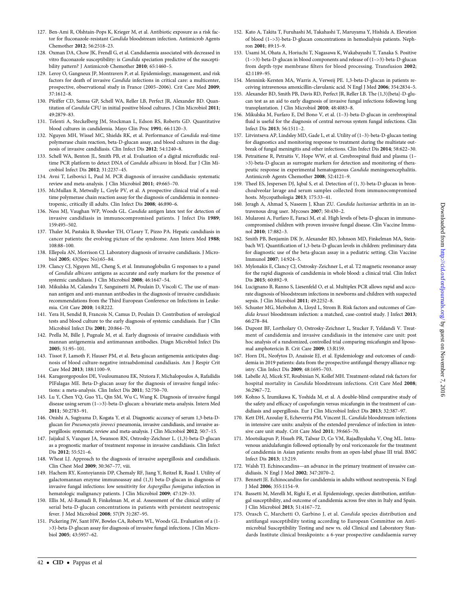- <span id="page-41-0"></span>127. Ben-Ami R, Olshtain-Pops K, Krieger M, et al. Antibiotic exposure as a risk factor for fluconazole-resistant Candida bloodstream infection. Antimicrob Agents Chemother 2012; 56:2518–23.
- 128. Oxman DA, Chow JK, Frendl G, et al. Candidaemia associated with decreased in vitro fluconazole susceptibility: is Candida speciation predictive of the susceptibility pattern? J Antimicrob Chemother 2010; 65:1460–5.
- 129. Leroy O, Gangneux JP, Montravers P, et al. Epidemiology, management, and risk factors for death of invasive Candida infections in critical care: a multicenter, prospective, observational study in France (2005–2006). Crit Care Med 2009; 37:1612–8.
- 130. Pfeiffer CD, Samsa GP, Schell WA, Reller LB, Perfect JR, Alexander BD. Quantitation of Candida CFU in initial positive blood cultures. J Clin Microbiol 2011; 49:2879–83.
- 131. Telenti A, Steckelberg JM, Stockman L, Edson RS, Roberts GD. Quantitative blood cultures in candidemia. Mayo Clin Proc 1991; 66:1120–3.
- 132. Nguyen MH, Wissel MC, Shields RK, et al. Performance of Candida real-time polymerase chain reaction, beta-D-glucan assay, and blood cultures in the diagnosis of invasive candidiasis. Clin Infect Dis 2012; 54:1240–8.
- 133. Schell WA, Benton JL, Smith PB, et al. Evaluation of a digital microfluidic realtime PCR platform to detect DNA of Candida albicans in blood. Eur J Clin Microbiol Infect Dis 2012; 31:2237–45.
- 134. Avni T, Leibovici L, Paul M. PCR diagnosis of invasive candidiasis: systematic review and meta-analysis. J Clin Microbiol 2011; 49:665–70.
- 135. McMullan R, Metwally L, Coyle PV, et al. A prospective clinical trial of a realtime polymerase chain reaction assay for the diagnosis of candidemia in nonneutropenic, critically ill adults. Clin Infect Dis 2008; 46:890–6.
- 136. Ness MJ, Vaughan WP, Woods GL. Candida antigen latex test for detection of invasive candidiasis in immunocompromised patients. J Infect Dis 1989; 159:495–502.
- 137. Thaler M, Pastakia B, Shawker TH, O'Leary T, Pizzo PA. Hepatic candidiasis in cancer patients: the evolving picture of the syndrome. Ann Intern Med 1988; 108:88–100.
- 138. Ellepola AN, Morrison CJ. Laboratory diagnosis of invasive candidiasis. J Microbiol 2005; 43(Spec No):65–84.
- 139. Clancy CJ, Nguyen ML, Cheng S, et al. Immunoglobulin G responses to a panel of Candida albicans antigens as accurate and early markers for the presence of systemic candidiasis. J Clin Microbiol 2008; 46:1647–54.
- 140. Mikulska M, Calandra T, Sanguinetti M, Poulain D, Viscoli C. The use of mannan antigen and anti-mannan antibodies in the diagnosis of invasive candidiasis: recommendations from the Third European Conference on Infections in Leukemia. Crit Care 2010; 14:R222.
- 141. Yera H, Sendid B, Francois N, Camus D, Poulain D. Contribution of serological tests and blood culture to the early diagnosis of systemic candidiasis. Eur J Clin Microbiol Infect Dis 2001; 20:864–70.
- 142. Prella M, Bille J, Pugnale M, et al. Early diagnosis of invasive candidiasis with mannan antigenemia and antimannan antibodies. Diagn Microbiol Infect Dis 2005; 51:95–101.
- 143. Tissot F, Lamoth F, Hauser PM, et al. Beta-glucan antigenemia anticipates diagnosis of blood culture-negative intraabdominal candidiasis. Am J Respir Crit Care Med 2013; 188:1100–9.
- 144. Karageorgopoulos DE, Vouloumanou EK, Ntziora F, Michalopoulos A, Rafailidis PIFalagas ME. Beta-D-glucan assay for the diagnosis of invasive fungal infections: a meta-analysis. Clin Infect Dis 2011; 52:750–70.
- 145. Lu Y, Chen YQ, Guo YL, Qin SM, Wu C, Wang K. Diagnosis of invasive fungal disease using serum (1–>3)-beta-D-glucan: a bivariate meta-analysis. Intern Med 2011; 50:2783–91.
- 146. Onishi A, Sugiyama D, Kogata Y, et al. Diagnostic accuracy of serum 1,3-beta-Dglucan for Pneumocystis jiroveci pneumonia, invasive candidiasis, and invasive aspergillosis: systematic review and meta-analysis. J Clin Microbiol 2012; 50:7–15.
- 147. Jaijakul S, Vazquez JA, Swanson RN, Ostrosky-Zeichner L. (1,3)-beta-D-glucan as a prognostic marker of treatment response in invasive candidiasis. Clin Infect Dis 2012; 55:521–6.
- 148. Wheat LJ. Approach to the diagnosis of invasive aspergillosis and candidiasis. Clin Chest Med 2009; 30:367–77, viii.
- 149. Hachem RY, Kontoyiannis DP, Chemaly RF, Jiang Y, Reitzel R, Raad I. Utility of galactomannan enzyme immunoassay and (1,3) beta-D-glucan in diagnosis of invasive fungal infections: low sensitivity for Aspergillus fumigatus infection in hematologic malignancy patients. J Clin Microbiol 2009; 47:129–33.
- 150. Ellis M, Al-Ramadi B, Finkelman M, et al. Assessment of the clinical utility of serial beta-D-glucan concentrations in patients with persistent neutropenic fever. J Med Microbiol 2008; 57(Pt 3):287–95.
- 151. Pickering JW, Sant HW, Bowles CA, Roberts WL, Woods GL. Evaluation of a (1- >3)-beta-D-glucan assay for diagnosis of invasive fungal infections. J Clin Microbiol 2005; 43:5957–62.
- 152. Kato A, Takita T, Furuhashi M, Takahashi T, Maruyama Y, Hishida A. Elevation of blood (1–>3)-beta-D-glucan concentrations in hemodialysis patients. Nephron 2001; 89:15–9.
- 153. Usami M, Ohata A, Horiuchi T, Nagasawa K, Wakabayashi T, Tanaka S. Positive (1–>3)-beta-D-glucan in blood components and release of (1–>3)-beta-D-glucan from depth-type membrane filters for blood processing. Transfusion 2002; 42:1189–95.
- 154. Mennink-Kersten MA, Warris A, Verweij PE. 1,3-beta-D-glucan in patients receiving intravenous amoxicillin-clavulanic acid. N Engl J Med 2006; 354:2834–5.
- 155. Alexander BD, Smith PB, Davis RD, Perfect JR, Reller LB. The (1,3){beta}-D-glucan test as an aid to early diagnosis of invasive fungal infections following lung transplantation. J Clin Microbiol 2010; 48:4083–8.
- 156. Mikulska M, Furfaro E, Del Bono V, et al. (1–3)-beta-D-glucan in cerebrospinal fluid is useful for the diagnosis of central nervous system fungal infections. Clin Infect Dis 2013; 56:1511–2.
- 157. Litvintseva AP, Lindsley MD, Gade L, et al. Utility of (1–3)-beta-D-glucan testing for diagnostics and monitoring response to treatment during the multistate outbreak of fungal meningitis and other infections. Clin Infect Dis 2014; 58:622–30.
- 158. Petraitiene R, Petraitis V, Hope WW, et al. Cerebrospinal fluid and plasma (1– >3)-beta-D-glucan as surrogate markers for detection and monitoring of therapeutic response in experimental hematogenous Candida meningoencephalitis. Antimicrob Agents Chemother 2008; 52:4121–9.
- 159. Theel ES, Jespersen DJ, Iqbal S, et al. Detection of (1, 3)-beta-D-glucan in bronchoalveolar lavage and serum samples collected from immunocompromised hosts. Mycopathologia 2013; 175:33–41.
- 160. Jeragh A, Ahmad S, Naseem J, Khan ZU. Candida lusitaniae arthritis in an intravenous drug user. Mycoses 2007; 50:430–2.
- 161. Mularoni A, Furfaro E, Faraci M, et al. High levels of beta-D-glucan in immunocompromised children with proven invasive fungal disease. Clin Vaccine Immunol 2010; 17:882–3.
- 162. Smith PB, Benjamin DK Jr, Alexander BD, Johnson MD, Finkelman MA, Steinbach WJ. Quantification of 1,3-beta-D-glucan levels in children: preliminary data for diagnostic use of the beta-glucan assay in a pediatric setting. Clin Vaccine Immunol 2007; 14:924–5.
- 163. Mylonakis E, Clancy CJ, Ostrosky-Zeichner L, et al. T2 magnetic resonance assay for the rapid diagnosis of candidemia in whole blood: a clinical trial. Clin Infect Dis 2015; 60:892–9.
- 164. Lucignano B, Ranno S, Liesenfeld O, et al. Multiplex PCR allows rapid and accurate diagnosis of bloodstream infections in newborns and children with suspected sepsis. J Clin Microbiol 2011; 49:2252–8.
- 165. Schuster MG, Meibohm A, Lloyd L, Strom B. Risk factors and outcomes of Candida krusei bloodstream infection: a matched, case-control study. J Infect 2013; 66:278–84.
- 166. Dupont BF, Lortholary O, Ostrosky-Zeichner L, Stucker F, Yeldandi V. Treatment of candidemia and invasive candidiasis in the intensive care unit: post hoc analysis of a randomized, controlled trial comparing micafungin and liposomal amphotericin B. Crit Care 2009; 13:R159.
- 167. Horn DL, Neofytos D, Anaissie EJ, et al. Epidemiology and outcomes of candidemia in 2019 patients: data from the prospective antifungal therapy alliance registry. Clin Infect Dis 2009; 48:1695–703.
- 168. Labelle AJ, Micek ST, Roubinian N, Kollef MH. Treatment-related risk factors for hospital mortality in *Candida* bloodstream infections. Crit Care Med 2008; 36:2967–72.
- 169. Kohno S, Izumikawa K, Yoshida M, et al. A double-blind comparative study of the safety and efficacy of caspofungin versus micafungin in the treatment of candidiasis and aspergillosis. Eur J Clin Microbiol Infect Dis 2013; 32:387–97.
- 170. Kett DH, Azoulay E, Echeverria PM, Vincent JL. Candida bloodstream infections in intensive care units: analysis of the extended prevalence of infection in intensive care unit study. Crit Care Med 2011; 39:665–70.
- 171. Mootsikapun P, Hsueh PR, Talwar D, Co VM, Rajadhyaksha V, Ong ML. Intravenous anidulafungin followed optionally by oral voriconazole for the treatment of candidemia in Asian patients: results from an open-label phase III trial. BMC Infect Dis 2013; 13:219.
- 172. Walsh TJ. Echinocandins—an advance in the primary treatment of invasive candidiasis. N Engl J Med 2002; 347:2070–2.
- 173. Bennett JE. Echinocandins for candidemia in adults without neutropenia. N Engl J Med 2006; 355:1154–9.
- 174. Bassetti M, Merelli M, Righi E, et al. Epidemiology, species distribution, antifungal susceptibility, and outcome of candidemia across five sites in Italy and Spain. J Clin Microbiol 2013; 51:4167–72.
- 175. Orasch C, Marchetti O, Garbino J, et al. Candida species distribution and antifungal susceptibility testing according to European Committee on Antimicrobial Susceptibility Testing and new vs. old Clinical and Laboratory Standards Institute clinical breakpoints: a 6-year prospective candidaemia survey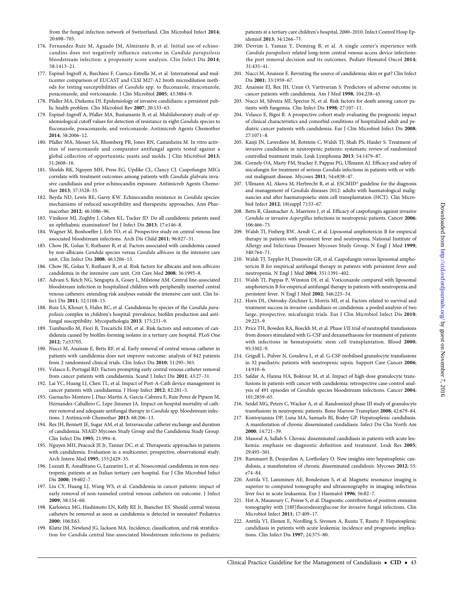- <span id="page-42-0"></span>176. Fernandez-Ruiz M, Aguado JM, Almirante B, et al. Initial use of echinocandins does not negatively influence outcome in Candida parapsilosis bloodstream infection: a propensity score analysis. Clin Infect Dis 2014; 58:1413–21.
- 177. Espinel-Ingroff A, Barchiesi F, Cuenca-Estrella M, et al. International and multicenter comparison of EUCAST and CLSI M27-A2 broth microdilution methods for testing susceptibilities of Candida spp. to fluconazole, itraconazole, posaconazole, and voriconazole. J Clin Microbiol 2005; 43:3884–9.
- 178. Pfaller MA, Diekema DJ. Epidemiology of invasive candidiasis: a persistent public health problem. Clin Microbiol Rev 2007; 20:133–63.
- 179. Espinel-Ingroff A, Pfaller MA, Bustamante B, et al. Multilaboratory study of epidemiological cutoff values for detection of resistance in eight Candida species to fluconazole, posaconazole, and voriconazole. Antimicrob Agents Chemother 2014; 58:2006–12.
- 180. Pfaller MA, Messer SA, Rhomberg PR, Jones RN, Castanheira M. In vitro activities of isavuconazole and comparator antifungal agents tested against a global collection of opportunistic yeasts and molds. J Clin Microbiol 2013; 51:2608–16.
- 181. Shields RK, Nguyen MH, Press EG, Updike CL, Clancy CJ. Caspofungin MICs correlate with treatment outcomes among patients with Candida glabrata invasive candidiasis and prior echinocandin exposure. Antimicrob Agents Chemother 2013; 57:3528–35.
- 182. Beyda ND, Lewis RE, Garey KW. Echinocandin resistance in Candida species: mechanisms of reduced susceptibility and therapeutic approaches. Ann Pharmacother 2012; 46:1086–96.
- 183. Vinikoor MJ, Zoghby J, Cohen KL, Tucker JD. Do all candidemic patients need an ophthalmic examination? Int J Infect Dis 2013; 17:e146–8.
- 184. Wagner M, Bonhoeffer J, Erb TO, et al. Prospective study on central venous line associated bloodstream infections. Arch Dis Child 2011; 96:827–31.
- 185. Chow JK, Golan Y, Ruthazer R, et al. Factors associated with candidemia caused by non-albicans Candida species versus Candida albicans in the intensive care unit. Clin Infect Dis 2008; 46:1206–13.
- 186. Chow JK, Golan Y, Ruthazer R, et al. Risk factors for albicans and non-albicans candidemia in the intensive care unit. Crit Care Med 2008; 36:1993–8.
- 187. Advani S, Reich NG, Sengupta A, Gosey L, Milstone AM. Central line-associated bloodstream infection in hospitalized children with peripherally inserted central venous catheters: extending risk analyses outside the intensive care unit. Clin Infect Dis 2011; 52:1108–15.
- 188. Ruiz LS, Khouri S, Hahn RC, et al. Candidemia by species of the Candida parapsilosis complex in children's hospital: prevalence, biofilm production and antifungal susceptibility. Mycopathologia 2013; 175:231–9.
- 189. Tumbarello M, Fiori B, Trecarichi EM, et al. Risk factors and outcomes of candidemia caused by biofilm-forming isolates in a tertiary care hospital. PLoS One 2012; 7:e33705.
- 190. Nucci M, Anaissie E, Betts RF, et al. Early removal of central venous catheter in patients with candidemia does not improve outcome: analysis of 842 patients from 2 randomized clinical trials. Clin Infect Dis 2010; 51:295–303.
- 191. Velasco E, Portugal RD. Factors prompting early central venous catheter removal from cancer patients with candidaemia. Scand J Infect Dis 2011; 43:27–31.
- 192. Lai YC, Huang LJ, Chen TL, et al. Impact of Port-A-Cath device management in cancer patients with candidaemia. J Hosp Infect 2012; 82:281–5.
- 193. Garnacho-Montero J, Diaz-Martin A, Garcia-Cabrera E, Ruiz Perez de Pipaon M, Hernandez-Caballero C, Lepe-Jimenez JA. Impact on hospital mortality of catheter removal and adequate antifungal therapy in Candida spp. bloodstream infections. J Antimicrob Chemother 2013; 68:206–13.
- 194. Rex JH, Bennett JE, Sugar AM, et al. Intravascular catheter exchange and duration of candidemia. NIAID Mycoses Study Group and the Candidemia Study Group. Clin Infect Dis 1995; 21:994–6.
- 195. Nguyen MH, Peacock JE Jr, Tanner DC, et al. Therapeutic approaches in patients with candidemia. Evaluation in a multicenter, prospective, observational study. Arch Intern Med 1995; 155:2429–35.
- 196. Luzzati R, Amalfitano G, Lazzarini L, et al. Nosocomial candidemia in non-neutropenic patients at an Italian tertiary care hospital. Eur J Clin Microbiol Infect Dis 2000; 19:602–7.
- 197. Liu CY, Huang LJ, Wang WS, et al. Candidemia in cancer patients: impact of early removal of non-tunneled central venous catheters on outcome. J Infect 2009; 58:154–60.
- 198. Karlowicz MG, Hashimoto LN, Kelly RE Jr, Buescher ES. Should central venous catheters be removed as soon as candidemia is detected in neonates? Pediatrics 2000; 106:E63.
- 199. Klatte JM, Newland JG, Jackson MA. Incidence, classification, and risk stratification for Candida central line-associated bloodstream infections in pediatric

patients at a tertiary care children's hospital, 2000–2010. Infect Control Hosp Epidemiol 2013; 34:1266–71.

- 200. Devrim I, Yaman Y, Demirag B, et al. A single center's experience with Candida parapsilosis related long-term central venous access device infections: the port removal decision and its outcomes. Pediatr Hematol Oncol 2014; 31:435–41.
- 201. Nucci M, Anaissie E. Revisiting the source of candidemia: skin or gut? Clin Infect Dis 2001; 33:1959–67.
- 202. Anaissie EJ, Rex JH, Uzun O, Vartivarian S. Predictors of adverse outcome in cancer patients with candidemia. Am J Med 1998; 104:238–45.
- 203. Nucci M, Silveira MI, Spector N, et al. Risk factors for death among cancer patients with fungemia. Clin Infect Dis 1998; 27:107–11.
- 204. Velasco E, Bigni R. A prospective cohort study evaluating the prognostic impact of clinical characteristics and comorbid conditions of hospitalized adult and pediatric cancer patients with candidemia. Eur J Clin Microbiol Infect Dis 2008; 27:1071–8.
- 205. Kanji JN, Laverdiere M, Rotstein C, Walsh TJ, Shah PS, Haider S. Treatment of invasive candidiasis in neutropenic patients: systematic review of randomized controlled treatment trials. Leuk Lymphoma 2013; 54:1479–87.
- 206. Cornely OA, Marty FM, Stucker F, Pappas PG, Ullmann AJ. Efficacy and safety of micafungin for treatment of serious Candida infections in patients with or without malignant disease. Mycoses 2011; 54:e838–47.
- 207. Ullmann AJ, Akova M, Herbrecht R, et al. ESCMID\* guideline for the diagnosis and management of Candida diseases 2012: adults with haematological malignancies and after haematopoietic stem cell transplantation (HCT). Clin Microbiol Infect 2012; 18(suppl 7):53–67.
- 208. Betts R, Glasmacher A, Maertens J, et al. Efficacy of caspofungin against invasive Candida or invasive Aspergillus infections in neutropenic patients. Cancer 2006; 106:466–73.
- 209. Walsh TJ, Finberg RW, Arndt C, et al. Liposomal amphotericin B for empirical therapy in patients with persistent fever and neutropenia. National Institute of Allergy and Infectious Diseases Mycoses Study Group. N Engl J Med 1999; 340:764–71.
- 210. Walsh TJ, Teppler H, Donowitz GR, et al. Caspofungin versus liposomal amphotericin B for empirical antifungal therapy in patients with persistent fever and neutropenia. N Engl J Med 2004; 351:1391–402.
- 211. Walsh TJ, Pappas P, Winston DJ, et al. Voriconazole compared with liposomal amphotericin B for empirical antifungal therapy in patients with neutropenia and persistent fever. N Engl J Med 2002; 346:225–34.
- 212. Horn DL, Ostrosky-Zeichner L, Morris MI, et al. Factors related to survival and treatment success in invasive candidiasis or candidemia: a pooled analysis of two large, prospective, micafungin trials. Eur J Clin Microbiol Infect Dis 2010; 29:223–9.
- 213. Price TH, Bowden RA, Boeckh M, et al. Phase I/II trial of neutrophil transfusions from donors stimulated with G-CSF and dexamethasone for treatment of patients with infections in hematopoietic stem cell transplantation. Blood 2000; 95:3302–9.
- 214. Grigull L, Pulver N, Goudeva L, et al. G-CSF mobilised granulocyte transfusions in 32 paediatric patients with neutropenic sepsis. Support Care Cancer 2006; 14:910–6.
- 215. Safdar A, Hanna HA, Boktour M, et al. Impact of high-dose granulocyte transfusions in patients with cancer with candidemia: retrospective case-control analysis of 491 episodes of Candida species bloodstream infections. Cancer 2004; 101:2859–65.
- 216. Seidel MG, Peters C, Wacker A, et al. Randomized phase III study of granulocyte transfusions in neutropenic patients. Bone Marrow Transplant 2008; 42:679–84.
- 217. Kontoyiannis DP, Luna MA, Samuels BI, Bodey GP. Hepatosplenic candidiasis. A manifestation of chronic disseminated candidiasis. Infect Dis Clin North Am 2000; 14:721–39.
- 218. Masood A, Sallah S. Chronic disseminated candidiasis in patients with acute leukemia: emphasis on diagnostic definition and treatment. Leuk Res 2005; 29:493–501.
- 219. Rammaert B, Desjardins A, Lortholary O. New insights into hepatosplenic candidosis, a manifestation of chronic disseminated candidosis. Mycoses 2012; 55: e74–84.
- 220. Anttila VJ, Lamminen AE, Bondestam S, et al. Magnetic resonance imaging is superior to computed tomography and ultrasonography in imaging infectious liver foci in acute leukaemia. Eur J Haematol 1996; 56:82–7.
- 221. Hot A, Maunoury C, Poiree S, et al. Diagnostic contribution of positron emission tomography with [18F]fluorodeoxyglucose for invasive fungal infections. Clin Microbiol Infect 2011; 17:409–17.
- 222. Anttila VJ, Elonen E, Nordling S, Sivonen A, Ruutu T, Ruutu P. Hepatosplenic candidiasis in patients with acute leukemia: incidence and prognostic implications. Clin Infect Dis 1997; 24:375–80.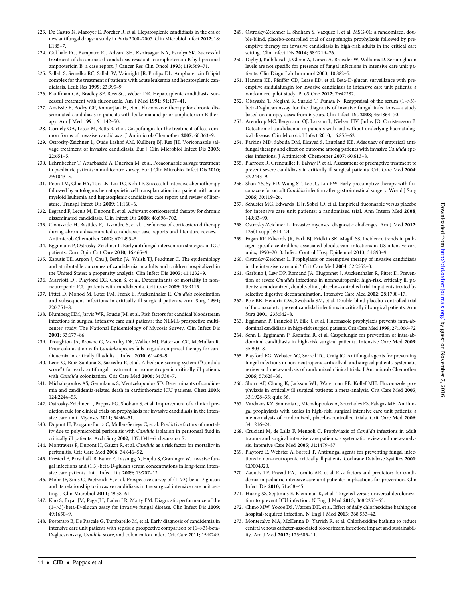- <span id="page-43-0"></span>223. De Castro N, Mazoyer E, Porcher R, et al. Hepatosplenic candidiasis in the era of new antifungal drugs: a study in Paris 2000–2007. Clin Microbiol Infect 2012; 18: E185–7.
- 224. Gokhale PC, Barapatre RJ, Advani SH, Kshirsagar NA, Pandya SK. Successful treatment of disseminated candidiasis resistant to amphotericin B by liposomal amphotericin B: a case report. J Cancer Res Clin Oncol 1993; 119:569–71.
- 225. Sallah S, Semelka RC, Sallah W, Vainright JR, Philips DL. Amphotericin B lipid complex for the treatment of patients with acute leukemia and hepatosplenic candidiasis. Leuk Res 1999; 23:995–9.
- 226. Kauffman CA, Bradley SF, Ross SC, Weber DR. Hepatosplenic candidiasis: successful treatment with fluconazole. Am J Med 1991; 91:137–41.
- 227. Anaissie E, Bodey GP, Kantarjian H, et al. Fluconazole therapy for chronic disseminated candidiasis in patients with leukemia and prior amphotericin B therapy. Am J Med 1991; 91:142–50.
- 228. Cornely OA, Lasso M, Betts R, et al. Caspofungin for the treatment of less common forms of invasive candidiasis. J Antimicrob Chemother 2007; 60:363–9.
- 229. Ostrosky-Zeichner L, Oude Lashof AM, Kullberg BJ, Rex JH. Voriconazole salvage treatment of invasive candidiasis. Eur J Clin Microbiol Infect Dis 2003; 22:651–5.
- 230. Lehrnbecher T, Attarbaschi A, Duerken M, et al. Posaconazole salvage treatment in paediatric patients: a multicentre survey. Eur J Clin Microbiol Infect Dis 2010; 29:1043–5.
- 231. Poon LM, Chia HY, Tan LK, Liu TC, Koh LP. Successful intensive chemotherapy followed by autologous hematopoietic cell transplantation in a patient with acute myeloid leukemia and hepatosplenic candidiasis: case report and review of literature. Transpl Infect Dis 2009; 11:160–6.
- 232. Legrand F, Lecuit M, Dupont B, et al. Adjuvant corticosteroid therapy for chronic disseminated candidiasis. Clin Infect Dis 2008; 46:696–702.
- 233. Chaussade H, Bastides F, Lissandre S, et al. Usefulness of corticosteroid therapy during chronic disseminated candidiasis: case reports and literature review. J Antimicrob Chemother 2012; 67:1493–5.
- 234. Eggimann P, Ostrosky-Zeichner L. Early antifungal intervention strategies in ICU patients. Curr Opin Crit Care 2010; 16:465–9.
- 235. Zaoutis TE, Argon J, Chu J, Berlin JA, Walsh TJ, Feudtner C. The epidemiology and attributable outcomes of candidemia in adults and children hospitalized in the United States: a propensity analysis. Clin Infect Dis 2005; 41:1232–9.
- 236. Marriott DJ, Playford EG, Chen S, et al. Determinants of mortality in nonneutropenic ICU patients with candidaemia. Crit Care 2009; 13:R115.
- 237. Pittet D, Monod M, Suter PM, Frenk E, Auckenthaler R. Candida colonization and subsequent infections in critically ill surgical patients. Ann Surg 1994; 220:751–8.
- 238. Blumberg HM, Jarvis WR, Soucie JM, et al. Risk factors for candidal bloodstream infections in surgical intensive care unit patients: the NEMIS prospective multicenter study. The National Epidemiology of Mycosis Survey. Clin Infect Dis 2001; 33:177–86.
- 239. Troughton JA, Browne G, McAuley DF, Walker MJ, Patterson CC, McMullan R. Prior colonisation with *Candida* species fails to guide empirical therapy for candidaemia in critically ill adults. J Infect 2010; 61:403-9.
- 240. Leon C, Ruiz-Santana S, Saavedra P, et al. A bedside scoring system ("Candida score") for early antifungal treatment in nonneutropenic critically ill patients with Candida colonization. Crit Care Med 2006; 34:730–7.
- 241. Michalopoulos AS, Geroulanos S, Mentzelopoulos SD. Determinants of candidemia and candidemia-related death in cardiothoracic ICU patients. Chest 2003; 124:2244–55.
- 242. Ostrosky-Zeichner L, Pappas PG, Shoham S, et al. Improvement of a clinical prediction rule for clinical trials on prophylaxis for invasive candidiasis in the intensive care unit. Mycoses 2011; 54:46–51.
- 243. Dupont H, Paugam-Burtz C, Muller-Serieys C, et al. Predictive factors of mortality due to polymicrobial peritonitis with Candida isolation in peritoneal fluid in critically ill patients. Arch Surg 2002; 137:1341–6; discussion 7.
- 244. Montravers P, Dupont H, Gauzit R, et al. Candida as a risk factor for mortality in peritonitis. Crit Care Med 2006; 34:646–52.
- 245. Presterl E, Parschalk B, Bauer E, Lassnigg A, Hajdu S, Graninger W. Invasive fungal infections and (1,3)-beta-D-glucan serum concentrations in long-term intensive care patients. Int J Infect Dis 2009; 13:707–12.
- 246. Mohr JF, Sims C, Paetznick V, et al. Prospective survey of (1–>3)-beta-D-glucan and its relationship to invasive candidiasis in the surgical intensive care unit setting. J Clin Microbiol 2011; 49:58–61.
- 247. Koo S, Bryar JM, Page JH, Baden LR, Marty FM. Diagnostic performance of the (1–>3)-beta-D-glucan assay for invasive fungal disease. Clin Infect Dis 2009; 49:1650–9.
- 248. Posteraro B, De Pascale G, Tumbarello M, et al. Early diagnosis of candidemia in intensive care unit patients with sepsis: a prospective comparison of (1–>3)-beta-D-glucan assay, Candida score, and colonization index. Crit Care 2011; 15:R249.
- 249. Ostrosky-Zeichner L, Shoham S, Vazquez J, et al. MSG-01: a randomized, double-blind, placebo-controlled trial of caspofungin prophylaxis followed by preemptive therapy for invasive candidiasis in high-risk adults in the critical care setting. Clin Infect Dis 2014; 58:1219–26.
- 250. Digby J, Kalbfleisch J, Glenn A, Larsen A, Browder W, Williams D. Serum glucan levels are not specific for presence of fungal infections in intensive care unit patients. Clin Diagn Lab Immunol 2003; 10:882–5.
- 251. Hanson KE, Pfeiffer CD, Lease ED, et al. Beta-D-glucan surveillance with preemptive anidulafungin for invasive candidiasis in intensive care unit patients: a randomized pilot study. PLoS One 2012; 7:e42282.
- 252. Obayashi T, Negishi K, Suzuki T, Funata N. Reappraisal of the serum (1–>3) beta-D-glucan assay for the diagnosis of invasive fungal infections—a study based on autopsy cases from 6 years. Clin Infect Dis 2008; 46:1864–70.
- 253. Arendrup MC, Bergmann OJ, Larsson L, Nielsen HV, Jarlov JO, Christensson B. Detection of candidaemia in patients with and without underlying haematological disease. Clin Microbiol Infect 2010; 16:855–62.
- 254. Parkins MD, Sabuda DM, Elsayed S, Laupland KB. Adequacy of empirical antifungal therapy and effect on outcome among patients with invasive Candida species infections. J Antimicrob Chemother 2007; 60:613–8.
- 255. Piarroux R, Grenouillet F, Balvay P, et al. Assessment of preemptive treatment to prevent severe candidiasis in critically ill surgical patients. Crit Care Med 2004; 32:2443–9.
- 256. Shan YS, Sy ED, Wang ST, Lee JC, Lin PW. Early presumptive therapy with fluconazole for occult Candida infection after gastrointestinal surgery. World J Surg 2006; 30:119–26.
- 257. Schuster MG, Edwards JE Jr, Sobel JD, et al. Empirical fluconazole versus placebo for intensive care unit patients: a randomized trial. Ann Intern Med 2008; 149:83–90.
- 258. Ostrosky-Zeichner L. Invasive mycoses: diagnostic challenges. Am J Med 2012; 125(1 suppl):S14–24.
- 259. Fagan RP, Edwards JR, Park BJ, Fridkin SK, Magill SS. Incidence trends in pathogen-specific central line-associated bloodstream infections in US intensive care units, 1990–2010. Infect Control Hosp Epidemiol 2013; 34:893–9.
- 260. Ostrosky-Zeichner L. Prophylaxis or preemptive therapy of invasive candidiasis in the intensive care unit? Crit Care Med 2004; 32:2552–3.
- 261. Garbino J, Lew DP, Romand JA, Hugonnet S, Auckenthaler R, Pittet D. Prevention of severe Candida infections in nonneutropenic, high-risk, critically ill patients: a randomized, double-blind, placebo-controlled trial in patients treated by selective digestive decontamination. Intensive Care Med 2002; 28:1708–17.
- 262. Pelz RK, Hendrix CW, Swoboda SM, et al. Double-blind placebo-controlled trial of fluconazole to prevent candidal infections in critically ill surgical patients. Ann Surg 2001; 233:542–8.
- 263. Eggimann P, Francioli P, Bille J, et al. Fluconazole prophylaxis prevents intra-abdominal candidiasis in high-risk surgical patients. Crit Care Med 1999; 27:1066–72.
- 264. Senn L, Eggimann P, Ksontini R, et al. Caspofungin for prevention of intra-abdominal candidiasis in high-risk surgical patients. Intensive Care Med 2009; 35:903–8.
- 265. Playford EG, Webster AC, Sorrell TC, Craig JC. Antifungal agents for preventing fungal infections in non-neutropenic critically ill and surgical patients: systematic review and meta-analysis of randomized clinical trials. J Antimicrob Chemother 2006; 57:628–38.
- 266. Shorr AF, Chung K, Jackson WL, Waterman PE, Kollef MH. Fluconazole prophylaxis in critically ill surgical patients: a meta-analysis. Crit Care Med 2005; 33:1928–35; quiz 36.
- 267. Vardakas KZ, Samonis G, Michalopoulos A, Soteriades ES, Falagas ME. Antifungal prophylaxis with azoles in high-risk, surgical intensive care unit patients: a meta-analysis of randomized, placebo-controlled trials. Crit Care Med 2006; 34:1216–24.
- 268. Cruciani M, de Lalla F, Mengoli C. Prophylaxis of Candida infections in adult trauma and surgical intensive care patients: a systematic review and meta-analysis. Intensive Care Med 2005; 31:1479–87.
- 269. Playford E, Webster A, Sorrell T. Antifungal agents for preventing fungal infections in non-neutropenic critically ill patients. Cochrane Database Syst Rev 2001; CD004920.
- 270. Zaoutis TE, Prasad PA, Localio AR, et al. Risk factors and predictors for candidemia in pediatric intensive care unit patients: implications for prevention. Clin Infect Dis 2010; 51:e38–45.
- 271. Huang SS, Septimus E, Kleinman K, et al. Targeted versus universal decolonization to prevent ICU infection. N Engl J Med 2013; 368:2255–65.
- 272. Climo MW, Yokoe DS, Warren DK, et al. Effect of daily chlorhexidine bathing on hospital-acquired infection. N Engl J Med 2013; 368:533–42.
- 273. Montecalvo MA, McKenna D, Yarrish R, et al. Chlorhexidine bathing to reduce central venous catheter-associated bloodstream infection: impact and sustainability. Am J Med 2012; 125:505–11.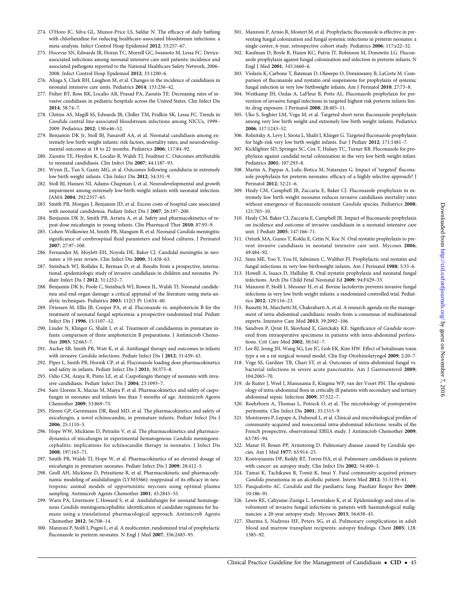- <span id="page-44-0"></span>274. O'Horo JC, Silva GL, Munoz-Price LS, Safdar N. The efficacy of daily bathing with chlorhexidine for reducing healthcare-associated bloodstream infections: a meta-analysis. Infect Control Hosp Epidemiol 2012; 33:257–67.
- 275. Hocevar SN, Edwards JR, Horan TC, Morrell GC, Iwamoto M, Lessa FC. Deviceassociated infections among neonatal intensive care unit patients: incidence and associated pathogens reported to the National Healthcare Safety Network, 2006– 2008. Infect Control Hosp Epidemiol 2012; 33:1200–6.
- 276. Aliaga S, Clark RH, Laughon M, et al. Changes in the incidence of candidiasis in neonatal intensive care units. Pediatrics 2014; 133:236–42.
- 277. Fisher BT, Ross RK, Localio AR, Prasad PA, Zaoutis TE. Decreasing rates of invasive candidiasis in pediatric hospitals across the United States. Clin Infect Dis 2014; 58:74–7.
- 278. Chitnis AS, Magill SS, Edwards JR, Chiller TM, Fridkin SK, Lessa FC. Trends in Candida central line-associated bloodstream infections among NICUs, 1999– 2009. Pediatrics 2012; 130:e46–52.
- 279. Benjamin DK Jr, Stoll BJ, Fanaroff AA, et al. Neonatal candidiasis among extremely low birth weight infants: risk factors, mortality rates, and neurodevelopmental outcomes at 18 to 22 months. Pediatrics 2006; 117:84–92.
- 280. Zaoutis TE, Heydon K, Localio R, Walsh TJ, Feudtner C. Outcomes attributable to neonatal candidiasis. Clin Infect Dis 2007; 44:1187–93.
- 281. Wynn JL, Tan S, Gantz MG, et al. Outcomes following candiduria in extremely low birth weight infants. Clin Infect Dis 2012; 54:331–9.
- 282. Stoll BJ, Hansen NI, Adams-Chapman I, et al. Neurodevelopmental and growth impairment among extremely low-birth-weight infants with neonatal infection. JAMA 2004; 292:2357–65.
- 283. Smith PB, Morgan J, Benjamin JD, et al. Excess costs of hospital care associated with neonatal candidemia. Pediatr Infect Dis J 2007; 26:197–200.
- 284. Benjamin DK Jr, Smith PB, Arrieta A, et al. Safety and pharmacokinetics of repeat-dose micafungin in young infants. Clin Pharmacol Ther 2010; 87:93–9.
- 285. Cohen-Wolkowiez M, Smith PB, Mangum B, et al. Neonatal Candida meningitis: significance of cerebrospinal fluid parameters and blood cultures. J Perinatol 2007; 27:97–100.
- 286. Fernandez M, Moylett EH, Noyola DE, Baker CJ. Candidal meningitis in neonates: a 10-year review. Clin Infect Dis 2000; 31:458–63.
- 287. Steinbach WJ, Roilides E, Berman D, et al. Results from a prospective, international, epidemiologic study of invasive candidiasis in children and neonates. Pediatr Infect Dis J 2012; 31:1252–7.
- 288. Benjamin DK Jr, Poole C, Steinbach WJ, Rowen JL, Walsh TJ. Neonatal candidemia and end-organ damage: a critical appraisal of the literature using meta-analytic techniques. Pediatrics 2003; 112(3 Pt 1):634–40.
- 289. Driessen M, Ellis JB, Cooper PA, et al. Fluconazole vs. amphotericin B for the treatment of neonatal fungal septicemia: a prospective randomized trial. Pediatr Infect Dis J 1996; 15:1107–12.
- 290. Linder N, Klinger G, Shalit I, et al. Treatment of candidaemia in premature infants: comparison of three amphotericin B preparations. J Antimicrob Chemother 2003; 52:663–7.
- 291. Ascher SB, Smith PB, Watt K, et al. Antifungal therapy and outcomes in infants with invasive *Candida* infections. Pediatr Infect Dis J 2012; 31:439-43.
- 292. Piper L, Smith PB, Hornik CP, et al. Fluconazole loading dose pharmacokinetics and safety in infants. Pediatr Infect Dis J 2011; 30:375–8.
- 293. Odio CM, Araya R, Pinto LE, et al. Caspofungin therapy of neonates with invasive candidiasis. Pediatr Infect Dis J 2004; 23:1093–7.
- 294. Saez-Llorens X, Macias M, Maiya P, et al. Pharmacokinetics and safety of caspofungin in neonates and infants less than 3 months of age. Antimicrob Agents Chemother 2009; 53:869–75.
- 295. Heresi GP, Gerstmann DR, Reed MD, et al. The pharmacokinetics and safety of micafungin, a novel echinocandin, in premature infants. Pediatr Infect Dis J 2006; 25:1110–5.
- 296. Hope WW, Mickiene D, Petraitis V, et al. The pharmacokinetics and pharmacodynamics of micafungin in experimental hematogenous Candida meningoencephalitis: implications for echinocandin therapy in neonates. J Infect Dis 2008; 197:163–71.
- 297. Smith PB, Walsh TJ, Hope W, et al. Pharmacokinetics of an elevated dosage of micafungin in premature neonates. Pediatr Infect Dis J 2009; 28:412–5.
- 298. Groll AH, Mickiene D, Petraitiene R, et al. Pharmacokinetic and pharmacodynamic modeling of anidulafungin (LY303366): reappraisal of its efficacy in neutropenic animal models of opportunistic mycoses using optimal plasma sampling. Antimicrob Agents Chemother 2001; 45:2845–55.
- 299. Warn PA, Livermore J, Howard S, et al. Anidulafungin for neonatal hematogenous Candida meningoencephalitis: identification of candidate regimens for humans using a translational pharmacological approach. Antimicrob Agents Chemother 2012; 56:708–14.
- 300. Manzoni P, Stolfi I, Pugni L, et al. A multicenter, randomized trial of prophylactic fluconazole in preterm neonates. N Engl J Med 2007; 356:2483–95.
- 301. Manzoni P, Arisio R, Mostert M, et al. Prophylactic fluconazole is effective in preventing fungal colonization and fungal systemic infections in preterm neonates: a single-center, 6-year, retrospective cohort study. Pediatrics 2006; 117:e22–32.
- 302. Kaufman D, Boyle R, Hazen KC, Patrie JT, Robinson M, Donowitz LG. Fluconazole prophylaxis against fungal colonization and infection in preterm infants. N Engl J Med 2001; 345:1660–6.
- 303. Violaris K, Carbone T, Bateman D, Olawepo O, Doraiswamy B, LaCorte M. Comparison of fluconazole and nystatin oral suspensions for prophylaxis of systemic fungal infection in very low birthweight infants. Am J Perinatol 2010; 27:73–8.
- 304. Weitkamp JH, Ozdas A, LaFleur B, Potts AL. Fluconazole prophylaxis for prevention of invasive fungal infections in targeted highest risk preterm infants limits drug exposure. J Perinatol 2008; 28:405–11.
- 305. Uko S, Soghier LM, Vega M, et al. Targeted short-term fluconazole prophylaxis among very low birth weight and extremely low birth weight infants. Pediatrics 2006; 117:1243–52.
- 306. Rolnitsky A, Levy I, Sirota L, Shalit I, Klinger G. Targeted fluconazole prophylaxis for high-risk very low birth weight infants. Eur J Pediatr 2012; 171:1481–7.
- 307. Kicklighter SD, Springer SC, Cox T, Hulsey TC, Turner RB. Fluconazole for prophylaxis against candidal rectal colonization in the very low birth weight infant. Pediatrics 2001; 107:293–8.
- 308. Martin A, Pappas A, Lulic-Botica M, Natarajan G. Impact of 'targeted' fluconazole prophylaxis for preterm neonates: efficacy of a highly selective approach? J Perinatol 2012; 32:21–6.
- 309. Healy CM, Campbell JR, Zaccaria E, Baker CJ. Fluconazole prophylaxis in extremely low birth weight neonates reduces invasive candidiasis mortality rates without emergence of fluconazole-resistant Candida species. Pediatrics 2008; 121:703–10.
- 310. Healy CM, Baker CJ, Zaccaria E, Campbell JR. Impact of fluconazole prophylaxis on incidence and outcome of invasive candidiasis in a neonatal intensive care unit. J Pediatr 2005; 147:166–71.
- 311. Ozturk MA, Gunes T, Koklu E, Cetin N, Koc N. Oral nystatin prophylaxis to prevent invasive candidiasis in neonatal intensive care unit. Mycoses 2006; 49:484–92.
- 312. Sims ME, Yoo Y, You H, Salminen C, Walther FJ. Prophylactic oral nystatin and fungal infections in very-low-birthweight infants. Am J Perinatol 1988; 5:33–6.
- 313. Howell A, Isaacs D, Halliday R. Oral nystatin prophylaxis and neonatal fungal infections. Arch Dis Child Fetal Neonatal Ed 2009; 94:F429–33.
- 314. Manzoni P, Stolfi I, Messner H, et al. Bovine lactoferrin prevents invasive fungal infections in very low birth weight infants: a randomized controlled trial. Pediatrics 2012; 129:116–23.
- 315. Bassetti M, Marchetti M, Chakrabarti A, et al. A research agenda on the management of intra-abdominal candidiasis: results from a consensus of multinational experts. Intensive Care Med 2013; 39:2092–106.
- 316. Sandven P, Qvist H, Skovlund E, Giercksky KE. Significance of Candida recovered from intraoperative specimens in patients with intra-abdominal perforations. Crit Care Med 2002; 30:541–7.
- 317. Lee BJ, Jeong JH, Wang SG, Lee JC, Goh EK, Kim HW. Effect of botulinum toxin type a on a rat surgical wound model. Clin Exp Otorhinolaryngol 2009; 2:20–7.
- 318. Vege SS, Gardner TB, Chari ST, et al. Outcomes of intra-abdominal fungal vs. bacterial infections in severe acute pancreatitis. Am J Gastroenterol 2009; 104:2065–70.
- 319. de Ruiter J, Weel J, Manusama E, Kingma WP, van der Voort PH. The epidemiology of intra-abdominal flora in critically ill patients with secondary and tertiary abdominal sepsis. Infection 2009; 37:522–7.
- 320. Roehrborn A, Thomas L, Potreck O, et al. The microbiology of postoperative peritonitis. Clin Infect Dis 2001; 33:1513–9.
- 321. Montravers P, Lepape A, Dubreuil L, et al. Clinical and microbiological profiles of community-acquired and nosocomial intra-abdominal infections: results of the French prospective, observational EBIIA study. J Antimicrob Chemother 2009; 63:785–94.
- 322. Masur H, Rosen PP, Armstrong D. Pulmonary disease caused by Candida species. Am J Med 1977; 63:914–25.
- 323. Kontoyiannis DP, Reddy BT, Torres HA, et al. Pulmonary candidiasis in patients with cancer: an autopsy study. Clin Infect Dis 2002; 34:400–3.
- 324. Tamai K, Tachikawa R, Tomii K, Imai Y. Fatal community-acquired primary Candida pneumonia in an alcoholic patient. Intern Med 2012; 51:3159–61.
- 325. Pasqualotto AC. Candida and the paediatric lung. Paediatr Respir Rev 2009; 10:186–91.
- 326. Lewis RE, Cahyame-Zuniga L, Leventakos K, et al. Epidemiology and sites of involvement of invasive fungal infections in patients with haematological malignancies: a 20-year autopsy study. Mycoses 2013; 56:638–45.
- 327. Sharma S, Nadrous HF, Peters SG, et al. Pulmonary complications in adult blood and marrow transplant recipients: autopsy findings. Chest 2005; 128: 1385–92.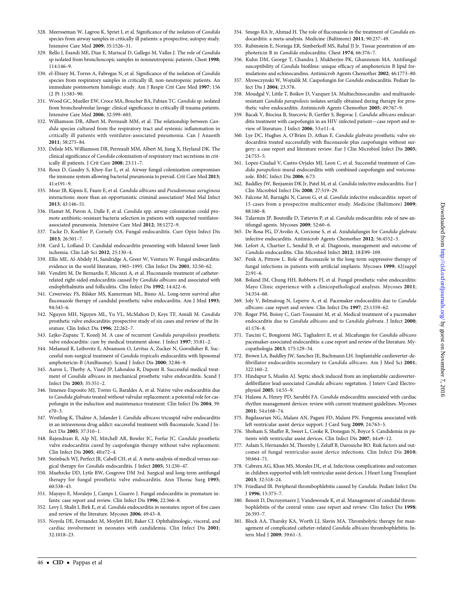- <span id="page-45-0"></span>328. Meersseman W, Lagrou K, Spriet I, et al. Significance of the isolation of Candida species from airway samples in critically ill patients: a prospective, autopsy study. Intensive Care Med 2009; 35:1526–31.
- 329. Rello J, Esandi ME, Diaz E, Mariscal D, Gallego M, Valles J. The role of Candida sp isolated from bronchoscopic samples in nonneutropenic patients. Chest 1998; 114:146–9.
- 330. el-Ebiary M, Torres A, Fabregas N, et al. Significance of the isolation of Candida species from respiratory samples in critically ill, non-neutropenic patients. An immediate postmortem histologic study. Am J Respir Crit Care Med 1997; 156 (2 Pt 1):583–90.
- 331. Wood GC, Mueller EW, Croce MA, Boucher BA, Fabian TC. Candida sp. isolated from bronchoalveolar lavage: clinical significance in critically ill trauma patients. Intensive Care Med 2006; 32:599–603.
- 332. Williamson DR, Albert M, Perreault MM, et al. The relationship between Candida species cultured from the respiratory tract and systemic inflammation in critically ill patients with ventilator-associated pneumonia. Can J Anaesth 2011; 58:275–84.
- 333. Delisle MS, Williamson DR, Perreault MM, Albert M, Jiang X, Heyland DK. The clinical significance of Candida colonization of respiratory tract secretions in critically ill patients. J Crit Care 2008; 23:11–7.
- 334. Roux D, Gaudry S, Khoy-Ear L, et al. Airway fungal colonization compromises the immune system allowing bacterial pneumonia to prevail. Crit Care Med 2013; 41:e191–9.
- 335. Mear JB, Kipnis E, Faure E, et al. Candida albicans and Pseudomonas aeruginosa interactions: more than an opportunistic criminal association? Med Mal Infect 2013; 43:146–51.
- 336. Hamet M, Pavon A, Dalle F, et al. Candida spp. airway colonization could promote antibiotic-resistant bacteria selection in patients with suspected ventilatorassociated pneumonia. Intensive Care Med 2012; 38:1272–9.
- 337. Tacke D, Koehler P, Cornely OA. Fungal endocarditis. Curr Opin Infect Dis 2013; 26:501–7.
- 338. Card L, Lofland D. Candidal endocarditis presenting with bilateral lower limb ischemia. Clin Lab Sci 2012; 25:130–4.
- 339. Ellis ME, Al-Abdely H, Sandridge A, Greer W, Ventura W. Fungal endocarditis: evidence in the world literature, 1965–1995. Clin Infect Dis 2001; 32:50–62.
- 340. Venditti M, De Bernardis F, Micozzi A, et al. Fluconazole treatment of catheterrelated right-sided endocarditis caused by Candida albicans and associated with endophthalmitis and folliculitis. Clin Infect Dis 1992; 14:422–6.
- 341. Czwerwiec FS, Bilsker MS, Kamerman ML, Bisno AL. Long-term survival after fluconazole therapy of candidal prosthetic valve endocarditis. Am J Med 1993; 94:545–6.
- 342. Nguyen MH, Nguyen ML, Yu VL, McMahon D, Keys TF, Amidi M. Candida prosthetic valve endocarditis: prospective study of six cases and review of the literature. Clin Infect Dis 1996; 22:262–7.
- 343. Lejko-Zupanc T, Kozelj M. A case of recurrent Candida parapsilosis prosthetic valve endocarditis: cure by medical treatment alone. J Infect 1997; 35:81–2.
- 344. Melamed R, Leibovitz E, Abramson O, Levitas A, Zucker N, Gorodisher R. Successful non-surgical treatment of Candida tropicalis endocarditis with liposomal amphotericin-B (AmBisome). Scand J Infect Dis 2000; 32:86–9.
- 345. Aaron L, Therby A, Viard JP, Lahoulou R, Dupont B. Successful medical treatment of Candida albicans in mechanical prosthetic valve endocarditis. Scand J Infect Dis 2003; 35:351–2.
- 346. Jimenez-Exposito MJ, Torres G, Baraldes A, et al. Native valve endocarditis due to Candida glabrata treated without valvular replacement: a potential role for caspofungin in the induction and maintenance treatment. Clin Infect Dis 2004; 39: e70–3.
- 347. Westling K, Thalme A, Julander I. Candida albicans tricuspid valve endocarditis in an intravenous drug addict: successful treatment with fluconazole. Scand J Infect Dis 2005; 37:310–1.
- 348. Rajendram R, Alp NJ, Mitchell AR, Bowler IC, Forfar JC. Candida prosthetic valve endocarditis cured by caspofungin therapy without valve replacement. Clin Infect Dis 2005; 40:e72–4.
- 349. Steinbach WJ, Perfect JR, Cabell CH, et al. A meta-analysis of medical versus surgical therapy for Candida endocarditis. J Infect 2005; 51:230–47.
- 350. Muehrcke DD, Lytle BW, Cosgrove DM 3rd. Surgical and long-term antifungal therapy for fungal prosthetic valve endocarditis. Ann Thorac Surg 1995; 60:538–43.
- 351. Mayayo E, Moralejo J, Camps J, Guarro J. Fungal endocarditis in premature infants: case report and review. Clin Infect Dis 1996; 22:366–8.
- 352. Levy I, Shalit I, Birk E, et al. Candida endocarditis in neonates: report of five cases and review of the literature. Mycoses 2006; 49:43–8.
- 353. Noyola DE, Fernandez M, Moylett EH, Baker CJ. Ophthalmologic, visceral, and cardiac involvement in neonates with candidemia. Clin Infect Dis 2001; 32:1018–23.
- 354. Smego RA Jr, Ahmad H. The role of fluconazole in the treatment of Candida endocarditis: a meta-analysis. Medicine (Baltimore) 2011; 90:237–49.
- 355. Rubinstein E, Noriega ER, Simberkoff MS, Rahal JJ Jr. Tissue penetration of amphotericin B in Candida endocarditis. Chest 1974; 66:376–7.
- 356. Kuhn DM, George T, Chandra J, Mukherjee PK, Ghannoum MA. Antifungal susceptibility of Candida biofilms: unique efficacy of amphotericin B lipid formulations and echinocandins. Antimicrob Agents Chemother 2002; 46:1773–80.
- 357. Mrowczynski W, Wojtalik M. Caspofungin for Candida endocarditis. Pediatr Infect Dis J 2004; 23:376.
- 358. Moudgal V, Little T, Boikov D, Vazquez JA. Multiechinocandin- and multiazoleresistant Candida parapsilosis isolates serially obtained during therapy for prosthetic valve endocarditis. Antimicrob Agents Chemother 2005; 49:767–9.
- 359. Bacak V, Biocina B, Starcevic B, Gertler S, Begovac J. Candida albicans endocarditis treatment with caspofungin in an HIV-infected patient—case report and review of literature. J Infect 2006; 53:e11–4.
- 360. Lye DC, Hughes A, O'Brien D, Athan E. Candida glabrata prosthetic valve endocarditis treated successfully with fluconazole plus caspofungin without surgery: a case report and literature review. Eur J Clin Microbiol Infect Dis 2005; 24:753–5.
- 361. Lopez-Ciudad V, Castro-Orjales MJ, Leon C, et al. Successful treatment of Candida parapsilosis mural endocarditis with combined caspofungin and voriconazole. BMC Infect Dis 2006; 6:73.
- 362. Baddley JW, Benjamin DK Jr, Patel M, et al. Candida infective endocarditis. Eur J Clin Microbiol Infect Dis 2008; 27:519–29.
- 363. Falcone M, Barzaghi N, Carosi G, et al. Candida infective endocarditis: report of 15 cases from a prospective multicenter study. Medicine (Baltimore) 2009; 88:160–8.
- 364. Talarmin JP, Boutoille D, Tattevin P, et al. Candida endocarditis: role of new antifungal agents. Mycoses 2009; 52:60–6.
- 365. De Rosa FG, D'Avolio A, Corcione S, et al. Anidulafungin for Candida glabrata infective endocarditis. Antimicrob Agents Chemother 2012; 56:4552–3.
- 366. Lefort A, Chartier L, Sendid B, et al. Diagnosis, management and outcome of Candida endocarditis. Clin Microbiol Infect 2012; 18:E99–109.
- 367. Penk A, Pittrow L. Role of fluconazole in the long-term suppressive therapy of fungal infections in patients with artificial implants. Mycoses 1999; 42(suppl 2):91–6.
- 368. Boland JM, Chung HH, Robberts FJ, et al. Fungal prosthetic valve endocarditis: Mayo Clinic experience with a clinicopathological analysis. Mycoses 2011; 54:354–60.
- 369. Joly V, Belmatoug N, Leperre A, et al. Pacemaker endocarditis due to Candida albicans: case report and review. Clin Infect Dis 1997; 25:1359–62.
- 370. Roger PM, Boissy C, Gari-Toussaint M, et al. Medical treatment of a pacemaker endocarditis due to Candida albicans and to Candida glabrata. J Infect 2000; 41:176–8.
- 371. Tascini C, Bongiorni MG, Tagliaferri E, et al. Micafungin for Candida albicans pacemaker-associated endocarditis: a case report and review of the literature. Mycopathologia 2013; 175:129–34.
- 372. Brown LA, Baddley JW, Sanchez JE, Bachmann LH. Implantable cardioverter-defibrillator endocarditis secondary to Candida albicans. Am J Med Sci 2001; 322:160–2.
- 373. Hindupur S, Muslin AJ. Septic shock induced from an implantable cardioverterdefibrillator lead-associated Candida albicans vegetation. J Interv Card Electrophysiol 2005; 14:55–9.
- 374. Halawa A, Henry PD, Sarubbi FA. Candida endocarditis associated with cardiac rhythm management devices: review with current treatment guidelines. Mycoses 2011; 54:e168–74.
- 375. Bagdasarian NG, Malani AN, Pagani FD, Malani PN. Fungemia associated with left ventricular assist device support. J Card Surg 2009; 24:763–5.
- 376. Shoham S, Shaffer R, Sweet L, Cooke R, Donegan N, Boyce S. Candidemia in patients with ventricular assist devices. Clin Infect Dis 2007; 44:e9–12.
- 377. Aslam S, Hernandez M, Thornby J, Zeluff B, Darouiche RO. Risk factors and outcomes of fungal ventricular-assist device infections. Clin Infect Dis 2010; 50:664–71.
- 378. Cabrera AG, Khan MS, Morales DL, et al. Infectious complications and outcomes in children supported with left ventricular assist devices. J Heart Lung Transplant 2013; 32:518–24.
- 379. Friedland IR. Peripheral thrombophlebitis caused by Candida. Pediatr Infect Dis J 1996; 15:375–7.
- 380. Benoit D, Decruyenaere J, Vandewoude K, et al. Management of candidal thrombophlebitis of the central veins: case report and review. Clin Infect Dis 1998; 26:393–7.
- 381. Block AA, Thursky KA, Worth LJ, Slavin MA. Thrombolytic therapy for management of complicated catheter-related Candida albicans thrombophlebitis. Intern Med J 2009; 39:61–3.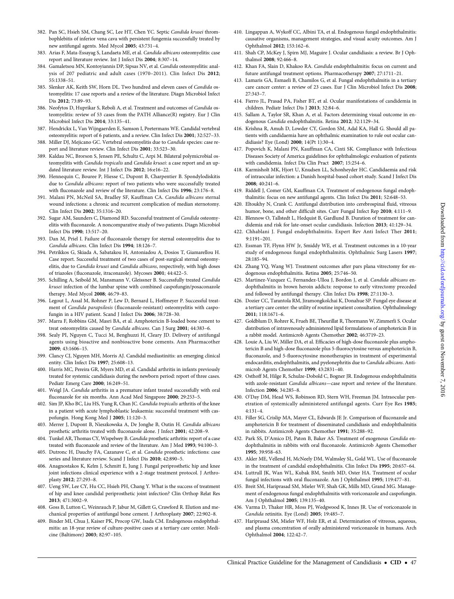- <span id="page-46-0"></span>382. Pan SC, Hsieh SM, Chang SC, Lee HT, Chen YC. Septic Candida krusei thrombophlebitis of inferior vena cava with persistent fungemia successfully treated by new antifungal agents. Med Mycol 2005; 43:731–4.
- 383. Arias F, Mata-Essayag S, Landaeta ME, et al. Candida albicans osteomyelitis: case report and literature review. Int J Infect Dis 2004; 8:307–14.
- 384. Gamaletsou MN, Kontoyiannis DP, Sipsas NV, et al. Candida osteomyelitis: analysis of 207 pediatric and adult cases (1970–2011). Clin Infect Dis 2012; 55:1338–51.
- 385. Slenker AK, Keith SW, Horn DL. Two hundred and eleven cases of Candida osteomyelitis: 17 case reports and a review of the literature. Diagn Microbiol Infect Dis 2012; 73:89–93.
- 386. Neofytos D, Huprikar S, Reboli A, et al. Treatment and outcomes of Candida osteomyelitis: review of 53 cases from the PATH Alliance(R) registry. Eur J Clin Microbiol Infect Dis 2014; 33:135–41.
- 387. Hendrickx L, Van Wijngaerden E, Samson I, Peetermans WE. Candidal vertebral osteomyelitis: report of 6 patients, and a review. Clin Infect Dis 2001; 32:527–33.
- 388. Miller DJ, Mejicano GC. Vertebral osteomyelitis due to Candida species: case report and literature review. Clin Infect Dis 2001; 33:523–30.
- 389. Kaldau NC, Brorson S, Jensen PE, Schultz C, Arpi M. Bilateral polymicrobial osteomyelitis with Candida tropicalis and Candida krusei: a case report and an updated literature review. Int J Infect Dis 2012; 16:e16–22.
- 390. Hennequin C, Bouree P, Hiesse C, Dupont B, Charpentier B. Spondylodiskitis due to Candida albicans: report of two patients who were successfully treated with fluconazole and review of the literature. Clin Infect Dis 1996; 23:176–8.
- 391. Malani PN, McNeil SA, Bradley SF, Kauffman CA. Candida albicans sternal wound infections: a chronic and recurrent complication of median sternotomy. Clin Infect Dis 2002; 35:1316–20.
- 392. Sugar AM, Saunders C, Diamond RD. Successful treatment of Candida osteomyelitis with fluconazole. A noncomparative study of two patients. Diagn Microbiol Infect Dis 1990; 13:517–20.
- 393. Dan M, Priel I. Failure of fluconazole therapy for sternal osteomyelitis due to Candida albicans. Clin Infect Dis 1994; 18:126–7.
- 394. Petrikkos G, Skiada A, Sabatakou H, Antoniadou A, Dosios T, Giamarellou H. Case report. Successful treatment of two cases of post-surgical sternal osteomyelitis, due to Candida krusei and Candida albicans, respectively, with high doses of triazoles (fluconazole, itraconazole). Mycoses 2001; 44:422–5.
- 395. Schilling A, Seibold M, Mansmann V, Gleissner B. Successfully treated Candida krusei infection of the lumbar spine with combined caspofungin/posaconazole therapy. Med Mycol 2008; 46:79–83.
- 396. Legout L, Assal M, Rohner P, Lew D, Bernard L, Hoffmeyer P. Successful treatment of Candida parapsilosis (fluconazole-resistant) osteomyelitis with caspofungin in a HIV patient. Scand J Infect Dis 2006; 38:728–30.
- 397. Marra F, Robbins GM, Masri BA, et al. Amphotericin B-loaded bone cement to treat osteomyelitis caused by Candida albicans. Can J Surg 2001; 44:383–6.
- 398. Sealy PI, Nguyen C, Tucci M, Benghuzzi H, Cleary JD. Delivery of antifungal agents using bioactive and nonbioactive bone cements. Ann Pharmacother 2009; 43:1606–15.
- 399. Clancy CJ, Nguyen MH, Morris AJ. Candidal mediastinitis: an emerging clinical entity. Clin Infect Dis 1997; 25:608–13.
- 400. Harris MC, Pereira GR, Myers MD, et al. Candidal arthritis in infants previously treated for systemic candidiasis during the newborn period: report of three cases. Pediatr Emerg Care 2000; 16:249–51.
- 401. Weigl JA. Candida arthritis in a premature infant treated successfully with oral fluconazole for six months. Ann Acad Med Singapore 2000; 29:253–5.
- 402. Sim JP, Kho BC, Liu HS, Yung R, Chan JC. Candida tropicalis arthritis of the knee in a patient with acute lymphoblastic leukaemia: successful treatment with caspofungin. Hong Kong Med J 2005; 11:120–3.
- 403. Merrer J, Dupont B, Nieszkowska A, De Jonghe B, Outin H. Candida albicans prosthetic arthritis treated with fluconazole alone. J Infect 2001; 42:208–9.
- 404. Tunkel AR, Thomas CY, Wispelwey B. Candida prosthetic arthritis: report of a case treated with fluconazole and review of the literature. Am J Med 1993; 94:100–3.
- 405. Dutronc H, Dauchy FA, Cazanave C, et al. Candida prosthetic infections: case series and literature review. Scand J Infect Dis 2010; 42:890–5.
- 406. Anagnostakos K, Kelm J, Schmitt E, Jung J. Fungal periprosthetic hip and knee joint infections clinical experience with a 2-stage treatment protocol. J Arthroplasty 2012; 27:293–8.
- 407. Ueng SW, Lee CY, Hu CC, Hsieh PH, Chang Y. What is the success of treatment of hip and knee candidal periprosthetic joint infection? Clin Orthop Relat Res 2013; 471:3002–9.
- 408. Goss B, Lutton C, Weinrauch P, Jabur M, Gillett G, Crawford R. Elution and mechanical properties of antifungal bone cement. J Arthroplasty 2007; 22:902–8.
- 409. Binder MI, Chua J, Kaiser PK, Procop GW, Isada CM. Endogenous endophthalmitis: an 18-year review of culture-positive cases at a tertiary care center. Medicine (Baltimore) 2003; 82:97–105.
- 410. Lingappan A, Wykoff CC, Albini TA, et al. Endogenous fungal endophthalmitis: causative organisms, management strategies, and visual acuity outcomes. Am J Ophthalmol 2012; 153:162–6.
- 411. Shah CP, McKey J, Spirn MJ, Maguire J. Ocular candidiasis: a review. Br J Ophthalmol 2008; 92:466–8.
- 412. Khan FA, Slain D, Khakoo RA. Candida endophthalmitis: focus on current and future antifungal treatment options. Pharmacotherapy 2007; 27:1711–21.
- 413. Lamaris GA, Esmaeli B, Chamilos G, et al. Fungal endophthalmitis in a tertiary care cancer center: a review of 23 cases. Eur J Clin Microbiol Infect Dis 2008; 27:343–7.
- 414. Fierro JL, Prasad PA, Fisher BT, et al. Ocular manifestations of candidemia in children. Pediatr Infect Dis J 2013; 32:84–6.
- 415. Sallam A, Taylor SR, Khan A, et al. Factors determining visual outcome in endogenous Candida endophthalmitis. Retina 2012; 32:1129–34.
- 416. Krishna R, Amuh D, Lowder CY, Gordon SM, Adal KA, Hall G. Should all patients with candidaemia have an ophthalmic examination to rule out ocular candidiasis? Eye (Lond) 2000; 14(Pt 1):30–4.
- 417. Popovich K, Malani PN, Kauffman CA, Cinti SK. Compliance with Infectious Diseases Society of America guidelines for ophthalmologic evaluation of patients with candidemia. Infect Dis Clin Pract 2007; 15:254–6.
- 418. Karmisholt MK, Hjort U, Knudsen LL, Schonheyder HC. Candidaemia and risk of intraocular infection: a Danish hospital-based cohort study. Scand J Infect Dis 2008; 40:241–6.
- 419. Riddell J, Comer GM, Kauffman CA. Treatment of endogenous fungal endophthalmitis: focus on new antifungal agents. Clin Infect Dis 2011; 52:648–53.
- 420. Eltoukhy N, Crank C. Antifungal distribution into cerebrospinal fluid, vitreous humor, bone, and other difficult sites. Curr Fungal Infect Rep 2010; 4:111-9.
- 421. Blennow O, Tallstedt L, Hedquist B, Gardlund B. Duration of treatment for candidemia and risk for late-onset ocular candidiasis. Infection 2013; 41:129–34.
- 422. Chhablani J. Fungal endophthalmitis. Expert Rev Anti Infect Ther 2011; 9:1191–201.
- 423. Essman TF, Flynn HW Jr, Smiddy WE, et al. Treatment outcomes in a 10-year study of endogenous fungal endophthalmitis. Ophthalmic Surg Lasers 1997; 28:185–94.
- 424. Zhang YQ, Wang WJ. Treatment outcomes after pars plana vitrectomy for endogenous endophthalmitis. Retina 2005; 25:746–50.
- 425. Martinez-Vazquez C, Fernandez-Ulloa J, Bordon J, et al. Candida albicans endophthalmitis in brown heroin addicts: response to early vitrectomy preceded and followed by antifungal therapy. Clin Infect Dis 1998; 27:1130–3.
- 426. Dozier CC, Tarantola RM, Jiramongkolchai K, Donahue SP. Fungal eye disease at a tertiary care center: the utility of routine inpatient consultation. Ophthalmology 2011; 118:1671–6.
- 427. Goldblum D, Rohrer K, Frueh BE, Theurillat R, Thormann W, Zimmerli S. Ocular distribution of intravenously administered lipid formulations of amphotericin B in a rabbit model. Antimicrob Agents Chemother 2002; 46:3719–23.
- 428. Louie A, Liu W, Miller DA, et al. Efficacies of high-dose fluconazole plus amphotericin B and high-dose fluconazole plus 5-fluorocytosine versus amphotericin B, fluconazole, and 5-fluorocytosine monotherapies in treatment of experimental endocarditis, endophthalmitis, and pyelonephritis due to Candida albicans. Antimicrob Agents Chemother 1999; 43:2831–40.
- 429. Osthoff M, Hilge R, Schulze-Dobold C, Bogner JR. Endogenous endophthalmitis with azole-resistant Candida albicans—case report and review of the literature. Infection 2006; 34:285–8.
- 430. O'Day DM, Head WS, Robinson RD, Stern WH, Freeman JM. Intraocular penetration of systemically administered antifungal agents. Curr Eye Res 1985; 4:131–4.
- 431. Filler SG, Crislip MA, Mayer CL, Edwards JE Jr. Comparison of fluconazole and amphotericin B for treatment of disseminated candidiasis and endophthalmitis in rabbits. Antimicrob Agents Chemother 1991; 35:288–92.
- 432. Park SS, D'Amico DJ, Paton B, Baker AS. Treatment of exogenous Candida endophthalmitis in rabbits with oral fluconazole. Antimicrob Agents Chemother 1995; 39:958–63.
- 433. Akler ME, Vellend H, McNeely DM, Walmsley SL, Gold WL. Use of fluconazole in the treatment of candidal endophthalmitis. Clin Infect Dis 1995; 20:657–64.
- 434. Luttrull JK, Wan WL, Kubak BM, Smith MD, Oster HA. Treatment of ocular fungal infections with oral fluconazole. Am J Ophthalmol 1995; 119:477–81.
- 435. Breit SM, Hariprasad SM, Mieler WF, Shah GK, Mills MD, Grand MG. Management of endogenous fungal endophthalmitis with voriconazole and caspofungin. Am J Ophthalmol 2005; 139:135–40.
- 436. Varma D, Thaker HR, Moss PJ, Wedgwood K, Innes JR. Use of voriconazole in Candida retinitis. Eye (Lond) 2005; 19:485–7.
- 437. Hariprasad SM, Mieler WF, Holz ER, et al. Determination of vitreous, aqueous, and plasma concentration of orally administered voriconazole in humans. Arch Ophthalmol 2004; 122:42–7.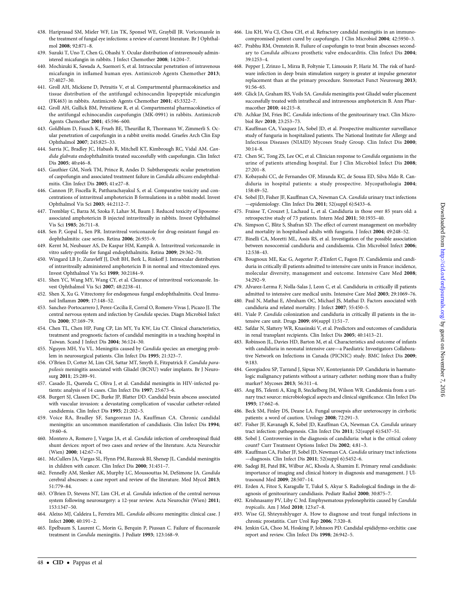- <span id="page-47-0"></span>438. Hariprasad SM, Mieler WF, Lin TK, Sponsel WE, Graybill JR. Voriconazole in the treatment of fungal eye infections: a review of current literature. Br J Ophthalmol 2008; 92:871–8.
- 439. Suzuki T, Uno T, Chen G, Ohashi Y. Ocular distribution of intravenously administered micafungin in rabbits. J Infect Chemother 2008; 14:204–7.
- 440. Mochizuki K, Sawada A, Suemori S, et al. Intraocular penetration of intravenous micafungin in inflamed human eyes. Antimicrob Agents Chemother 2013; 57:4027–30.
- 441. Groll AH, Mickiene D, Petraitis V, et al. Compartmental pharmacokinetics and tissue distribution of the antifungal echinocandin lipopeptide micafungin (FK463) in rabbits. Antimicrob Agents Chemother 2001; 45:3322–7.
- 442. Groll AH, Gullick BM, Petraitiene R, et al. Compartmental pharmacokinetics of the antifungal echinocandin caspofungin (MK-0991) in rabbits. Antimicrob Agents Chemother 2001; 45:596–600.
- 443. Goldblum D, Fausch K, Frueh BE, Theurillat R, Thormann W, Zimmerli S. Ocular penetration of caspofungin in a rabbit uveitis model. Graefes Arch Clin Exp Ophthalmol 2007; 245:825–33.
- 444. Sarria JC, Bradley JC, Habash R, Mitchell KT, Kimbrough RC, Vidal AM. Candida glabrata endophthalmitis treated successfully with caspofungin. Clin Infect Dis 2005; 40:e46–8.
- 445. Gauthier GM, Nork TM, Prince R, Andes D. Subtherapeutic ocular penetration of caspofungin and associated treatment failure in Candida albicans endophthalmitis. Clin Infect Dis 2005; 41:e27–8.
- 446. Cannon JP, Fiscella R, Pattharachayakul S, et al. Comparative toxicity and concentrations of intravitreal amphotericin B formulations in a rabbit model. Invest Ophthalmol Vis Sci 2003; 44:2112–7.
- 447. Tremblay C, Barza M, Szoka F, Lahav M, Baum J. Reduced toxicity of liposomeassociated amphotericin B injected intravitreally in rabbits. Invest Ophthalmol Vis Sci 1985; 26:711–8.
- 448. Sen P, Gopal L, Sen PR. Intravitreal voriconazole for drug-resistant fungal endophthalmitis: case series. Retina 2006; 26:935–9.
- 449. Kernt M, Neubauer AS, De Kaspar HM, Kampik A. Intravitreal voriconazole: in vitro safety-profile for fungal endophthalmitis. Retina 2009; 29:362–70.
- 450. Wingard LB Jr, Zuravleff JJ, Doft BH, Berk L, Rinkoff J. Intraocular distribution of intravitreally administered amphotericin B in normal and vitrectomized eyes. Invest Ophthalmol Vis Sci 1989; 30:2184–9.
- 451. Shen YC, Wang MY, Wang CY, et al. Clearance of intravitreal voriconazole. Invest Ophthalmol Vis Sci 2007; 48:2238–41.
- 452. Shen X, Xu G. Vitrectomy for endogenous fungal endophthalmitis. Ocul Immunol Inflamm 2009; 17:148–52.
- 453. Sanchez-Portocarrero J, Perez-Cecilia E, Corral O, Romero-Vivas J, Picazo JJ. The central nervous system and infection by Candida species. Diagn Microbiol Infect Dis 2000; 37:169–79.
- 454. Chen TL, Chen HP, Fung CP, Lin MY, Yu KW, Liu CY. Clinical characteristics, treatment and prognostic factors of candidal meningitis in a teaching hospital in Taiwan. Scand J Infect Dis 2004; 36:124–30.
- 455. Nguyen MH, Yu VL. Meningitis caused by Candida species: an emerging problem in neurosurgical patients. Clin Infect Dis 1995; 21:323–7.
- 456. O'Brien D, Cotter M, Lim CH, Sattar MT, Smyth E, Fitzpatrick F. Candida parapsilosis meningitis associated with Gliadel (BCNU) wafer implants. Br J Neurosurg 2011; 25:289–91.
- 457. Casado JL, Quereda C, Oliva J, et al. Candidal meningitis in HIV-infected patients: analysis of 14 cases. Clin Infect Dis 1997; 25:673–6.
- 458. Burgert SJ, Classen DC, Burke JP, Blatter DD. Candidal brain abscess associated with vascular invasion: a devastating complication of vascular catheter-related candidemia. Clin Infect Dis 1995; 21:202–5.
- 459. Voice RA, Bradley SF, Sangeorzan JA, Kauffman CA. Chronic candidal meningitis: an uncommon manifestation of candidiasis. Clin Infect Dis 1994; 19:60–6.
- 460. Montero A, Romero J, Vargas JA, et al. Candida infection of cerebrospinal fluid shunt devices: report of two cases and review of the literature. Acta Neurochir (Wien) 2000; 142:67–74.
- 461. McCullers JA, Vargas SL, Flynn PM, Razzouk BI, Shenep JL. Candidal meningitis in children with cancer. Clin Infect Dis 2000; 31:451–7.
- 462. Fennelly AM, Slenker AK, Murphy LC, Moussouttas M, DeSimone JA. Candida cerebral abscesses: a case report and review of the literature. Med Mycol 2013; 51:779–84.
- 463. O'Brien D, Stevens NT, Lim CH, et al. Candida infection of the central nervous system following neurosurgery: a 12-year review. Acta Neurochir (Wien) 2011; 153:1347–50.
- 464. Aleixo MJ, Caldeira L, Ferreira ML. Candida albicans meningitis: clinical case. J Infect 2000; 40:191–2.
- 465. Epelbaum S, Laurent C, Morin G, Berquin P, Piussan C. Failure of fluconazole treatment in Candida meningitis. J Pediatr 1993; 123:168–9.
- 466. Liu KH, Wu CJ, Chou CH, et al. Refractory candidal meningitis in an immunocompromised patient cured by caspofungin. J Clin Microbiol 2004; 42:5950–3.
- 467. Prabhu RM, Orenstein R. Failure of caspofungin to treat brain abscesses secondary to Candida albicans prosthetic valve endocarditis. Clin Infect Dis 2004; 39:1253–4.
- 468. Pepper J, Zrinzo L, Mirza B, Foltynie T, Limousin P, Hariz M. The risk of hardware infection in deep brain stimulation surgery is greater at impulse generator replacement than at the primary procedure. Stereotact Funct Neurosurg 2013; 91:56–65.
- 469. Glick JA, Graham RS, Voils SA. Candida meningitis post Gliadel wafer placement successfully treated with intrathecal and intravenous amphotericin B. Ann Pharmacother 2010; 44:215–8.
- 470. Achkar JM, Fries BC. Candida infections of the genitourinary tract. Clin Microbiol Rev 2010; 23:253–73.
- 471. Kauffman CA, Vazquez JA, Sobel JD, et al. Prospective multicenter surveillance study of funguria in hospitalized patients. The National Institute for Allergy and Infectious Diseases (NIAID) Mycoses Study Group. Clin Infect Dis 2000; 30:14–8.
- 472. Chen SC, Tong ZS, Lee OC, et al. Clinician response to Candida organisms in the urine of patients attending hospital. Eur J Clin Microbiol Infect Dis 2008; 27:201–8.
- 473. Kobayashi CC, de Fernandes OF, Miranda KC, de Sousa ED, Silva Mdo R. Candiduria in hospital patients: a study prospective. Mycopathologia 2004; 158:49–52.
- 474. Sobel JD, Fisher JF, Kauffman CA, Newman CA. Candida urinary tract infections —epidemiology. Clin Infect Dis 2011; 52(suppl 6):S433–6.
- 475. Fraisse T, Crouzet J, Lachaud L, et al. Candiduria in those over 85 years old: a retrospective study of 73 patients. Intern Med 2011; 50:1935–40.
- 476. Simpson C, Blitz S, Shafran SD. The effect of current management on morbidity and mortality in hospitalised adults with funguria. J Infect 2004; 49:248–52.
- 477. Binelli CA, Moretti ML, Assis RS, et al. Investigation of the possible association between nosocomial candiduria and candidaemia. Clin Microbiol Infect 2006; 12:538–43.
- 478. Bougnoux ME, Kac G, Aegerter P, d'Enfert C, Fagon JY. Candidemia and candiduria in critically ill patients admitted to intensive care units in France: incidence, molecular diversity, management and outcome. Intensive Care Med 2008; 34:292–9.
- 479. Alvarez-Lerma F, Nolla-Salas J, Leon C, et al. Candiduria in critically ill patients admitted to intensive care medical units. Intensive Care Med 2003; 29:1069–76.
- 480. Paul N, Mathai E, Abraham OC, Michael JS, Mathai D. Factors associated with candiduria and related mortality. J Infect 2007; 55:450–5.
- 481. Viale P. Candida colonization and candiduria in critically ill patients in the intensive care unit. Drugs 2009; 69(suppl 1):51–7.
- 482. Safdar N, Slattery WR, Knasinski V, et al. Predictors and outcomes of candiduria in renal transplant recipients. Clin Infect Dis 2005; 40:1413–21.
- 483. Robinson JL, Davies HD, Barton M, et al. Characteristics and outcome of infants with candiduria in neonatal intensive care—a Paediatric Investigators Collaborative Network on Infections in Canada (PICNIC) study. BMC Infect Dis 2009; 9:183.
- 484. Georgiadou SP, Tarrand J, Sipsas NV, Kontoyiannis DP. Candiduria in haematologic malignancy patients without a urinary catheter: nothing more than a frailty marker? Mycoses 2013; 56:311–4.
- 485. Ang BS, Telenti A, King B, Steckelberg JM, Wilson WR. Candidemia from a urinary tract source: microbiological aspects and clinical significance. Clin Infect Dis 1993; 17:662–6.
- 486. Beck SM, Finley DS, Deane LA. Fungal urosepsis after ureteroscopy in cirrhotic patients: a word of caution. Urology 2008; 72:291–3.
- 487. Fisher JF, Kavanagh K, Sobel JD, Kauffman CA, Newman CA. Candida urinary tract infection: pathogenesis. Clin Infect Dis 2011; 52(suppl 6):S437–51.
- 488. Sobel J. Controversies in the diagnosis of candiduria: what is the critical colony count? Curr Treatment Options Infect Dis 2002; 4:81–3.
- 489. Kauffman CA, Fisher JF, Sobel JD, Newman CA. Candida urinary tract infections —diagnosis. Clin Infect Dis 2011; 52(suppl 6):S452–6.
- 490. Sadegi BJ, Patel BK, Wilbur AC, Khosla A, Shamim E. Primary renal candidiasis: importance of imaging and clinical history in diagnosis and management. J Ultrasound Med 2009; 28:507–14.
- 491. Erden A, Fitoz S, Karagulle T, Tukel S, Akyar S. Radiological findings in the diagnosis of genitourinary candidiasis. Pediatr Radiol 2000; 30:875–7.
- 492. Krishnasamy PV, Liby C 3rd. Emphysematous pyelonephritis caused by Candida tropicalis. Am J Med 2010; 123:e7–8.
- 493. Wise GJ, Shteynshlyuger A. How to diagnose and treat fungal infections in chronic prostatitis. Curr Urol Rep 2006; 7:320–8.
- 494. Jenkin GA, Choo M, Hosking P, Johnson PD. Candidal epididymo-orchitis: case report and review. Clin Infect Dis 1998; 26:942–5.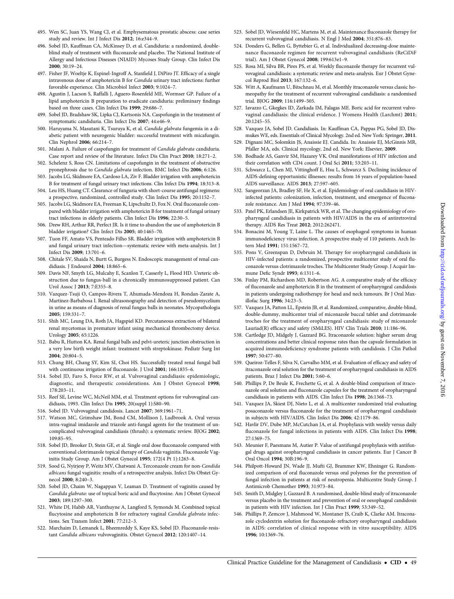- <span id="page-48-0"></span>496. Sobel JD, Kauffman CA, McKinsey D, et al. Candiduria: a randomized, doubleblind study of treatment with fluconazole and placebo. The National Institute of Allergy and Infectious Diseases (NIAID) Mycoses Study Group. Clin Infect Dis 2000; 30:19–24.
- 497. Fisher JF, Woeltje K, Espinel-Ingroff A, Stanfield J, DiPiro JT. Efficacy of a single intravenous dose of amphotericin B for Candida urinary tract infections: further favorable experience. Clin Microbiol Infect 2003; 9:1024–7.
- 498. Agustin J, Lacson S, Raffalli J, Aguero-Rosenfeld ME, Wormser GP. Failure of a lipid amphotericin B preparation to eradicate candiduria: preliminary findings based on three cases. Clin Infect Dis 1999; 29:686–7.
- 499. Sobel JD, Bradshaw SK, Lipka CJ, Kartsonis NA. Caspofungin in the treatment of symptomatic candiduria. Clin Infect Dis 2007; 44:e46–9.
- 500. Haruyama N, Masutani K, Tsuruya K, et al. Candida glabrata fungemia in a diabetic patient with neurogenic bladder: successful treatment with micafungin. Clin Nephrol 2006; 66:214–7.
- 501. Malani A. Failure of caspofungin for treatment of Candida glabrata candiduria. Case report and review of the literature. Infect Dis Clin Pract 2010; 18:271–2.
- 502. Schelenz S, Ross CN. Limitations of caspofungin in the treatment of obstructive pyonephrosis due to Candida glabrata infection. BMC Infect Dis 2006; 6:126.
- 503. Jacobs LG, Skidmore EA, Cardoso LA, Ziv F. Bladder irrigation with amphotericin B for treatment of fungal urinary tract infections. Clin Infect Dis 1994; 18:313–8.
- 504. Leu HS, Huang CT. Clearance of funguria with short-course antifungal regimens: a prospective, randomized, controlled study. Clin Infect Dis 1995; 20:1152–7.
- 505. Jacobs LG, Skidmore EA, Freeman K, Lipschultz D, Fox N. Oral fluconazole compared with bladder irrigation with amphotericin B for treatment of fungal urinary tract infections in elderly patients. Clin Infect Dis 1996; 22:30–5.
- 506. Drew RH, Arthur RR, Perfect JR. Is it time to abandon the use of amphotericin B bladder irrigation? Clin Infect Dis 2005; 40:1465–70.
- 507. Tuon FF, Amato VS, Penteado Filho SR. Bladder irrigation with amphotericin B and fungal urinary tract infection—systematic review with meta-analysis. Int J Infect Dis 2009; 13:701–6.
- 508. Chitale SV, Shaida N, Burtt G, Burgess N. Endoscopic management of renal candidiasis. J Endourol 2004; 18:865–6.
- 509. Davis NF, Smyth LG, Mulcahy E, Scanlon T, Casserly L, Flood HD. Ureteric obstruction due to fungus-ball in a chronically immunosuppressed patient. Can Urol Assoc J 2013; 7:E355–8.
- 510. Vazquez-Tsuji O, Campos-Rivera T, Ahumada-Mendoza H, Rondan-Zarate A, Martinez-Barbabosa I. Renal ultrasonography and detection of pseudomycelium in urine as means of diagnosis of renal fungus balls in neonates. Mycopathologia 2005; 159:331–7.
- 511. Shih MC, Leung DA, Roth JA, Hagspiel KD. Percutaneous extraction of bilateral renal mycetomas in premature infant using mechanical thrombectomy device. Urology 2005; 65:1226.
- 512. Babu R, Hutton KA. Renal fungal balls and pelvi-ureteric junction obstruction in a very low birth weight infant: treatment with streptokinase. Pediatr Surg Int 2004; 20:804–5.
- 513. Chung BH, Chang SY, Kim SI, Choi HS. Successfully treated renal fungal ball with continuous irrigation of fluconazole. J Urol 2001; 166:1835–6.
- 514. Sobel JD, Faro S, Force RW, et al. Vulvovaginal candidiasis: epidemiologic, diagnostic, and therapeutic considerations. Am J Obstet Gynecol 1998; 178:203–11.
- 515. Reef SE, Levine WC, McNeil MM, et al. Treatment options for vulvovaginal candidiasis, 1993. Clin Infect Dis 1995; 20(suppl 1):S80–90.
- 516. Sobel JD. Vulvovaginal candidosis. Lancet 2007; 369:1961–71.
- 517. Watson MC, Grimshaw JM, Bond CM, Mollison J, Ludbrook A. Oral versus intra-vaginal imidazole and triazole anti-fungal agents for the treatment of uncomplicated vulvovaginal candidiasis (thrush): a systematic review. BJOG 2002; 109:85–95.
- 518. Sobel JD, Brooker D, Stein GE, et al. Single oral dose fluconazole compared with conventional clotrimazole topical therapy of Candida vaginitis. Fluconazole Vaginitis Study Group. Am J Obstet Gynecol 1995; 172(4 Pt 1):1263–8.
- 519. Sood G, Nyirjesy P, Weitz MV, Chatwani A. Terconazole cream for non-Candida albicans fungal vaginitis: results of a retrospective analysis. Infect Dis Obstet Gynecol 2000; 8:240–3.
- 520. Sobel JD, Chaim W, Nagappan V, Leaman D. Treatment of vaginitis caused by Candida glabrata: use of topical boric acid and flucytosine. Am J Obstet Gynecol 2003; 189:1297–300.
- 521. White DJ, Habib AR, Vanthuyne A, Langford S, Symonds M. Combined topical flucytosine and amphotericin B for refractory vaginal Candida glabrata infections. Sex Transm Infect 2001; 77:212–3.
- 522. Marchaim D, Lemanek L, Bheemreddy S, Kaye KS, Sobel JD. Fluconazole-resistant Candida albicans vulvovaginitis. Obstet Gynecol 2012; 120:1407–14.
- 523. Sobel JD, Wiesenfeld HC, Martens M, et al. Maintenance fluconazole therapy for recurrent vulvovaginal candidiasis. N Engl J Med 2004; 351:876–83.
- 524. Donders G, Bellen G, Byttebier G, et al. Individualized decreasing-dose maintenance fluconazole regimen for recurrent vulvovaginal candidiasis (ReCiDiF trial). Am J Obstet Gynecol 2008; 199:613e1–9.
- 525. Rosa MI, Silva BR, Pires PS, et al. Weekly fluconazole therapy for recurrent vulvovaginal candidiasis: a systematic review and meta-analysis. Eur J Obstet Gynecol Reprod Biol 2013; 167:132–6.
- 526. Witt A, Kaufmann U, Bitschnau M, et al. Monthly itraconazole versus classic homeopathy for the treatment of recurrent vulvovaginal candidiasis: a randomised trial. BJOG 2009; 116:1499–505.
- 527. Iavazzo C, Gkegkes ID, Zarkada IM, Falagas ME. Boric acid for recurrent vulvovaginal candidiasis: the clinical evidence. J Womens Health (Larchmt) 2011; 20:1245–55.
- 528. Vazquez JA, Sobel JD. Candidiasis. In: Kauffman CA, Pappas PG, Sobel JD, Dismukes WE, eds. Essentials of Clinical Mycology. 2nd ed. New York: Springer, 2011.
- 529. Dignani MC, Solomkin JS, Anaissie EJ. Candida. In: Anaissie EJ, McGinnis MR, Pfaller MA, eds. Clinical mycology, 2nd ed. New York: Elsevier, 2009.
- 530. Bodhade AS, Ganvir SM, Hazarey VK. Oral manifestations of HIV infection and their correlation with CD4 count. J Oral Sci 2011; 53:203–11.
- 531. Schwarcz L, Chen MJ, Vittinghoff E, Hsu L, Schwarcz S. Declining incidence of AIDS-defining opportunistic illnesses: results from 16 years of population-based AIDS surveillance. AIDS 2013; 27:597–605.
- 532. Sangeorzan JA, Bradley SF, He X, et al. Epidemiology of oral candidiasis in HIVinfected patients: colonization, infection, treatment, and emergence of fluconazole resistance. Am J Med 1994; 97:339–46.
- 533. Patel PK, Erlandsen JE, Kirkpatrick WR, et al. The changing epidemiology of oropharyngeal candidiasis in patients with HIV/AIDS in the era of antiretroviral therapy. AIDS Res Treat 2012; 2012:262471.
- 534. Bonacini M, Young T, Laine L. The causes of esophageal symptoms in human immunodeficiency virus infection. A prospective study of 110 patients. Arch Intern Med 1991; 151:1567–72.
- 535. Pons V, Greenspan D, Debruin M. Therapy for oropharyngeal candidiasis in HIV-infected patients: a randomized, prospective multicenter study of oral fluconazole versus clotrimazole troches. The Multicenter Study Group. J Acquir Immune Defic Syndr 1993; 6:1311–6.
- 536. Finlay PM, Richardson MD, Robertson AG. A comparative study of the efficacy of fluconazole and amphotericin B in the treatment of oropharyngeal candidosis in patients undergoing radiotherapy for head and neck tumours. Br J Oral Maxillofac Surg 1996; 34:23–5.
- 537. Vazquez JA, Patton LL, Epstein JB, et al. Randomized, comparative, double-blind, double-dummy, multicenter trial of miconazole buccal tablet and clotrimazole troches for the treatment of oropharyngeal candidiasis: study of miconazole Lauriad(R) efficacy and safety (SMiLES). HIV Clin Trials 2010; 11:186–96.
- 538. Cartledge JD, Midgely J, Gazzard BG. Itraconazole solution: higher serum drug concentrations and better clinical response rates than the capsule formulation in acquired immunodeficiency syndrome patients with candidosis. J Clin Pathol 1997; 50:477–80.
- 539. Queiroz-Telles F, Silva N, Carvalho MM, et al. Evaluation of efficacy and safety of itraconazole oral solution for the treatment of oropharyngeal candidiasis in AIDS patients. Braz J Infect Dis 2001; 5:60–6.
- 540. Phillips P, De Beule K, Frechette G, et al. A double-blind comparison of itraconazole oral solution and fluconazole capsules for the treatment of oropharyngeal candidiasis in patients with AIDS. Clin Infect Dis 1998; 26:1368–73.
- 541. Vazquez JA, Skiest DJ, Nieto L, et al. A multicenter randomized trial evaluating posaconazole versus fluconazole for the treatment of oropharyngeal candidiasis in subjects with HIV/AIDS. Clin Infect Dis 2006; 42:1179–86.
- 542. Havlir DV, Dube MP, McCutchan JA, et al. Prophylaxis with weekly versus daily fluconazole for fungal infections in patients with AIDS. Clin Infect Dis 1998; 27:1369–75.
- 543. Meunier F, Paesmans M, Autier P. Value of antifungal prophylaxis with antifungal drugs against oropharyngeal candidiasis in cancer patients. Eur J Cancer B Oral Oncol 1994; 30B:196–9.
- 544. Philpott-Howard JN, Wade JJ, Mufti GJ, Brammer KW, Ehninger G. Randomized comparison of oral fluconazole versus oral polyenes for the prevention of fungal infection in patients at risk of neutropenia. Multicentre Study Group. J Antimicrob Chemother 1993; 31:973–84.
- 545. Smith D, Midgley J, Gazzard B. A randomised, double-blind study of itraconazole versus placebo in the treatment and prevention of oral or oesophageal candidosis in patients with HIV infection. Int J Clin Pract 1999; 53:349–52.
- 546. Phillips P, Zemcov J, Mahmood W, Montaner JS, Craib K, Clarke AM. Itraconazole cyclodextrin solution for fluconazole-refractory oropharyngeal candidiasis in AIDS: correlation of clinical response with in vitro susceptibility. AIDS 1996; 10:1369–76.